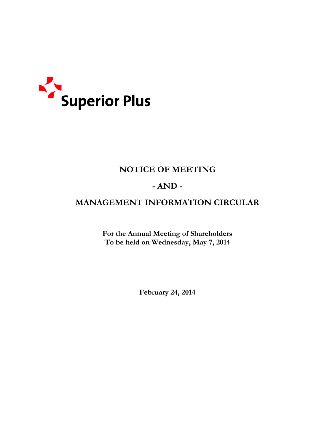

# **NOTICE OF MEETING**

# **- AND -**

# **MANAGEMENT INFORMATION CIRCULAR**

**For the Annual Meeting of Shareholders To be held on Wednesday, May 7, 2014** 

**February 24, 2014**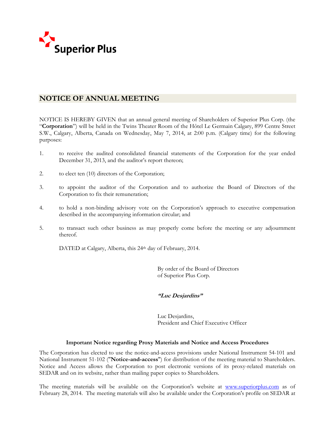

# **NOTICE OF ANNUAL MEETING**

NOTICE IS HEREBY GIVEN that an annual general meeting of Shareholders of Superior Plus Corp. (the "**Corporation**") will be held in the Twins Theater Room of the Hôtel Le Germain Calgary, 899 Centre Street S.W., Calgary, Alberta, Canada on Wednesday, May 7, 2014, at 2:00 p.m. (Calgary time) for the following purposes:

- 1. to receive the audited consolidated financial statements of the Corporation for the year ended December 31, 2013, and the auditor's report thereon;
- 2. to elect ten (10) directors of the Corporation;
- 3. to appoint the auditor of the Corporation and to authorize the Board of Directors of the Corporation to fix their remuneration;
- 4. to hold a non-binding advisory vote on the Corporation's approach to executive compensation described in the accompanying information circular; and
- 5. to transact such other business as may properly come before the meeting or any adjournment thereof.

DATED at Calgary, Alberta, this 24<sup>th</sup> day of February, 2014.

 By order of the Board of Directors of Superior Plus Corp.

### **"Luc Desjardins"**

Luc Desjardins, President and Chief Executive Officer

### **Important Notice regarding Proxy Materials and Notice and Access Procedures**

The Corporation has elected to use the notice-and-access provisions under National Instrument 54-101 and National Instrument 51-102 ("**Notice-and-access**") for distribution of the meeting material to Shareholders. Notice and Access allows the Corporation to post electronic versions of its proxy-related materials on SEDAR and on its website, rather than mailing paper copies to Shareholders.

The meeting materials will be available on the Corporation's website at www.superiorplus.com as of February 28, 2014. The meeting materials will also be available under the Corporation's profile on SEDAR at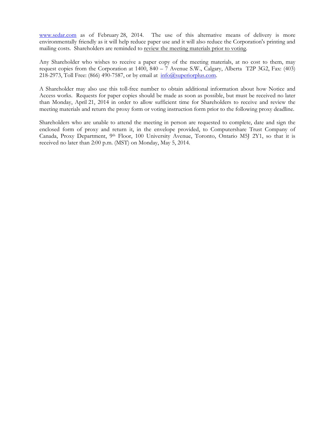www.sedar.com as of February 28, 2014. The use of this alternative means of delivery is more environmentally friendly as it will help reduce paper use and it will also reduce the Corporation's printing and mailing costs. Shareholders are reminded to review the meeting materials prior to voting.

Any Shareholder who wishes to receive a paper copy of the meeting materials, at no cost to them, may request copies from the Corporation at 1400, 840 – 7 Avenue S.W., Calgary, Alberta T2P 3G2, Fax: (403) 218-2973, Toll Free: (866) 490-7587, or by email at  $\frac{info(\partial_{\text{superiorplus.com}})}{info(\partial_{\text{superiorplus.com}})}$ .

A Shareholder may also use this toll-free number to obtain additional information about how Notice and Access works. Requests for paper copies should be made as soon as possible, but must be received no later than Monday, April 21, 2014 in order to allow sufficient time for Shareholders to receive and review the meeting materials and return the proxy form or voting instruction form prior to the following proxy deadline.

Shareholders who are unable to attend the meeting in person are requested to complete, date and sign the enclosed form of proxy and return it, in the envelope provided, to Computershare Trust Company of Canada, Proxy Department, 9th Floor, 100 University Avenue, Toronto, Ontario M5J 2Y1, so that it is received no later than 2:00 p.m. (MST) on Monday, May 5, 2014.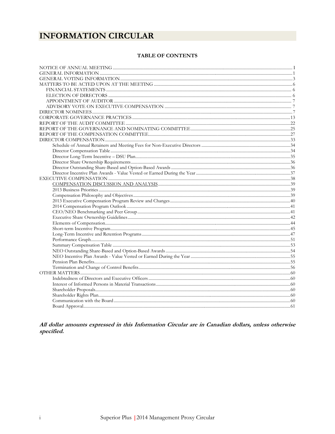# **INFORMATION CIRCULAR**

#### TABLE OF CONTENTS

All dollar amounts expressed in this Information Circular are in Canadian dollars, unless otherwise specified.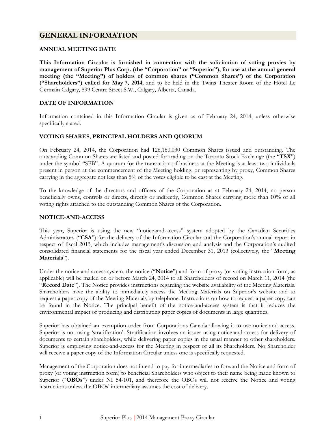### **GENERAL INFORMATION**

#### **ANNUAL MEETING DATE**

**This Information Circular is furnished in connection with the solicitation of voting proxies by management of Superior Plus Corp. (the "Corporation" or "Superior"), for use at the annual general meeting (the "Meeting") of holders of common shares ("Common Shares") of the Corporation ("Shareholders") called for May 7, 2014**, and to be held in the Twins Theater Room of the Hôtel Le Germain Calgary, 899 Centre Street S.W., Calgary, Alberta, Canada.

### **DATE OF INFORMATION**

Information contained in this Information Circular is given as of February 24, 2014, unless otherwise specifically stated.

### **VOTING SHARES, PRINCIPAL HOLDERS AND QUORUM**

On February 24, 2014, the Corporation had 126,180,030 Common Shares issued and outstanding. The outstanding Common Shares are listed and posted for trading on the Toronto Stock Exchange (the "**TSX**") under the symbol "SPB". A quorum for the transaction of business at the Meeting is at least two individuals present in person at the commencement of the Meeting holding, or representing by proxy, Common Shares carrying in the aggregate not less than 5% of the votes eligible to be cast at the Meeting.

To the knowledge of the directors and officers of the Corporation as at February 24, 2014, no person beneficially owns, controls or directs, directly or indirectly, Common Shares carrying more than 10% of all voting rights attached to the outstanding Common Shares of the Corporation.

#### **NOTICE-AND-ACCESS**

This year, Superior is using the new "notice-and-access" system adopted by the Canadian Securities Administrators ("**CSA**") for the delivery of the Information Circular and the Corporation's annual report in respect of fiscal 2013, which includes management's discussion and analysis and the Corporation's audited consolidated financial statements for the fiscal year ended December 31, 2013 (collectively, the "**Meeting Materials**").

Under the notice-and access system, the notice ("**Notice**") and form of proxy (or voting instruction form, as applicable) will be mailed on or before March 24, 2014 to all Shareholders of record on March 11, 2014 (the "**Record Date**"). The Notice provides instructions regarding the website availability of the Meeting Materials. Shareholders have the ability to immediately access the Meeting Materials on Superior's website and to request a paper copy of the Meeting Materials by telephone. Instructions on how to request a paper copy can be found in the Notice. The principal benefit of the notice-and-access system is that it reduces the environmental impact of producing and distributing paper copies of documents in large quantities.

Superior has obtained an exemption order from Corporations Canada allowing it to use notice-and-access. Superior is not using 'stratification'. Stratification involves an issuer using notice-and-access for delivery of documents to certain shareholders, while delivering paper copies in the usual manner to other shareholders. Superior is employing notice-and-access for the Meeting in respect of all its Shareholders. No Shareholder will receive a paper copy of the Information Circular unless one is specifically requested.

Management of the Corporation does not intend to pay for intermediaries to forward the Notice and form of proxy (or voting instruction form) to beneficial Shareholders who object to their name being made known to Superior ("**OBOs**") under NI 54-101, and therefore the OBOs will not receive the Notice and voting instructions unless the OBOs' intermediary assumes the cost of delivery.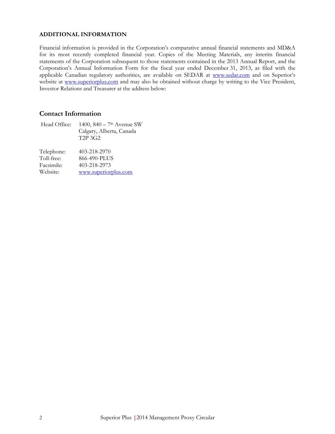#### **ADDITIONAL INFORMATION**

Financial information is provided in the Corporation's comparative annual financial statements and MD&A for its most recently completed financial year. Copies of the Meeting Materials, any interim financial statements of the Corporation subsequent to those statements contained in the 2013 Annual Report, and the Corporation's Annual Information Form for the fiscal year ended December 31, 2013, as filed with the applicable Canadian regulatory authorities, are available on SEDAR at www.sedar.com and on Superior's website at www.superiorplus.com and may also be obtained without charge by writing to the Vice President, Investor Relations and Treasurer at the address below:

### **Contact Information**

| Head Office: | 1400, $840 - 7$ <sup>th</sup> Avenue SW |
|--------------|-----------------------------------------|
|              | Calgary, Alberta, Canada                |
|              | T <sub>2</sub> P <sub>3G2</sub>         |
|              |                                         |
| Telephone:   | 403-218-2970                            |
| Toll-free:   | 866-490-PLUS                            |
| Facsimile:   | 403-218-2973                            |

Website: www.superiorplus.com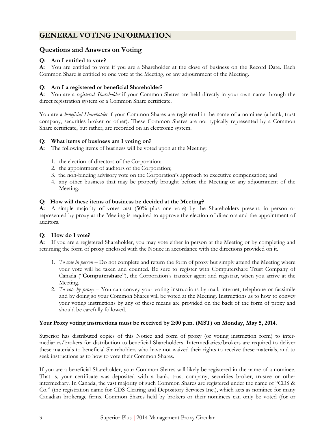# **GENERAL VOTING INFORMATION**

### **Questions and Answers on Voting**

### **Q: Am I entitled to vote?**

**A:** You are entitled to vote if you are a Shareholder at the close of business on the Record Date. Each Common Share is entitled to one vote at the Meeting, or any adjournment of the Meeting.

### **Q: Am I a registered or beneficial Shareholder?**

**A:** You are a *registered Shareholder* if your Common Shares are held directly in your own name through the direct registration system or a Common Share certificate.

You are a *beneficial Shareholder* if your Common Shares are registered in the name of a nominee (a bank, trust company, securities broker or other). These Common Shares are not typically represented by a Common Share certificate, but rather, are recorded on an electronic system.

### **Q: What items of business am I voting on?**

**A:** The following items of business will be voted upon at the Meeting:

- 1. the election of directors of the Corporation;
- 2. the appointment of auditors of the Corporation;
- 3. the non-binding advisory vote on the Corporation's approach to executive compensation; and
- 4. any other business that may be properly brought before the Meeting or any adjournment of the Meeting.

### **Q: How will these items of business be decided at the Meeting?**

**A:** A simple majority of votes cast (50% plus one vote) by the Shareholders present, in person or represented by proxy at the Meeting is required to approve the election of directors and the appointment of auditors.

### **Q: How do I vote?**

**A:** If you are a registered Shareholder, you may vote either in person at the Meeting or by completing and returning the form of proxy enclosed with the Notice in accordance with the directions provided on it.

- 1. *To vote in person* Do not complete and return the form of proxy but simply attend the Meeting where your vote will be taken and counted. Be sure to register with Computershare Trust Company of Canada ("**Computershare**"), the Corporation's transfer agent and registrar, when you arrive at the Meeting.
- 2. *To vote by proxy*  You can convey your voting instructions by mail, internet, telephone or facsimile and by doing so your Common Shares will be voted at the Meeting. Instructions as to how to convey your voting instructions by any of these means are provided on the back of the form of proxy and should be carefully followed.

### **Your Proxy voting instructions must be received by 2:00 p.m. (MST) on Monday, May 5, 2014.**

Superior has distributed copies of this Notice and form of proxy (or voting instruction form) to intermediaries/brokers for distribution to beneficial Shareholders. Intermediaries/brokers are required to deliver these materials to beneficial Shareholders who have not waived their rights to receive these materials, and to seek instructions as to how to vote their Common Shares.

If you are a beneficial Shareholder, your Common Shares will likely be registered in the name of a nominee. That is, your certificate was deposited with a bank, trust company, securities broker, trustee or other intermediary. In Canada, the vast majority of such Common Shares are registered under the name of "CDS & Co." (the registration name for CDS Clearing and Depository Services Inc.), which acts as nominee for many Canadian brokerage firms. Common Shares held by brokers or their nominees can only be voted (for or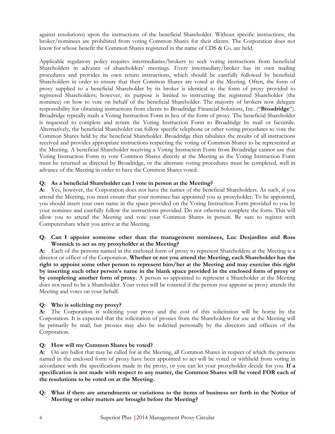against resolutions) upon the instructions of the beneficial Shareholder. Without specific instructions, the broker/nominees are prohibited from voting Common Shares for their clients. The Corporation does not know for whose benefit the Common Shares registered in the name of CDS & Co. are held.

Applicable regulatory policy requires intermediaries/brokers to seek voting instructions from beneficial Shareholders in advance of shareholders' meetings. Every intermediary/broker has its own mailing procedures and provides its own return instructions, which should be carefully followed by beneficial Shareholders in order to ensure that their Common Shares are voted at the Meeting. Often, the form of proxy supplied to a beneficial Shareholder by its broker is identical to the form of proxy provided to registered Shareholders; however, its purpose is limited to instructing the registered Shareholder (the nominee) on how to vote on behalf of the beneficial Shareholder. The majority of brokers now delegate responsibility for obtaining instructions from clients to Broadridge Financial Solutions, Inc. ("**Broadridge**"). Broadridge typically mails a Voting Instruction Form in lieu of the form of proxy. The beneficial Shareholder is requested to complete and return the Voting Instruction Form to Broadridge by mail or facsimile. Alternatively, the beneficial Shareholder can follow specific telephone or other voting procedures to vote the Common Shares held by the beneficial Shareholder. Broadridge then tabulates the results of all instructions received and provides appropriate instructions respecting the voting of Common Shares to be represented at the Meeting. A beneficial Shareholder receiving a Voting Instruction Form from Broadridge cannot use that Voting Instruction Form to vote Common Shares directly at the Meeting as the Voting Instruction Form must be returned as directed by Broadridge, or the alternate voting procedures must be completed, well in advance of the Meeting in order to have the Common Shares voted.

### **Q: As a beneficial Shareholder can I vote in person at the Meeting?**

**A:** Yes, however, the Corporation does not have the names of the beneficial Shareholders. As such, if you attend the Meeting, you must ensure that your nominee has appointed you as proxyholder. To be appointed, you should insert your own name in the space provided on the Voting Instruction Form provided to you by your nominee and carefully follow the instructions provided. Do not otherwise complete the form. This will allow you to attend the Meeting and vote your Common Shares in person. Be sure to register with Computershare when you arrive at the Meeting.

#### **Q: Can I appoint someone other than the management nominees, Luc Desjardins and Ross Wonnick to act as my proxyholder at the Meeting?**

**A:** Each of the persons named in the enclosed form of proxy to represent Shareholders at the Meeting is a director or officer of the Corporation. **Whether or not you attend the Meeting, each Shareholder has the right to appoint some other person to represent him/her at the Meeting and may exercise this right by inserting such other person's name in the blank space provided in the enclosed form of proxy or by completing another form of proxy.** A person so appointed to represent a Shareholder at the Meeting does not need to be a Shareholder. Your votes will be counted if the person you appoint as proxy attends the Meeting and votes on your behalf.

### **Q: Who is soliciting my proxy?**

**A:** The Corporation is soliciting your proxy and the cost of this solicitation will be borne by the Corporation. It is expected that the solicitation of proxies from the Shareholders for use at the Meeting will be primarily by mail, but proxies may also be solicited personally by the directors and officers of the Corporation.

#### **Q: How will my Common Shares be voted?**

**A:** On any ballot that may be called for at the Meeting, all Common Shares in respect of which the persons named in the enclosed form of proxy have been appointed to act will be voted or withheld from voting in accordance with the specifications made in the proxy, or you can let your proxyholder decide for you. **If a specification is not made with respect to any matter, the Common Shares will be voted FOR each of the resolutions to be voted on at the Meeting.**

#### **Q: What if there are amendments or variations to the items of business set forth in the Notice of Meeting or other matters are brought before the Meeting?**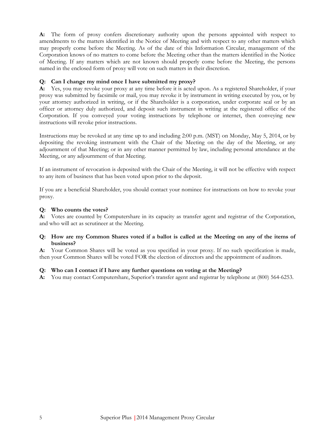**A:** The form of proxy confers discretionary authority upon the persons appointed with respect to amendments to the matters identified in the Notice of Meeting and with respect to any other matters which may properly come before the Meeting. As of the date of this Information Circular, management of the Corporation knows of no matters to come before the Meeting other than the matters identified in the Notice of Meeting. If any matters which are not known should properly come before the Meeting, the persons named in the enclosed form of proxy will vote on such matters in their discretion.

### **Q: Can I change my mind once I have submitted my proxy?**

**A:** Yes, you may revoke your proxy at any time before it is acted upon. As a registered Shareholder, if your proxy was submitted by facsimile or mail, you may revoke it by instrument in writing executed by you, or by your attorney authorized in writing, or if the Shareholder is a corporation, under corporate seal or by an officer or attorney duly authorized, and deposit such instrument in writing at the registered office of the Corporation. If you conveyed your voting instructions by telephone or internet, then conveying new instructions will revoke prior instructions.

Instructions may be revoked at any time up to and including 2:00 p.m. (MST) on Monday, May 5, 2014, or by depositing the revoking instrument with the Chair of the Meeting on the day of the Meeting, or any adjournment of that Meeting; or in any other manner permitted by law, including personal attendance at the Meeting, or any adjournment of that Meeting.

If an instrument of revocation is deposited with the Chair of the Meeting, it will not be effective with respect to any item of business that has been voted upon prior to the deposit.

If you are a beneficial Shareholder, you should contact your nominee for instructions on how to revoke your proxy.

#### **Q: Who counts the votes?**

**A:** Votes are counted by Computershare in its capacity as transfer agent and registrar of the Corporation, and who will act as scrutineer at the Meeting.

#### **Q: How are my Common Shares voted if a ballot is called at the Meeting on any of the items of business?**

**A:** Your Common Shares will be voted as you specified in your proxy. If no such specification is made, then your Common Shares will be voted FOR the election of directors and the appointment of auditors.

#### **Q: Who can I contact if I have any further questions on voting at the Meeting?**

**A:** You may contact Computershare, Superior's transfer agent and registrar by telephone at (800) 564-6253.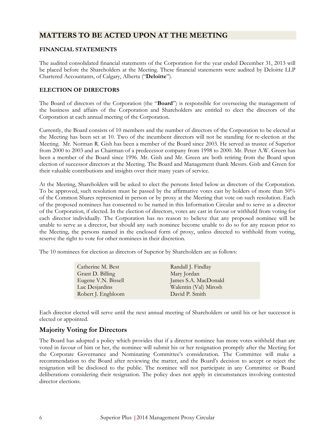### **MATTERS TO BE ACTED UPON AT THE MEETING**

#### **FINANCIAL STATEMENTS**

The audited consolidated financial statements of the Corporation for the year ended December 31, 2013 will be placed before the Shareholders at the Meeting. These financial statements were audited by Deloitte LLP Chartered Accountants, of Calgary, Alberta ("**Deloitte**").

#### **ELECTION OF DIRECTORS**

The Board of directors of the Corporation (the "**Board**") is responsible for overseeing the management of the business and affairs of the Corporation and Shareholders are entitled to elect the directors of the Corporation at each annual meeting of the Corporation.

Currently, the Board consists of 10 members and the number of directors of the Corporation to be elected at the Meeting has been set at 10. Two of the incumbent directors will not be standing for re-election at the Meeting. Mr. Norman R. Gish has been a member of the Board since 2003. He served as trustee of Superior from 2000 to 2003 and as Chairman of a predecessor company from 1998 to 2000. Mr. Peter A.W. Green has been a member of the Board since 1996. Mr. Gish and Mr. Green are both retiring from the Board upon election of successor directors at the Meeting. The Board and Management thank Messrs. Gish and Green for their valuable contributions and insights over their many years of service.

At the Meeting, Shareholders will be asked to elect the persons listed below as directors of the Corporation. To be approved, such resolution must be passed by the affirmative votes cast by holders of more than 50% of the Common Shares represented in person or by proxy at the Meeting that vote on such resolution. Each of the proposed nominees has consented to be named in this Information Circular and to serve as a director of the Corporation, if elected. In the election of directors, votes are cast in favour or withheld from voting for each director individually. The Corporation has no reason to believe that any proposed nominee will be unable to serve as a director, but should any such nominee become unable to do so for any reason prior to the Meeting, the persons named in the enclosed form of proxy, unless directed to withhold from voting, reserve the right to vote for other nominees in their discretion.

The 10 nominees for election as directors of Superior by Shareholders are as follows:

| Catherine M. Best   | Randall J. Findlay    |
|---------------------|-----------------------|
| Grant D. Billing    | Mary Jordan           |
| Eugene V.N. Bissell | James S.A. MacDonald  |
| Luc Desjardins      | Walentin (Val) Mirosh |
| Robert J. Engbloom  | David P. Smith        |
|                     |                       |

Each director elected will serve until the next annual meeting of Shareholders or until his or her successor is elected or appointed.

### **Majority Voting for Directors**

The Board has adopted a policy which provides that if a director nominee has more votes withheld than are voted in favour of him or her, the nominee will submit his or her resignation promptly after the Meeting for the Corporate Governance and Nominating Committee's consideration. The Committee will make a recommendation to the Board after reviewing the matter, and the Board's decision to accept or reject the resignation will be disclosed to the public. The nominee will not participate in any Committee or Board deliberations considering their resignation. The policy does not apply in circumstances involving contested director elections.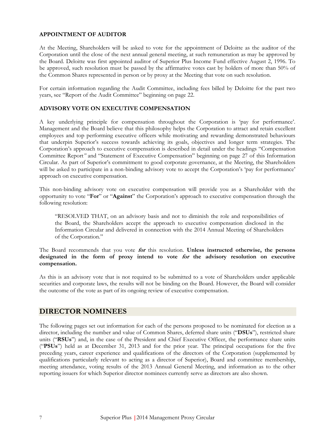#### **APPOINTMENT OF AUDITOR**

At the Meeting, Shareholders will be asked to vote for the appointment of Deloitte as the auditor of the Corporation until the close of the next annual general meeting, at such remuneration as may be approved by the Board. Deloitte was first appointed auditor of Superior Plus Income Fund effective August 2, 1996. To be approved, such resolution must be passed by the affirmative votes cast by holders of more than 50% of the Common Shares represented in person or by proxy at the Meeting that vote on such resolution.

For certain information regarding the Audit Committee, including fees billed by Deloitte for the past two years, see "Report of the Audit Committee" beginning on page 22.

#### **ADVISORY VOTE ON EXECUTIVE COMPENSATION**

A key underlying principle for compensation throughout the Corporation is 'pay for performance'. Management and the Board believe that this philosophy helps the Corporation to attract and retain excellent employees and top performing executive officers while motivating and rewarding demonstrated behaviours that underpin Superior's success towards achieving its goals, objectives and longer term strategies. The Corporation's approach to executive compensation is described in detail under the headings "Compensation Committee Report*"* and "Statement of Executive Compensation" beginning on page 27 of this Information Circular. As part of Superior's commitment to good corporate governance, at the Meeting, the Shareholders will be asked to participate in a non-binding advisory vote to accept the Corporation's 'pay for performance' approach on executive compensation.

This non-binding advisory vote on executive compensation will provide you as a Shareholder with the opportunity to vote "**For**" or "**Against**" the Corporation's approach to executive compensation through the following resolution:

"RESOLVED THAT, on an advisory basis and not to diminish the role and responsibilities of the Board, the Shareholders accept the approach to executive compensation disclosed in the Information Circular and delivered in connection with the 2014 Annual Meeting of Shareholders of the Corporation."

The Board recommends that you vote **for** this resolution. **Unless instructed otherwise, the persons designated in the form of proxy intend to vote for the advisory resolution on executive compensation.**

As this is an advisory vote that is not required to be submitted to a vote of Shareholders under applicable securities and corporate laws, the results will not be binding on the Board. However, the Board will consider the outcome of the vote as part of its ongoing review of executive compensation.

### **DIRECTOR NOMINEES**

The following pages set out information for each of the persons proposed to be nominated for election as a director, including the number and value of Common Shares, deferred share units ("**DSUs**"), restricted share units ("**RSUs**") and, in the case of the President and Chief Executive Officer, the performance share units ("**PSUs**") held as at December 31, 2013 and for the prior year. The principal occupations for the five preceding years, career experience and qualifications of the directors of the Corporation (supplemented by qualifications particularly relevant to acting as a director of Superior), Board and committee membership, meeting attendance, voting results of the 2013 Annual General Meeting, and information as to the other reporting issuers for which Superior director nominees currently serve as directors are also shown.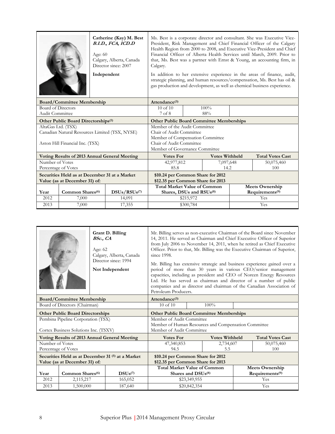|                                   |                                                 | Age: $60$ | Catherine (Kay) M. Best<br>B.I.D., FCA, ICD.D<br>Calgary, Alberta, Canada<br>Director since: 2007<br>Independent | Ms. Best is a corporate director and consultant. She was Executive Vice-<br>President, Risk Management and Chief Financial Officer of the Calgary<br>Health Region from 2000 to 2008, and Executive Vice-President and Chief<br>Financial Officer of Alberta Health Services until March, 2009. Prior to<br>that, Ms. Best was a partner with Ernst & Young, an accounting firm, in<br>Calgary.<br>In addition to her extensive experience in the areas of finance, audit,<br>strategic planning, and human resources/compensation, Ms. Best has oil &<br>gas production and development, as well as chemical business experience. |           |                       |  |                             |  |  |
|-----------------------------------|-------------------------------------------------|-----------|------------------------------------------------------------------------------------------------------------------|------------------------------------------------------------------------------------------------------------------------------------------------------------------------------------------------------------------------------------------------------------------------------------------------------------------------------------------------------------------------------------------------------------------------------------------------------------------------------------------------------------------------------------------------------------------------------------------------------------------------------------|-----------|-----------------------|--|-----------------------------|--|--|
| <b>Board/Committee Membership</b> |                                                 |           |                                                                                                                  | Attendance <sup>(3)</sup>                                                                                                                                                                                                                                                                                                                                                                                                                                                                                                                                                                                                          |           |                       |  |                             |  |  |
| Board of Directors                |                                                 |           |                                                                                                                  | $10$ of $10$                                                                                                                                                                                                                                                                                                                                                                                                                                                                                                                                                                                                                       |           | $100\%$               |  |                             |  |  |
| Audit Committee                   |                                                 |           |                                                                                                                  | 7 of 8                                                                                                                                                                                                                                                                                                                                                                                                                                                                                                                                                                                                                             |           | 88%                   |  |                             |  |  |
|                                   | Other Public Board Directorships <sup>(1)</sup> |           |                                                                                                                  | <b>Other Public Board Committee Memberships</b>                                                                                                                                                                                                                                                                                                                                                                                                                                                                                                                                                                                    |           |                       |  |                             |  |  |
| AltaGas Ltd. (TSX)                |                                                 |           |                                                                                                                  | Member of the Audit Committee                                                                                                                                                                                                                                                                                                                                                                                                                                                                                                                                                                                                      |           |                       |  |                             |  |  |
|                                   |                                                 |           | Canadian Natural Resources Limited (TSX, NYSE)                                                                   | Chair of Audit Committee                                                                                                                                                                                                                                                                                                                                                                                                                                                                                                                                                                                                           |           |                       |  |                             |  |  |
|                                   |                                                 |           |                                                                                                                  | Member of Compensation Committee                                                                                                                                                                                                                                                                                                                                                                                                                                                                                                                                                                                                   |           |                       |  |                             |  |  |
|                                   | Aston Hill Financial Inc. (TSX)                 |           |                                                                                                                  | Chair of Audit Committee                                                                                                                                                                                                                                                                                                                                                                                                                                                                                                                                                                                                           |           |                       |  |                             |  |  |
|                                   |                                                 |           |                                                                                                                  | Member of Governance Committee                                                                                                                                                                                                                                                                                                                                                                                                                                                                                                                                                                                                     |           |                       |  |                             |  |  |
|                                   |                                                 |           | Voting Results of 2013 Annual General Meeting                                                                    | <b>Votes For</b>                                                                                                                                                                                                                                                                                                                                                                                                                                                                                                                                                                                                                   |           | <b>Votes Withheld</b> |  | <b>Total Votes Cast</b>     |  |  |
| Number of Votes                   |                                                 |           |                                                                                                                  | 42,977,812                                                                                                                                                                                                                                                                                                                                                                                                                                                                                                                                                                                                                         |           | 7,097,648             |  | 50,075,460                  |  |  |
|                                   | Percentage of Votes                             |           |                                                                                                                  | 85.8                                                                                                                                                                                                                                                                                                                                                                                                                                                                                                                                                                                                                               |           | 14.2                  |  | 100                         |  |  |
|                                   | Securities Held as at December 31 at a Market   |           |                                                                                                                  | \$10.24 per Common Share for 2012                                                                                                                                                                                                                                                                                                                                                                                                                                                                                                                                                                                                  |           |                       |  |                             |  |  |
|                                   | Value (as at December 31) of:                   |           |                                                                                                                  | \$12.35 per Common Share for 2013                                                                                                                                                                                                                                                                                                                                                                                                                                                                                                                                                                                                  |           |                       |  |                             |  |  |
|                                   |                                                 |           |                                                                                                                  | <b>Total Market Value of Common</b>                                                                                                                                                                                                                                                                                                                                                                                                                                                                                                                                                                                                |           |                       |  | <b>Meets Ownership</b>      |  |  |
| Year                              | Common Shares <sup>(6)</sup>                    |           | DSUs/RSUs <sup>(7)</sup>                                                                                         | Shares, DSUs and RSUs(8)                                                                                                                                                                                                                                                                                                                                                                                                                                                                                                                                                                                                           |           |                       |  | Requirements <sup>(9)</sup> |  |  |
| 2012                              | 7,000                                           |           | 14,091                                                                                                           |                                                                                                                                                                                                                                                                                                                                                                                                                                                                                                                                                                                                                                    | \$215,972 |                       |  | Yes                         |  |  |
| 2013                              | 7,000                                           |           | 17,355                                                                                                           |                                                                                                                                                                                                                                                                                                                                                                                                                                                                                                                                                                                                                                    | \$300,784 |                       |  | Yes                         |  |  |

|                                               |                                         | BSc., CA<br>Age: 62                   | Grant D. Billing<br>Calgary, Alberta, Canada<br>Director since: 1994<br>Not Independent | Mr. Billing serves as non-executive Chairman of the Board since November<br>14, 2011. He served as Chairman and Chief Executive Officer of Superior<br>from July 2006 to November 14, 2011, when he retired as Chief Executive<br>Officer. Prior to that, Mr. Billing was the Executive Chairman of Superior,<br>since 1998.<br>Mr. Billing has extensive strategic and business experience gained over a<br>period of more than 30 years in various CEO/senior management<br>capacities, including as president and CEO of Norcen Energy Resources<br>Ltd. He has served as chairman and director of a number of public<br>companies and as director and chairman of the Canadian Association of<br>Petroleum Producers.<br>Attendance <sup>(3)</sup> |                              |                       |  |                             |
|-----------------------------------------------|-----------------------------------------|---------------------------------------|-----------------------------------------------------------------------------------------|--------------------------------------------------------------------------------------------------------------------------------------------------------------------------------------------------------------------------------------------------------------------------------------------------------------------------------------------------------------------------------------------------------------------------------------------------------------------------------------------------------------------------------------------------------------------------------------------------------------------------------------------------------------------------------------------------------------------------------------------------------|------------------------------|-----------------------|--|-----------------------------|
| <b>Board/Committee Membership</b>             |                                         |                                       |                                                                                         |                                                                                                                                                                                                                                                                                                                                                                                                                                                                                                                                                                                                                                                                                                                                                        |                              |                       |  |                             |
|                                               | Board of Directors (Chairman)           |                                       |                                                                                         | $10$ of $10$                                                                                                                                                                                                                                                                                                                                                                                                                                                                                                                                                                                                                                                                                                                                           |                              | 100%                  |  |                             |
|                                               | <b>Other Public Board Directorships</b> |                                       |                                                                                         | <b>Other Public Board Committee Memberships</b>                                                                                                                                                                                                                                                                                                                                                                                                                                                                                                                                                                                                                                                                                                        |                              |                       |  |                             |
|                                               | Pembina Pipeline Corporation (TSX)      |                                       |                                                                                         | Member of Audit Committee<br>Member of Human Resources and Compensation Committee                                                                                                                                                                                                                                                                                                                                                                                                                                                                                                                                                                                                                                                                      |                              |                       |  |                             |
|                                               |                                         | Cortex Business Solutions Inc. (TSXV) |                                                                                         |                                                                                                                                                                                                                                                                                                                                                                                                                                                                                                                                                                                                                                                                                                                                                        | Member of Audit Committee    |                       |  |                             |
| Voting Results of 2013 Annual General Meeting |                                         |                                       |                                                                                         |                                                                                                                                                                                                                                                                                                                                                                                                                                                                                                                                                                                                                                                                                                                                                        |                              |                       |  |                             |
|                                               |                                         |                                       |                                                                                         | <b>Votes For</b>                                                                                                                                                                                                                                                                                                                                                                                                                                                                                                                                                                                                                                                                                                                                       |                              | <b>Votes Withheld</b> |  | <b>Total Votes Cast</b>     |
| Number of Votes                               | Percentage of Votes                     |                                       |                                                                                         | 47,340,853<br>94.5                                                                                                                                                                                                                                                                                                                                                                                                                                                                                                                                                                                                                                                                                                                                     |                              | 2,734,607<br>5.5      |  | 50,075,460<br>100           |
|                                               | Value (as at December 31) of:           |                                       | Securities Held as at December 31 <sup>(5)</sup> at a Market                            | \$10.24 per Common Share for 2012<br>\$12.35 per Common Share for 2013                                                                                                                                                                                                                                                                                                                                                                                                                                                                                                                                                                                                                                                                                 |                              |                       |  |                             |
|                                               |                                         |                                       |                                                                                         | <b>Total Market Value of Common</b>                                                                                                                                                                                                                                                                                                                                                                                                                                                                                                                                                                                                                                                                                                                    |                              |                       |  | <b>Meets Ownership</b>      |
| Year                                          | Common Shares <sup>(6)</sup>            |                                       | $DSUs$ <sup>(7)</sup>                                                                   | Shares and DSU <sub>s(8)</sub>                                                                                                                                                                                                                                                                                                                                                                                                                                                                                                                                                                                                                                                                                                                         |                              |                       |  | Requirements <sup>(9)</sup> |
| 2012<br>2013                                  | 2,115,217<br>1,500,000                  |                                       | 165,052<br>187,640                                                                      |                                                                                                                                                                                                                                                                                                                                                                                                                                                                                                                                                                                                                                                                                                                                                        | \$23,349,955<br>\$20,842,354 |                       |  | Yes<br>Yes                  |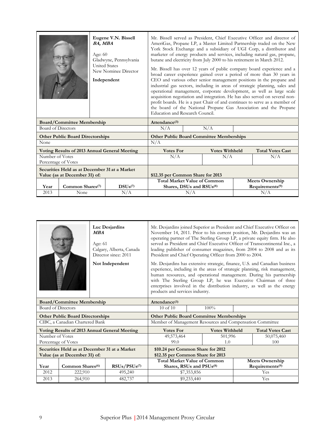|                                                                                |                                               | <b>BA, MBA</b><br>Age: 60<br><b>United States</b><br>Independent | Eugene V.N. Bissell<br>Gladwyne, Pennsylvania<br>New Nominee Director | Mr. Bissell served as President, Chief Executive Officer and director of<br>AmeriGas, Propane LP, a Master Limited Partnership traded on the New<br>York Stock Exchange and a subsidiary of UGI Corp, a distributor and<br>marketer of energy products and services, including natural gas, propane,<br>butane and electricity from July 2000 to his retirement in March 2012.<br>Mr. Bissell has over 12 years of public company board experience and a<br>broad career experience gained over a period of more than 30 years in<br>CEO and various other senior management positions in the propane and<br>industrial gas sectors, including in areas of strategic planning, sales and<br>operational management, corporate development, as well as large scale<br>acquisition negotiation and integration. He has also served on several non-<br>profit boards. He is a past Chair of and continues to serve as a member of<br>the board of the National Propane Gas Association and the Propane<br>Education and Research Council. |     |                       |  |                                                       |  |
|--------------------------------------------------------------------------------|-----------------------------------------------|------------------------------------------------------------------|-----------------------------------------------------------------------|----------------------------------------------------------------------------------------------------------------------------------------------------------------------------------------------------------------------------------------------------------------------------------------------------------------------------------------------------------------------------------------------------------------------------------------------------------------------------------------------------------------------------------------------------------------------------------------------------------------------------------------------------------------------------------------------------------------------------------------------------------------------------------------------------------------------------------------------------------------------------------------------------------------------------------------------------------------------------------------------------------------------------------------|-----|-----------------------|--|-------------------------------------------------------|--|
|                                                                                | <b>Board/Committee Membership</b>             |                                                                  |                                                                       | Attendance <sup>(3)</sup>                                                                                                                                                                                                                                                                                                                                                                                                                                                                                                                                                                                                                                                                                                                                                                                                                                                                                                                                                                                                              |     |                       |  |                                                       |  |
| <b>Board of Directors</b>                                                      |                                               |                                                                  |                                                                       | N/A                                                                                                                                                                                                                                                                                                                                                                                                                                                                                                                                                                                                                                                                                                                                                                                                                                                                                                                                                                                                                                    |     | N/A                   |  |                                                       |  |
|                                                                                | <b>Other Public Board Directorships</b>       |                                                                  |                                                                       | <b>Other Public Board Committee Memberships</b>                                                                                                                                                                                                                                                                                                                                                                                                                                                                                                                                                                                                                                                                                                                                                                                                                                                                                                                                                                                        |     |                       |  |                                                       |  |
| None                                                                           |                                               |                                                                  |                                                                       | N/A                                                                                                                                                                                                                                                                                                                                                                                                                                                                                                                                                                                                                                                                                                                                                                                                                                                                                                                                                                                                                                    |     |                       |  |                                                       |  |
|                                                                                | Voting Results of 2013 Annual General Meeting |                                                                  |                                                                       | <b>Votes For</b>                                                                                                                                                                                                                                                                                                                                                                                                                                                                                                                                                                                                                                                                                                                                                                                                                                                                                                                                                                                                                       |     | <b>Votes Withheld</b> |  | <b>Total Votes Cast</b>                               |  |
| Number of Votes                                                                | Percentage of Votes                           |                                                                  |                                                                       | N/A                                                                                                                                                                                                                                                                                                                                                                                                                                                                                                                                                                                                                                                                                                                                                                                                                                                                                                                                                                                                                                    |     | N/A                   |  | N/A                                                   |  |
| Securities Held as at December 31 at a Market<br>Value (as at December 31) of: |                                               |                                                                  | \$12.35 per Common Share for 2013                                     |                                                                                                                                                                                                                                                                                                                                                                                                                                                                                                                                                                                                                                                                                                                                                                                                                                                                                                                                                                                                                                        |     |                       |  |                                                       |  |
| Year                                                                           | Common Shares <sup>(7)</sup>                  |                                                                  | $DSUs$ <sup>(7)</sup>                                                 | <b>Total Market Value of Common</b><br>Shares, DSUs and RSUs(8)                                                                                                                                                                                                                                                                                                                                                                                                                                                                                                                                                                                                                                                                                                                                                                                                                                                                                                                                                                        |     |                       |  | <b>Meets Ownership</b><br>Requirements <sup>(9)</sup> |  |
| 2013                                                                           | None                                          |                                                                  | N/A                                                                   |                                                                                                                                                                                                                                                                                                                                                                                                                                                                                                                                                                                                                                                                                                                                                                                                                                                                                                                                                                                                                                        | N/A |                       |  | N/A                                                   |  |

| Luc Desjardins<br>Mr. Desjardins joined Superior as President and Chief Executive Officer on<br>November 14, 2011. Prior to his current position, Mr. Desjardins was an<br><b>MBA</b><br>operating partner of The Sterling Group LP, a private equity firm. He also<br>served as President and Chief Executive Officer of Transcontinental Inc., a<br>Age: 61<br>leading publisher of consumer magazines, from 2004 to 2008 and as its<br>Calgary, Alberta, Canada<br>President and Chief Operating Officer from 2000 to 2004.<br>Director since: 2011<br>Not Independent<br>Mr. Desjardins has extensive strategic, finance, U.S. and Canadian business<br>experience, including in the areas of strategic planning, risk management,<br>human resources, and operational management. During his partnership<br>with The Sterling Group LP, he was Executive Chairman of three<br>enterprises involved in the distribution industry, as well as the energy<br>products and services industry.<br>Attendance <sup>(3)</sup><br><b>Board/Committee Membership</b> |                                         |                                                      |                                                                        |             |                       |  |                             |
|------------------------------------------------------------------------------------------------------------------------------------------------------------------------------------------------------------------------------------------------------------------------------------------------------------------------------------------------------------------------------------------------------------------------------------------------------------------------------------------------------------------------------------------------------------------------------------------------------------------------------------------------------------------------------------------------------------------------------------------------------------------------------------------------------------------------------------------------------------------------------------------------------------------------------------------------------------------------------------------------------------------------------------------------------------------|-----------------------------------------|------------------------------------------------------|------------------------------------------------------------------------|-------------|-----------------------|--|-----------------------------|
|                                                                                                                                                                                                                                                                                                                                                                                                                                                                                                                                                                                                                                                                                                                                                                                                                                                                                                                                                                                                                                                                  |                                         |                                                      |                                                                        |             |                       |  |                             |
| <b>Board of Directors</b>                                                                                                                                                                                                                                                                                                                                                                                                                                                                                                                                                                                                                                                                                                                                                                                                                                                                                                                                                                                                                                        |                                         |                                                      | $10$ of $10$                                                           |             | $100\%$               |  |                             |
|                                                                                                                                                                                                                                                                                                                                                                                                                                                                                                                                                                                                                                                                                                                                                                                                                                                                                                                                                                                                                                                                  | <b>Other Public Board Directorships</b> |                                                      | <b>Other Public Board Committee Memberships</b>                        |             |                       |  |                             |
|                                                                                                                                                                                                                                                                                                                                                                                                                                                                                                                                                                                                                                                                                                                                                                                                                                                                                                                                                                                                                                                                  | CIBC, a Canadian Chartered Bank         |                                                      | Member of Management Resources and Compensation Committee              |             |                       |  |                             |
|                                                                                                                                                                                                                                                                                                                                                                                                                                                                                                                                                                                                                                                                                                                                                                                                                                                                                                                                                                                                                                                                  |                                         | <b>Voting Results of 2013 Annual General Meeting</b> | <b>Votes For</b>                                                       |             | <b>Votes Withheld</b> |  | <b>Total Votes Cast</b>     |
| Number of Votes                                                                                                                                                                                                                                                                                                                                                                                                                                                                                                                                                                                                                                                                                                                                                                                                                                                                                                                                                                                                                                                  |                                         |                                                      | 49,573,464                                                             |             | 501,996               |  | 50,075,460                  |
| Percentage of Votes                                                                                                                                                                                                                                                                                                                                                                                                                                                                                                                                                                                                                                                                                                                                                                                                                                                                                                                                                                                                                                              |                                         |                                                      | 99.0                                                                   |             | 1.0                   |  | 100                         |
|                                                                                                                                                                                                                                                                                                                                                                                                                                                                                                                                                                                                                                                                                                                                                                                                                                                                                                                                                                                                                                                                  | Value (as at December 31) of:           | Securities Held as at December 31 at a Market        | \$10.24 per Common Share for 2012<br>\$12.35 per Common Share for 2013 |             |                       |  |                             |
|                                                                                                                                                                                                                                                                                                                                                                                                                                                                                                                                                                                                                                                                                                                                                                                                                                                                                                                                                                                                                                                                  |                                         |                                                      | <b>Total Market Value of Common</b>                                    |             |                       |  | <b>Meets Ownership</b>      |
| Year                                                                                                                                                                                                                                                                                                                                                                                                                                                                                                                                                                                                                                                                                                                                                                                                                                                                                                                                                                                                                                                             | Common Shares <sup>(6)</sup>            | $RSUs/PSUs$ <sup>(7)</sup>                           | Shares, RSUs and PSUs(8)                                               |             |                       |  | Requirements <sup>(9)</sup> |
| 2012                                                                                                                                                                                                                                                                                                                                                                                                                                                                                                                                                                                                                                                                                                                                                                                                                                                                                                                                                                                                                                                             | 222,910                                 | 495,240                                              |                                                                        | \$7,353,856 |                       |  | Yes                         |
| 2013                                                                                                                                                                                                                                                                                                                                                                                                                                                                                                                                                                                                                                                                                                                                                                                                                                                                                                                                                                                                                                                             | 264,910                                 | 482,737                                              |                                                                        | \$9,233,440 |                       |  | Yes                         |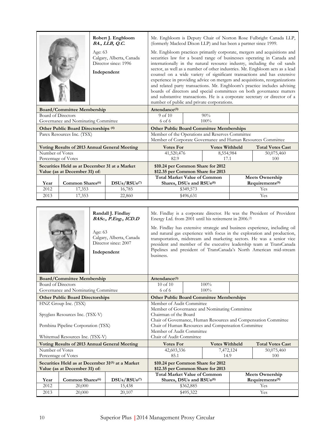|                                   |                                                                                |                        | Robert J. Engbloom<br>BA., LLB, Q.C.             | Mr. Engbloom is Deputy Chair of Norton Rose Fulbright Canada LLP,<br>(formerly Macleod Dixon LLP) and has been a partner since 1999.                                                                                                                                                                                                                                                                                                                                                                                                                                                                                                                                                                                                                        |           |                       |     |                             |  |
|-----------------------------------|--------------------------------------------------------------------------------|------------------------|--------------------------------------------------|-------------------------------------------------------------------------------------------------------------------------------------------------------------------------------------------------------------------------------------------------------------------------------------------------------------------------------------------------------------------------------------------------------------------------------------------------------------------------------------------------------------------------------------------------------------------------------------------------------------------------------------------------------------------------------------------------------------------------------------------------------------|-----------|-----------------------|-----|-----------------------------|--|
|                                   |                                                                                | Age: 63<br>Independent | Calgary, Alberta, Canada<br>Director since: 1996 | Mr. Engbloom practices primarily corporate, mergers and acquisitions and<br>securities law for a board range of businesses operating in Canada and<br>internationally in the natural resource industry, including the oil sands<br>sector, as well as a number of other industries. Mr. Engbloom acts as a lead<br>counsel on a wide variety of significant transactions and has extensive<br>experience in providing advice on mergers and acquisitions, reorganizations<br>and related party transactions. Mr. Engbloom's practice includes advising<br>boards of directors and special committees on both governance matters<br>and substantive transactions. He is a corporate secretary or director of a<br>number of public and private corporations. |           |                       |     |                             |  |
| <b>Board/Committee Membership</b> |                                                                                |                        | Attendance <sup>(3)</sup>                        |                                                                                                                                                                                                                                                                                                                                                                                                                                                                                                                                                                                                                                                                                                                                                             |           |                       |     |                             |  |
| <b>Board of Directors</b>         |                                                                                |                        |                                                  | 9 of 10                                                                                                                                                                                                                                                                                                                                                                                                                                                                                                                                                                                                                                                                                                                                                     |           | 90%                   |     |                             |  |
|                                   | Governance and Nominating Committee                                            |                        |                                                  | 100%<br>6 of 6                                                                                                                                                                                                                                                                                                                                                                                                                                                                                                                                                                                                                                                                                                                                              |           |                       |     |                             |  |
|                                   | Other Public Board Directorships (4)                                           |                        |                                                  | <b>Other Public Board Committee Memberships</b>                                                                                                                                                                                                                                                                                                                                                                                                                                                                                                                                                                                                                                                                                                             |           |                       |     |                             |  |
|                                   | Parex Resources Inc. (TSX)                                                     |                        |                                                  | Member of the Operations and Reserves Committee<br>Member of Corporate Governance and Human Resources Committee                                                                                                                                                                                                                                                                                                                                                                                                                                                                                                                                                                                                                                             |           |                       |     |                             |  |
|                                   | Voting Results of 2013 Annual General Meeting                                  |                        |                                                  | <b>Votes For</b>                                                                                                                                                                                                                                                                                                                                                                                                                                                                                                                                                                                                                                                                                                                                            |           | <b>Votes Withheld</b> |     | <b>Total Votes Cast</b>     |  |
| Number of Votes                   |                                                                                |                        |                                                  | 41,520,476                                                                                                                                                                                                                                                                                                                                                                                                                                                                                                                                                                                                                                                                                                                                                  |           | 8,554,984             |     | 50,075,460                  |  |
| Percentage of Votes               |                                                                                |                        |                                                  | 82.9                                                                                                                                                                                                                                                                                                                                                                                                                                                                                                                                                                                                                                                                                                                                                        |           | 17.1                  |     | 100                         |  |
|                                   | Securities Held as at December 31 at a Market<br>Value (as at December 31) of: |                        |                                                  | \$10.24 per Common Share for 2012<br>\$12.35 per Common Share for 2013                                                                                                                                                                                                                                                                                                                                                                                                                                                                                                                                                                                                                                                                                      |           |                       |     |                             |  |
|                                   |                                                                                |                        |                                                  | <b>Total Market Value of Common</b>                                                                                                                                                                                                                                                                                                                                                                                                                                                                                                                                                                                                                                                                                                                         |           |                       |     | <b>Meets Ownership</b>      |  |
| Year                              | Common Shares <sup>(6)</sup>                                                   |                        | DSUs/RSUs <sup>(7)</sup>                         | Shares, DSUs and RSUs(8)                                                                                                                                                                                                                                                                                                                                                                                                                                                                                                                                                                                                                                                                                                                                    |           |                       |     | Requirements <sup>(9)</sup> |  |
| 2012                              | 17,353                                                                         |                        | 16,785                                           | \$349,573                                                                                                                                                                                                                                                                                                                                                                                                                                                                                                                                                                                                                                                                                                                                                   |           |                       | Yes |                             |  |
| 2013                              | 17,353                                                                         |                        | 22,860                                           |                                                                                                                                                                                                                                                                                                                                                                                                                                                                                                                                                                                                                                                                                                                                                             | \$496,631 |                       |     | Yes                         |  |

|                                                                                               | Age: 63 | Randall J. Findlay<br>BASc., P.Eng., ICD.D<br>Calgary, Alberta, Canada<br>Director since: 2007<br>Independent | Mr. Findlay is a corporate director. He was the President of Provident<br>Energy Ltd. from 2001 until his retirement in 2006. <sup>(2)</sup><br>Mr. Findlay has extensive strategic and business experience, including oil<br>and natural gas experience with focus in the exploration and production,<br>transportation, midstream and marketing sectors. He was a senior vice<br>president and member of the executive leadership team at TransCanada<br>Pipelines and president of TransCanada's North American mid-stream<br>business.<br>Attendance <sup>(3)</sup> |  |                                            |  |                                              |  |
|-----------------------------------------------------------------------------------------------|---------|---------------------------------------------------------------------------------------------------------------|-------------------------------------------------------------------------------------------------------------------------------------------------------------------------------------------------------------------------------------------------------------------------------------------------------------------------------------------------------------------------------------------------------------------------------------------------------------------------------------------------------------------------------------------------------------------------|--|--------------------------------------------|--|----------------------------------------------|--|
| <b>Board/Committee Membership</b>                                                             |         |                                                                                                               |                                                                                                                                                                                                                                                                                                                                                                                                                                                                                                                                                                         |  |                                            |  |                                              |  |
| <b>Board of Directors</b>                                                                     |         |                                                                                                               | $10$ of $10$                                                                                                                                                                                                                                                                                                                                                                                                                                                                                                                                                            |  | 100%                                       |  |                                              |  |
| Governance and Nominating Committee                                                           | 6 of 6  |                                                                                                               | 100%                                                                                                                                                                                                                                                                                                                                                                                                                                                                                                                                                                    |  |                                            |  |                                              |  |
| <b>Other Public Board Directorships</b>                                                       |         |                                                                                                               | <b>Other Public Board Committee Memberships</b>                                                                                                                                                                                                                                                                                                                                                                                                                                                                                                                         |  |                                            |  |                                              |  |
| HNZ Group Inc. (TSX)<br>Spyglass Resources Inc. (TSX-V)<br>Pembina Pipeline Corporation (TSX) |         |                                                                                                               | Member of Audit Committee<br>Member of Governance and Nominating Committee<br>Chairman of the Board<br>Chair of Governance, Human Resources and Compensation Committee<br>Chair of Human Resources and Compensation Committee<br>Member of Audit Committee                                                                                                                                                                                                                                                                                                              |  |                                            |  |                                              |  |
| Whitemud Resources Inc. (TSX-V)                                                               |         |                                                                                                               | Chair of Audit Committee                                                                                                                                                                                                                                                                                                                                                                                                                                                                                                                                                |  |                                            |  |                                              |  |
| Voting Results of 2013 Annual General Meeting<br>Number of Votes<br>Percentage of Votes       |         |                                                                                                               | <b>Votes For</b><br>42,603,336<br>85.1                                                                                                                                                                                                                                                                                                                                                                                                                                                                                                                                  |  | <b>Votes Withheld</b><br>7,472,124<br>14.9 |  | <b>Total Votes Cast</b><br>50,075,460<br>100 |  |
| Securities Held as at December 31 <sup>(5)</sup> at a Market<br>Value (as at December 31) of: |         |                                                                                                               | \$10.24 per Common Share for 2012<br>\$12.35 per Common Share for 2013                                                                                                                                                                                                                                                                                                                                                                                                                                                                                                  |  |                                            |  |                                              |  |
| Common Shares <sup>(6)</sup><br>Year                                                          |         | DSUs/RSUs <sup>(7)</sup>                                                                                      | <b>Total Market Value of Common</b>                                                                                                                                                                                                                                                                                                                                                                                                                                                                                                                                     |  |                                            |  | <b>Meets Ownership</b>                       |  |
| 2012<br>20,000                                                                                |         |                                                                                                               | Requirements <sup>(9)</sup><br>Shares, DSUs and RSUs(8)                                                                                                                                                                                                                                                                                                                                                                                                                                                                                                                 |  |                                            |  |                                              |  |
|                                                                                               |         | 15,438                                                                                                        | \$362,885<br>Yes<br>Yes<br>\$495,322                                                                                                                                                                                                                                                                                                                                                                                                                                                                                                                                    |  |                                            |  |                                              |  |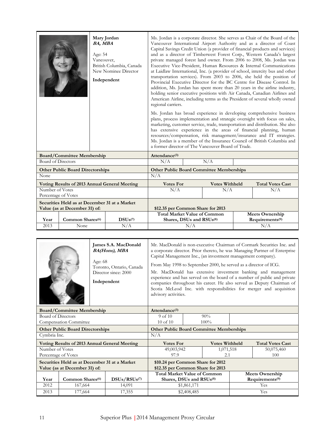|                                                                                                                                                                                                                                                                                                                                                                                                                                            |                                                                                | <b>BA, MBA</b><br>Age: 54<br>Vancouver, | Mary Jordan<br>British Columbia, Canada<br>New Nominee Director<br>Independent | Ms. Jordan is a corporate director. She serves as Chair of the Board of the<br>Vancouver International Airport Authority and as a director of Coast<br>Capital Savings Credit Union (a provider of financial products and services)<br>and as a director of Timberwest Forest Corp., Western Canada's largest<br>private managed forest land owner. From 2006 to 2008, Ms. Jordan was<br>Executive Vice-President, Human Resources & Internal Communications<br>at Laidlaw International, Inc. (a provider of school, intercity bus and other<br>transportation services). From 2003 to 2006, she held the position of<br>Provincial Executive Director for the BC Centre for Disease Control. In<br>addition, Ms. Jordan has spent more than 20 years in the airline industry,<br>holding senior executive positions with Air Canada, Canadian Airlines and<br>American Airline, including terms as the President of several wholly owned<br>regional carriers.<br>Ms. Jordan has broad experience in developing comprehensive business |     |                       |                                                       |                         |  |
|--------------------------------------------------------------------------------------------------------------------------------------------------------------------------------------------------------------------------------------------------------------------------------------------------------------------------------------------------------------------------------------------------------------------------------------------|--------------------------------------------------------------------------------|-----------------------------------------|--------------------------------------------------------------------------------|------------------------------------------------------------------------------------------------------------------------------------------------------------------------------------------------------------------------------------------------------------------------------------------------------------------------------------------------------------------------------------------------------------------------------------------------------------------------------------------------------------------------------------------------------------------------------------------------------------------------------------------------------------------------------------------------------------------------------------------------------------------------------------------------------------------------------------------------------------------------------------------------------------------------------------------------------------------------------------------------------------------------------------------|-----|-----------------------|-------------------------------------------------------|-------------------------|--|
| plans, process implementation and strategic oversight with focus on sales,<br>marketing, customer service, trade, transportation and distribution. She also<br>has extensive experience in the areas of financial planning, human<br>resources/compensation, risk management/insurance and IT strategies.<br>Ms. Jordan is a member of the Insurance Council of British Columbia and<br>a former director of The Vancouver Board of Trade. |                                                                                |                                         |                                                                                |                                                                                                                                                                                                                                                                                                                                                                                                                                                                                                                                                                                                                                                                                                                                                                                                                                                                                                                                                                                                                                          |     |                       |                                                       |                         |  |
|                                                                                                                                                                                                                                                                                                                                                                                                                                            | <b>Board/Committee Membership</b>                                              |                                         |                                                                                | Attendance <sup>(3)</sup>                                                                                                                                                                                                                                                                                                                                                                                                                                                                                                                                                                                                                                                                                                                                                                                                                                                                                                                                                                                                                |     |                       |                                                       |                         |  |
| <b>Board of Directors</b>                                                                                                                                                                                                                                                                                                                                                                                                                  |                                                                                |                                         |                                                                                | N/A                                                                                                                                                                                                                                                                                                                                                                                                                                                                                                                                                                                                                                                                                                                                                                                                                                                                                                                                                                                                                                      |     | N/A                   |                                                       |                         |  |
|                                                                                                                                                                                                                                                                                                                                                                                                                                            | <b>Other Public Board Directorships</b>                                        |                                         |                                                                                | <b>Other Public Board Committee Memberships</b>                                                                                                                                                                                                                                                                                                                                                                                                                                                                                                                                                                                                                                                                                                                                                                                                                                                                                                                                                                                          |     |                       |                                                       |                         |  |
| None                                                                                                                                                                                                                                                                                                                                                                                                                                       |                                                                                |                                         |                                                                                | N/A                                                                                                                                                                                                                                                                                                                                                                                                                                                                                                                                                                                                                                                                                                                                                                                                                                                                                                                                                                                                                                      |     |                       |                                                       |                         |  |
|                                                                                                                                                                                                                                                                                                                                                                                                                                            |                                                                                |                                         | Voting Results of 2013 Annual General Meeting                                  | <b>Votes For</b>                                                                                                                                                                                                                                                                                                                                                                                                                                                                                                                                                                                                                                                                                                                                                                                                                                                                                                                                                                                                                         |     | <b>Votes Withheld</b> |                                                       | <b>Total Votes Cast</b> |  |
| Number of Votes<br>Percentage of Votes                                                                                                                                                                                                                                                                                                                                                                                                     |                                                                                |                                         |                                                                                | N/A                                                                                                                                                                                                                                                                                                                                                                                                                                                                                                                                                                                                                                                                                                                                                                                                                                                                                                                                                                                                                                      |     | N/A                   |                                                       | N/A                     |  |
|                                                                                                                                                                                                                                                                                                                                                                                                                                            | Securities Held as at December 31 at a Market<br>Value (as at December 31) of: |                                         | \$12.35 per Common Share for 2013                                              |                                                                                                                                                                                                                                                                                                                                                                                                                                                                                                                                                                                                                                                                                                                                                                                                                                                                                                                                                                                                                                          |     |                       |                                                       |                         |  |
| Year                                                                                                                                                                                                                                                                                                                                                                                                                                       | Common Shares <sup>(6)</sup>                                                   |                                         | DSUs(7)                                                                        | <b>Total Market Value of Common</b><br>Shares, DSUs and RSUs(8)                                                                                                                                                                                                                                                                                                                                                                                                                                                                                                                                                                                                                                                                                                                                                                                                                                                                                                                                                                          |     |                       | <b>Meets Ownership</b><br>Requirements <sup>(9)</sup> |                         |  |
| 2013                                                                                                                                                                                                                                                                                                                                                                                                                                       | None                                                                           |                                         | N/A                                                                            |                                                                                                                                                                                                                                                                                                                                                                                                                                                                                                                                                                                                                                                                                                                                                                                                                                                                                                                                                                                                                                          | N/A |                       |                                                       | N/A                     |  |

|                                   |                                                                                | Age: 68          | James S.A. MacDonald<br><b>BA(Hons), MBA</b><br>Toronto, Ontario, Canada<br>Director since: 2000<br>Independent | Mr. MacDonald is non-executive Chairman of Cormark Securities Inc. and<br>a corporate director. Prior thereto, he was Managing Partner of Enterprise<br>Capital Management Inc., (an investment management company).<br>From May 1998 to September 2000, he served as a director of ICG.<br>Mr. MacDonald has extensive investment banking and management<br>experience and has served on the board of a number of public and private<br>companies throughout his career. He also served as Deputy Chairman of<br>Scotia McLeod Inc. with responsibilities for merger and acquisition<br>advisory activities. |             |                       |     |                             |  |
|-----------------------------------|--------------------------------------------------------------------------------|------------------|-----------------------------------------------------------------------------------------------------------------|---------------------------------------------------------------------------------------------------------------------------------------------------------------------------------------------------------------------------------------------------------------------------------------------------------------------------------------------------------------------------------------------------------------------------------------------------------------------------------------------------------------------------------------------------------------------------------------------------------------|-------------|-----------------------|-----|-----------------------------|--|
| <b>Board/Committee Membership</b> |                                                                                | Attendance $(3)$ |                                                                                                                 |                                                                                                                                                                                                                                                                                                                                                                                                                                                                                                                                                                                                               |             |                       |     |                             |  |
| Board of Directors                |                                                                                |                  |                                                                                                                 | 9 <sub>of</sub> 10                                                                                                                                                                                                                                                                                                                                                                                                                                                                                                                                                                                            |             | 90%                   |     |                             |  |
|                                   | Compensation Committee                                                         |                  |                                                                                                                 | $10$ of $10$<br>$100\%$                                                                                                                                                                                                                                                                                                                                                                                                                                                                                                                                                                                       |             |                       |     |                             |  |
|                                   | <b>Other Public Board Directorships</b>                                        |                  |                                                                                                                 | <b>Other Public Board Committee Memberships</b>                                                                                                                                                                                                                                                                                                                                                                                                                                                                                                                                                               |             |                       |     |                             |  |
| Cymbria Inc.                      |                                                                                |                  |                                                                                                                 | N/A                                                                                                                                                                                                                                                                                                                                                                                                                                                                                                                                                                                                           |             |                       |     |                             |  |
|                                   |                                                                                |                  | Voting Results of 2013 Annual General Meeting                                                                   | <b>Votes For</b>                                                                                                                                                                                                                                                                                                                                                                                                                                                                                                                                                                                              |             | <b>Votes Withheld</b> |     | <b>Total Votes Cast</b>     |  |
| Number of Votes                   |                                                                                |                  |                                                                                                                 | 49,003,942                                                                                                                                                                                                                                                                                                                                                                                                                                                                                                                                                                                                    |             | 1,071,518             |     | 50,075,460                  |  |
|                                   | Percentage of Votes                                                            |                  |                                                                                                                 | 97.9                                                                                                                                                                                                                                                                                                                                                                                                                                                                                                                                                                                                          |             | 2.1                   |     | 100                         |  |
|                                   | Securities Held as at December 31 at a Market<br>Value (as at December 31) of: |                  |                                                                                                                 | \$10.24 per Common Share for 2012<br>\$12.35 per Common Share for 2013                                                                                                                                                                                                                                                                                                                                                                                                                                                                                                                                        |             |                       |     |                             |  |
|                                   |                                                                                |                  |                                                                                                                 | <b>Total Market Value of Common</b>                                                                                                                                                                                                                                                                                                                                                                                                                                                                                                                                                                           |             |                       |     | <b>Meets Ownership</b>      |  |
| Year                              | Common Shares <sup>(6)</sup>                                                   |                  | DSUs/RSUs <sup>(7)</sup>                                                                                        | Shares, DSUs and RSUs(8)                                                                                                                                                                                                                                                                                                                                                                                                                                                                                                                                                                                      |             |                       |     | Requirements <sup>(9)</sup> |  |
| 2012                              | 167,664                                                                        |                  | 14,091                                                                                                          | \$1,861,171                                                                                                                                                                                                                                                                                                                                                                                                                                                                                                                                                                                                   |             |                       | Yes |                             |  |
| 2013                              | 177,664                                                                        |                  | 17,355                                                                                                          |                                                                                                                                                                                                                                                                                                                                                                                                                                                                                                                                                                                                               | \$2,408,485 |                       |     | Yes                         |  |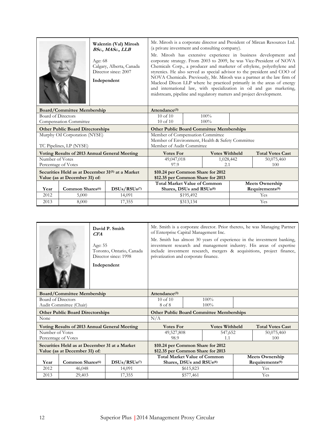|                                   |                                         | Age: 68 | Walentin (Val) Mirosh<br>BSc., MASc., LLB<br>Calgary, Alberta, Canada<br>Director since: 2007<br>Independent | Mr. Mirosh is a corporate director and President of Mircan Resources Ltd.<br>(a private investment and consulting company).<br>Mr. Mirosh has extensive experience in business development and<br>corporate strategy. From 2003 to 2009, he was Vice-President of NOVA<br>Chemicals Corp., a producer and marketer of ethylene, polyethylene and<br>styrenics. He also served as special advisor to the president and COO of<br>NOVA Chemicals. Previously, Mr. Mirosh was a partner at the law firm of<br>Macleod Dixon LLP where he practiced primarily in the areas of energy<br>and international law, with specialization in oil and gas marketing,<br>midstream, pipeline and regulatory matters and project development. |           |                       |  |                             |
|-----------------------------------|-----------------------------------------|---------|--------------------------------------------------------------------------------------------------------------|---------------------------------------------------------------------------------------------------------------------------------------------------------------------------------------------------------------------------------------------------------------------------------------------------------------------------------------------------------------------------------------------------------------------------------------------------------------------------------------------------------------------------------------------------------------------------------------------------------------------------------------------------------------------------------------------------------------------------------|-----------|-----------------------|--|-----------------------------|
| <b>Board/Committee Membership</b> |                                         |         | Attendance $(3)$                                                                                             |                                                                                                                                                                                                                                                                                                                                                                                                                                                                                                                                                                                                                                                                                                                                 |           |                       |  |                             |
| <b>Board of Directors</b>         |                                         |         | $10$ of $10$                                                                                                 |                                                                                                                                                                                                                                                                                                                                                                                                                                                                                                                                                                                                                                                                                                                                 | $100\%$   |                       |  |                             |
|                                   | <b>Compensation Committee</b>           |         |                                                                                                              | $10$ of $10$<br>100%                                                                                                                                                                                                                                                                                                                                                                                                                                                                                                                                                                                                                                                                                                            |           |                       |  |                             |
|                                   | <b>Other Public Board Directorships</b> |         |                                                                                                              | <b>Other Public Board Committee Memberships</b>                                                                                                                                                                                                                                                                                                                                                                                                                                                                                                                                                                                                                                                                                 |           |                       |  |                             |
|                                   | Murphy Oil Corporation (NYSE)           |         |                                                                                                              | Member of Compensation Committee                                                                                                                                                                                                                                                                                                                                                                                                                                                                                                                                                                                                                                                                                                |           |                       |  |                             |
|                                   |                                         |         |                                                                                                              | Member of Environment, Health & Safety Committee                                                                                                                                                                                                                                                                                                                                                                                                                                                                                                                                                                                                                                                                                |           |                       |  |                             |
|                                   | TC Pipelines, LP (NYSE)                 |         |                                                                                                              | Member of Audit Committee                                                                                                                                                                                                                                                                                                                                                                                                                                                                                                                                                                                                                                                                                                       |           |                       |  |                             |
|                                   |                                         |         | Voting Results of 2013 Annual General Meeting                                                                | <b>Votes For</b>                                                                                                                                                                                                                                                                                                                                                                                                                                                                                                                                                                                                                                                                                                                |           | <b>Votes Withheld</b> |  | <b>Total Votes Cast</b>     |
| Number of Votes                   |                                         |         |                                                                                                              | 49,047,018                                                                                                                                                                                                                                                                                                                                                                                                                                                                                                                                                                                                                                                                                                                      |           | 1,028,442             |  | 50,075,460                  |
| Percentage of Votes               |                                         |         |                                                                                                              | 97.9                                                                                                                                                                                                                                                                                                                                                                                                                                                                                                                                                                                                                                                                                                                            |           | 2.1                   |  | 100                         |
|                                   | Value (as at December 31) of:           |         | Securities Held as at December 31 <sup>(5)</sup> at a Market                                                 | \$10.24 per Common Share for 2012<br>\$12.35 per Common Share for 2013                                                                                                                                                                                                                                                                                                                                                                                                                                                                                                                                                                                                                                                          |           |                       |  |                             |
|                                   |                                         |         |                                                                                                              | <b>Total Market Value of Common</b>                                                                                                                                                                                                                                                                                                                                                                                                                                                                                                                                                                                                                                                                                             |           |                       |  | <b>Meets Ownership</b>      |
| Year                              | Common Shares <sup>(6)</sup>            |         | $DSUs/RSUs$ <sup>(7)</sup>                                                                                   | Shares, DSUs and RSUs(8)                                                                                                                                                                                                                                                                                                                                                                                                                                                                                                                                                                                                                                                                                                        |           |                       |  | Requirements <sup>(9)</sup> |
| 2012                              | 5,000                                   |         | 14,091                                                                                                       | \$195,492<br>Yes                                                                                                                                                                                                                                                                                                                                                                                                                                                                                                                                                                                                                                                                                                                |           |                       |  |                             |
| 2013                              | 8,000                                   |         | 17,355                                                                                                       |                                                                                                                                                                                                                                                                                                                                                                                                                                                                                                                                                                                                                                                                                                                                 | \$313,134 |                       |  | Yes                         |

|                                   | CFA<br>Age: 55                                       | David P. Smith<br>Toronto, Ontario, Canada<br>Director since: 1998<br>Independent | Mr. Smith is a corporate director. Prior thereto, he was Managing Partner<br>of Enterprise Capital Management Inc.<br>Mr. Smith has almost 30 years of experience in the investment banking,<br>investment research and management industry. His areas of expertise<br>include investment research, mergers & acquisitions, project finance,<br>privatization and corporate finance. |           |                       |                        |                             |
|-----------------------------------|------------------------------------------------------|-----------------------------------------------------------------------------------|--------------------------------------------------------------------------------------------------------------------------------------------------------------------------------------------------------------------------------------------------------------------------------------------------------------------------------------------------------------------------------------|-----------|-----------------------|------------------------|-----------------------------|
| <b>Board/Committee Membership</b> |                                                      |                                                                                   | Attendance <sup>(3)</sup>                                                                                                                                                                                                                                                                                                                                                            |           |                       |                        |                             |
| <b>Board of Directors</b>         |                                                      |                                                                                   | $10$ of $10$                                                                                                                                                                                                                                                                                                                                                                         |           | $100\%$               |                        |                             |
|                                   | Audit Committee (Chair)                              |                                                                                   | 8 of 8                                                                                                                                                                                                                                                                                                                                                                               |           | 100%                  |                        |                             |
|                                   | <b>Other Public Board Directorships</b>              |                                                                                   | <b>Other Public Board Committee Memberships</b>                                                                                                                                                                                                                                                                                                                                      |           |                       |                        |                             |
| None                              |                                                      |                                                                                   | N/A                                                                                                                                                                                                                                                                                                                                                                                  |           |                       |                        |                             |
|                                   | <b>Voting Results of 2013 Annual General Meeting</b> |                                                                                   | <b>Votes For</b>                                                                                                                                                                                                                                                                                                                                                                     |           | <b>Votes Withheld</b> |                        | <b>Total Votes Cast</b>     |
| Number of Votes                   |                                                      |                                                                                   | 49,527,808                                                                                                                                                                                                                                                                                                                                                                           |           | 547,652               |                        | 50,075,460                  |
|                                   | Percentage of Votes                                  |                                                                                   | 98.9                                                                                                                                                                                                                                                                                                                                                                                 |           | 1.1                   |                        | 100                         |
|                                   | Securities Held as at December 31 at a Market        |                                                                                   | \$10.24 per Common Share for 2012                                                                                                                                                                                                                                                                                                                                                    |           |                       |                        |                             |
| Value (as at December 31) of:     |                                                      |                                                                                   | \$12.35 per Common Share for 2013                                                                                                                                                                                                                                                                                                                                                    |           |                       |                        |                             |
|                                   |                                                      |                                                                                   | <b>Total Market Value of Common</b>                                                                                                                                                                                                                                                                                                                                                  |           |                       | <b>Meets Ownership</b> |                             |
| Year                              | Common Shares <sup>(6)</sup>                         | $DSUs/RSUs$ <sup>(7)</sup>                                                        | Shares, DSUs and RSUs(8)                                                                                                                                                                                                                                                                                                                                                             |           |                       |                        | Requirements <sup>(9)</sup> |
| 2012                              | 46,048                                               | 14,091                                                                            |                                                                                                                                                                                                                                                                                                                                                                                      | \$615,823 |                       |                        | Yes                         |
| 2013                              | 29,403                                               | 17,355                                                                            |                                                                                                                                                                                                                                                                                                                                                                                      | \$577,461 |                       |                        | Yes                         |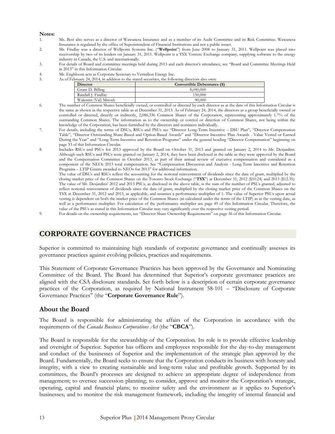#### **Notes:**

- 1. Ms. Best also serves as a director of Wawanesa Insurance and as a member of its Audit Committee and its Risk Committee. Wawanesa Insurance is regulated by the office of Superintendent of Financial Institutions and not a public issuer.
- 2. Mr. Findlay was a director of Wellpoint Systems Inc. ("**Wellpoint**") from June 2008 to January 31, 2011. Wellpoint was placed into receivership by two of its lenders on January 31, 2011. Wellpoint is a TSX Venture Exchange company, supplying software to the energy industry in Canada, the U.S. and internationally.
- 3. For details of Board and committee meetings held during 2013 and each director's attendance, see "Board and Committee Meetings Held in 2013" in this Information Circular.
- 4. Mr. Engbloom acts as Corporate Secretary to Vermilion Energy Inc.
- 5. As of February 24, 2014, in addition to the stated securities, the following directors also own:

| <b>Director</b>       | Convertible Debentures (\$) |
|-----------------------|-----------------------------|
| Grant D. Billing      | 8,040,000                   |
| Randall J. Findlav    | 150,000                     |
| Walentin (Val) Mirosh | 90.000                      |

- 6. The number of Common Shares beneficially owned, or controlled or directed by each director as at the date of this Information Circular is the same as shown in the respective table as at December 31, 2013. As of February 24, 2014, the directors as a group beneficially owned or controlled or directed, directly or indirectly, 2,086,336 Common Shares of the Corporation, representing approximately 1.7% of the outstanding Common Shares. The information as to the ownership or control or direction of Common Shares, not being within the knowledge of the Corporation, has been furnished by the directors and nominees individually.
- 7. For details, including the terms of DSUs, RSUs and PSUs see "Director Long-Term Incentive DSU Plan", "Director Compensation Table", "Director Outstanding Share-Based and Option-Based Awards" and "Director Incentive Plan Awards - Value Vested or Earned During the Year" and "Long-Term Incentive and Retention Programs" under the general heading "Director Compensation" beginning on page 33 of this Information Circular.
- 8. Includes RSUs and PSUs for 2013 approved by the Board on October 31, 2013 and granted on January 2, 2014 to Mr. Desjardins. Although such RSUs and PSUs were granted on January 2, 2014, they have been disclosed in the table as they were approved by the Board and the Compensation Committee in October 2013, as part of their annual review of executive compensation and considered as a component of the NEOs 2013 total compensation. See "Compensation Discussion and Analysis - Long-Term Incentive and Retention Programs – LTIP Grants awarded to NEOs for 2013" for additional information.

The value of DSUs and RSUs reflect the accounting for the notional reinvestment of dividends since the date of grant, multiplied by the closing market price of the Common Shares on the Toronto Stock Exchange ("**TSX**") at December 31, 2012 (\$10.24) and 2013 (\$12.35). The value of Mr. Desjardins' 2012 and 2013 PSUs, as disclosed in the above table, is the sum of the number of PSUs granted, adjusted to reflect notional reinvestment of dividends since the date of grant, multiplied by the closing market price of the Common Shares on the TSX at December 31, 2012 and 2013, as applicable, and assumes a performance multiplier of 1. The value of Superior PSUs upon actual vesting is dependent on both the market price of the Common Shares (as calculated under the terms of the LTIP) as at the vesting date, as well as a performance multiplier. For calculation of the performance multiplier see page 49 of this Information Circular. Therefore, the value of the PSUs as stated in this Information Circular may vary significantly over the respective vesting period.

9. For details on the ownership requirements, see "Director Share Ownership Requirements" on page 36 of this Information Circular.

### **CORPORATE GOVERNANCE PRACTICES**

Superior is committed to maintaining high standards of corporate governance and continually assesses its governance practices against evolving policies, practices and requirements.

This Statement of Corporate Governance Practices has been approved by the Governance and Nominating Committee of the Board. The Board has determined that Superior's corporate governance practices are aligned with the CSA disclosure standards. Set forth below is a description of certain corporate governance practices of the Corporation, as required by National Instrument 58-101 – "Disclosure of Corporate Governance Practices" (the "**Corporate Governance Rule**").

### **About the Board**

The Board is responsible for administrating the affairs of the Corporation in accordance with the requirements of the *Canada Business Corporations Act* (the "**CBCA**").

The Board is responsible for the stewardship of the Corporation. Its role is to provide effective leadership and oversight of Superior. Superior has officers and employees responsible for the day-to-day management and conduct of the businesses of Superior and the implementation of the strategic plan approved by the Board. Fundamentally, the Board seeks to ensure that the Corporation conducts its business with honesty and integrity, with a view to creating sustainable and long-term value and profitable growth. Supported by its committees, the Board's processes are designed to achieve an appropriate degree of independence from management; to oversee succession planning; to consider, approve and monitor the Corporation's strategic, operating, capital and financial plans; to monitor safety and the environment as it applies to Superior's businesses; and to monitor the risk management framework, including the integrity of internal financial and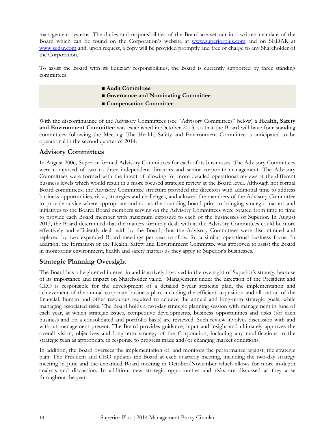management systems. The duties and responsibilities of the Board are set out in a written mandate of the Board which can be found on the Corporation's website at www.superiorplus.com and on SEDAR at www.sedar.com and, upon request, a copy will be provided promptly and free of charge to any Shareholder of the Corporation.

To assist the Board with its fiduciary responsibilities, the Board is currently supported by three standing committees.

- ■*Audit Committee*
- **■ Governance and Nominating Committee**
- **■ Compensation Committee**

With the discontinuance of the Advisory Committees (see "Advisory Committees" below) a **Health, Safety and Environment Committee** was established in October 2013, so that the Board will have four standing committees following the Meeting. The Health, Safety and Environment Committee is anticipated to be operational in the second quarter of 2014.

### **Advisory Committees**

In August 2006, Superior formed Advisory Committees for each of its businesses. The Advisory Committees were composed of two to three independent directors and senior corporate management. The Advisory Committees were formed with the intent of allowing for more detailed operational reviews at the different business levels which would result in a more focused strategic review at the Board level. Although not formal Board committees, the Advisory Committee structure provided the directors with additional time to address business opportunities, risks, strategies and challenges, and allowed the members of the Advisory Committee to provide advice where appropriate and act as the sounding board prior to bringing strategic matters and initiatives to the Board. Board members serving on the Advisory Committees were rotated from time to time to provide each Board member with maximum exposure to each of the businesses of Superior. In August 2013, the Board determined that the matters formerly dealt with at the Advisory Committees could be more effectively and efficiently dealt with by the Board; thus the Advisory Committees were discontinued and replaced by two expanded Board meetings per year to allow for a similar operational business focus. In addition, the formation of the Health, Safety and Environment Committee was approved to assist the Board in monitoring environment, health and safety matters as they apply to Superior's businesses.

### **Strategic Planning Oversight**

The Board has a heightened interest in and is actively involved in the oversight of Superior's strategy because of its importance and impact on Shareholder value. Management under the direction of the President and CEO is responsible for the development of a detailed 5-year strategic plan, the implementation and achievement of the annual corporate business plan, including the efficient acquisition and allocation of the financial, human and other resources required to achieve the annual and long-term strategic goals, while managing associated risks. The Board holds a two-day strategic planning session with management in June of each year, at which strategic issues, competitive developments, business opportunities and risks (for each business and on a consolidated and portfolio basis) are reviewed. Such review involves discussion with and without management present. The Board provides guidance, input and insight and ultimately approves the overall vision, objectives and long-term strategy of the Corporation, including any modifications to the strategic plan as appropriate in response to progress made and/or changing market conditions.

In addition, the Board oversees the implementation of, and monitors the performance against, the strategic plan. The President and CEO updates the Board at each quarterly meeting, including the two-day strategy meeting in June and the expanded Board meeting in October/November which allows for more in-depth analysis and discussion. In addition, new strategic opportunities and risks are discussed as they arise throughout the year.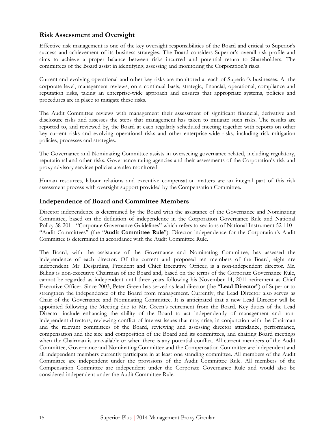### **Risk Assessment and Oversight**

Effective risk management is one of the key oversight responsibilities of the Board and critical to Superior's success and achievement of its business strategies. The Board considers Superior's overall risk profile and aims to achieve a proper balance between risks incurred and potential return to Shareholders. The committees of the Board assist in identifying, assessing and monitoring the Corporation's risks.

Current and evolving operational and other key risks are monitored at each of Superior's businesses. At the corporate level, management reviews, on a continual basis, strategic, financial, operational, compliance and reputation risks, taking an enterprise-wide approach and ensures that appropriate systems, policies and procedures are in place to mitigate these risks.

The Audit Committee reviews with management their assessment of significant financial, derivative and disclosure risks and assesses the steps that management has taken to mitigate such risks. The results are reported to, and reviewed by, the Board at each regularly scheduled meeting together with reports on other key current risks and evolving operational risks and other enterprise-wide risks, including risk mitigation policies, processes and strategies.

The Governance and Nominating Committee assists in overseeing governance related, including regulatory, reputational and other risks. Governance rating agencies and their assessments of the Corporation's risk and proxy advisory services policies are also monitored.

Human resources, labour relations and executive compensation matters are an integral part of this risk assessment process with oversight support provided by the Compensation Committee.

### **Independence of Board and Committee Members**

Director independence is determined by the Board with the assistance of the Governance and Nominating Committee, based on the definition of independence in the Corporation Governance Rule and National Policy 58-201 - "Corporate Governance Guidelines" which refers to sections of National Instrument 52-110 - "Audit Committees" (the "**Audit Committee Rule**"). Director independence for the Corporation's Audit Committee is determined in accordance with the Audit Committee Rule.

The Board, with the assistance of the Governance and Nominating Committee, has assessed the independence of each director. Of the current and proposed ten members of the Board, eight are independent. Mr. Desjardins, President and Chief Executive Officer, is a non-independent director. Mr. Billing is non-executive Chairman of the Board and, based on the terms of the Corporate Governance Rule, cannot be regarded as independent until three years following his November 14, 2011 retirement as Chief Executive Officer. Since 2003, Peter Green has served as lead director (the "**Lead Director**") of Superior to strengthen the independence of the Board from management. Currently, the Lead Director also serves as Chair of the Governance and Nominating Committee. It is anticipated that a new Lead Director will be appointed following the Meeting due to Mr. Green's retirement from the Board. Key duties of the Lead Director include enhancing the ability of the Board to act independently of management and nonindependent directors, reviewing conflict of interest issues that may arise, in conjunction with the Chairman and the relevant committees of the Board, reviewing and assessing director attendance, performance, compensation and the size and composition of the Board and its committees, and chairing Board meetings when the Chairman is unavailable or when there is any potential conflict. All current members of the Audit Committee, Governance and Nominating Committee and the Compensation Committee are independent and all independent members currently participate in at least one standing committee. All members of the Audit Committee are independent under the provisions of the Audit Committee Rule. All members of the Compensation Committee are independent under the Corporate Governance Rule and would also be considered independent under the Audit Committee Rule.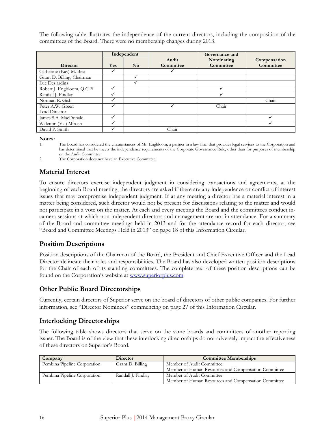The following table illustrates the independence of the current directors, including the composition of the committees of the Board. There were no membership changes during 2013.

|                                         | Independent |                |           | Governance and |              |
|-----------------------------------------|-------------|----------------|-----------|----------------|--------------|
|                                         |             |                | Audit     | Nominating     | Compensation |
| <b>Director</b>                         | <b>Yes</b>  | N <sub>o</sub> | Committee | Committee      | Committee    |
| Catherine (Kay) M. Best                 |             |                |           |                |              |
| Grant D. Billing, Chairman              |             | ✓              |           |                |              |
| Luc Desjardins                          |             | ✓              |           |                |              |
| Robert J. Engbloom, Q.C. <sup>(1)</sup> |             |                |           |                |              |
| Randall J. Findlay                      |             |                |           |                |              |
| Norman R. Gish                          |             |                |           |                | Chair        |
| Peter A.W. Green                        |             |                |           | Chair          |              |
| Lead Director                           |             |                |           |                |              |
| James S.A. MacDonald                    |             |                |           |                |              |
| Walentin (Val) Mirosh                   |             |                |           |                |              |
| David P. Smith                          |             |                | Chair     |                |              |

**Notes:** 

1. The Board has considered the circumstances of Mr. Engbloom, a partner in a law firm that provides legal services to the Corporation and has determined that he meets the independence requirements of the Corporate Governance Rule, other than for purposes of membership on the Audit Committee.

2. The Corporation does not have an Executive Committee.

### **Material Interest**

To ensure directors exercise independent judgment in considering transactions and agreements, at the beginning of each Board meeting, the directors are asked if there are any independence or conflict of interest issues that may compromise independent judgment. If at any meeting a director has a material interest in a matter being considered, such director would not be present for discussions relating to the matter and would not participate in a vote on the matter. At each and every meeting the Board and the committees conduct incamera sessions at which non-independent directors and management are not in attendance. For a summary of the Board and committee meetings held in 2013 and for the attendance record for each director, see "Board and Committee Meetings Held in 2013" on page 18 of this Information Circular.

### **Position Descriptions**

Position descriptions of the Chairman of the Board, the President and Chief Executive Officer and the Lead Director delineate their roles and responsibilities. The Board has also developed written position descriptions for the Chair of each of its standing committees. The complete text of these position descriptions can be found on the Corporation's website at www.superiorplus.com

### **Other Public Board Directorships**

Currently, certain directors of Superior serve on the board of directors of other public companies. For further information, see "Director Nominees" commencing on page 27 of this Information Circular.

### **Interlocking Directorships**

The following table shows directors that serve on the same boards and committees of another reporting issuer. The Board is of the view that these interlocking directorships do not adversely impact the effectiveness of these directors on Superior's Board.

| Company                      | <b>Director</b>    | <b>Committee Memberships</b>                         |
|------------------------------|--------------------|------------------------------------------------------|
| Pembina Pipeline Corporation | Grant D. Billing   | Member of Audit Committee                            |
|                              |                    | Member of Human Resources and Compensation Committee |
| Pembina Pipeline Corporation | Randall J. Findlay | Member of Audit Committee                            |
|                              |                    | Member of Human Resources and Compensation Committee |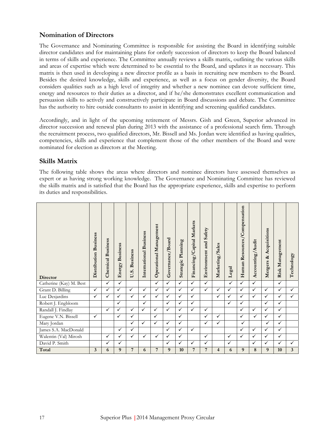### **Nomination of Directors**

The Governance and Nominating Committee is responsible for assisting the Board in identifying suitable director candidates and for maintaining plans for orderly succession of directors to keep the Board balanced in terms of skills and experience. The Committee annually reviews a skills matrix, outlining the various skills and areas of expertise which were determined to be essential to the Board, and updates it as necessary. This matrix is then used in developing a new director profile as a basis in recruiting new members to the Board. Besides the desired knowledge, skills and experience, as well as a focus on gender diversity, the Board considers qualities such as a high level of integrity and whether a new nominee can devote sufficient time, energy and resources to their duties as a director, and if he/she demonstrates excellent communication and persuasion skills to actively and constructively participate in Board discussions and debate. The Committee has the authority to hire outside consultants to assist in identifying and screening qualified candidates.

Accordingly, and in light of the upcoming retirement of Messrs. Gish and Green, Superior advanced its director succession and renewal plan during 2013 with the assistance of a professional search firm. Through the recruitment process, two qualified directors, Mr. Bissell and Ms. Jordan were identified as having qualities, competencies, skills and experience that complement those of the other members of the Board and were nominated for election as directors at the Meeting.

### **Skills Matrix**

The following table shows the areas where directors and nominee directors have assessed themselves as expert or as having strong working knowledge. The Governance and Nominating Committee has reviewed the skills matrix and is satisfied that the Board has the appropriate experience, skills and expertise to perform its duties and responsibilities.

| <b>Director</b>         | Distribution Business | <b>Chemical Business</b> | <b>Business</b><br>Energy | <b>Business</b><br>U.S. | International Business | Operational Management | Governance/Board | Planning<br>Strategic | Capital Markets<br>Financing/ | Environment and Safety | Marketing/Sales | Legal        | Resources/Compensation<br>Human | Accounting/Audit | Acquisitions<br>ಷ<br>Mergers | Risk Management | Technology     |
|-------------------------|-----------------------|--------------------------|---------------------------|-------------------------|------------------------|------------------------|------------------|-----------------------|-------------------------------|------------------------|-----------------|--------------|---------------------------------|------------------|------------------------------|-----------------|----------------|
| Catherine (Kay) M. Best |                       | $\checkmark$             | $\checkmark$              |                         |                        | ✓                      | ✓                | ✓                     | ✓                             | $\checkmark$           |                 | $\checkmark$ | ✓                               | ✓                |                              | $\checkmark$    |                |
| Grant D. Billing        | $\checkmark$          | $\checkmark$             | ✓                         | ✓                       | ✓                      | ✓                      | ✓                | ✓                     | ✓                             | $\checkmark$           | ✓               | ✓            | $\checkmark$                    | ✓                | ✓                            | ✓               | $\checkmark$   |
| Luc Desjardins          | $\checkmark$          | $\checkmark$             | ✓                         | ✓                       | ✓                      | ✓                      | ✓                | ✓                     | ✓                             |                        | $\checkmark$    | ✓            | ✓                               | ✓                | ✓                            | $\checkmark$    | $\checkmark$   |
| Robert J. Engbloom      |                       |                          | $\checkmark$              |                         | $\checkmark$           |                        | ✓                | ✓                     | ✓                             |                        |                 | $\checkmark$ | ✓                               |                  | $\checkmark$                 | $\checkmark$    |                |
| Randall J. Findlay      |                       | $\checkmark$             | ✓                         | ✓                       | ✓                      | ✓                      | ✓                | ✓                     | ✓                             | $\checkmark$           |                 |              | $\checkmark$                    | $\checkmark$     | $\checkmark$                 | $\checkmark$    |                |
| Eugene V.N. Bissell     | $\checkmark$          |                          | ✓                         | ✓                       |                        | ✓                      |                  | ✓                     |                               | $\checkmark$           | $\checkmark$    |              | $\checkmark$                    | $\checkmark$     | $\checkmark$                 | $\checkmark$    |                |
| Mary Jordan             |                       |                          |                           | ✓                       | ✓                      | ✓                      | $\checkmark$     | ✓                     |                               | $\checkmark$           | $\checkmark$    |              | $\checkmark$                    |                  | $\checkmark$                 | $\checkmark$    |                |
| James S.A. MacDonald    |                       |                          | $\checkmark$              | ✓                       |                        |                        | ✓                | ✓                     | ✓                             |                        |                 |              | ✓                               | $\checkmark$     | $\checkmark$                 | $\checkmark$    |                |
| Walentin (Val) Mirosh   |                       | $\checkmark$             | ✓                         | ✓                       | ✓                      | ✓                      | ✓                | ✓                     |                               | $\checkmark$           |                 | $\checkmark$ | ✓                               | ✓                | $\checkmark$                 | $\checkmark$    |                |
| David P. Smith          |                       | ✓                        | ✓                         |                         |                        |                        | $\checkmark$     | ✓                     | ✓                             | ✓                      |                 | ✓            |                                 | ✓                | ✓                            | ✓               | ✓              |
| Total                   | $\overline{3}$        | 6                        | 9                         | 7                       | 6                      | 7                      | 9                | 10                    | 7                             | 7                      | 4               | 6            | 9                               | 8                | 9                            | 10              | $\overline{3}$ |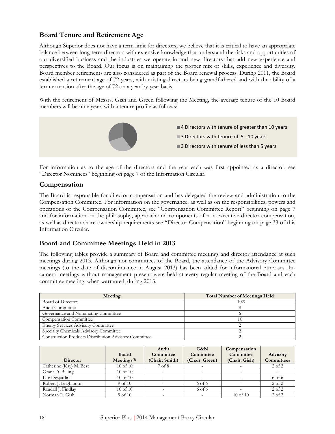# **Board Tenure and Retirement Age**

Although Superior does not have a term limit for directors, we believe that it is critical to have an appropriate balance between long-term directors with extensive knowledge that understand the risks and opportunities of our diversified business and the industries we operate in and new directors that add new experience and perspectives to the Board. Our focus is on maintaining the proper mix of skills, experience and diversity. Board member retirements are also considered as part of the Board renewal process. During 2011, the Board established a retirement age of 72 years, with existing directors being grandfathered and with the ability of a term extension after the age of 72 on a year-by-year basis.

With the retirement of Messrs. Gish and Green following the Meeting, the average tenure of the 10 Board members will be nine years with a tenure profile as follows:



For information as to the age of the directors and the year each was first appointed as a director, see "Director Nominees" beginning on page 7 of the Information Circular.

### **Compensation**

The Board is responsible for director compensation and has delegated the review and administration to the Compensation Committee. For information on the governance, as well as on the responsibilities, powers and operations of the Compensation Committee, see "Compensation Committee Report" beginning on page 7 and for information on the philosophy, approach and components of non-executive director compensation, as well as director share-ownership requirements see "Director Compensation" beginning on page 33 of this Information Circular.

### **Board and Committee Meetings Held in 2013**

The following tables provide a summary of Board and committee meetings and director attendance at such meetings during 2013. Although not committees of the Board, the attendance of the Advisory Committee meetings (to the date of discontinuance in August 2013) has been added for informational purposes. Incamera meetings without management present were held at every regular meeting of the Board and each committee meeting, when warranted, during 2013.

| Meeting                                                      | <b>Total Number of Meetings Held</b> |
|--------------------------------------------------------------|--------------------------------------|
| Board of Directors                                           | $10^{(1)}$                           |
| Audit Committee                                              |                                      |
| Governance and Nominating Committee                          |                                      |
| Compensation Committee                                       | 10                                   |
| <b>Energy Services Advisory Committee</b>                    |                                      |
| Specialty Chemicals Advisory Committee                       |                                      |
| <b>Construction Products Distribution Advisory Committee</b> |                                      |

| <b>Director</b>         | <b>Board</b><br>Mectings <sup>(1)</sup> | Audit<br>Committee<br>(Chair: Smith) | G&N<br>Committee<br>(Chair: Green) | Compensation<br>Committee<br>(Chair: Gish) | Advisory<br><b>Committees</b> |
|-------------------------|-----------------------------------------|--------------------------------------|------------------------------------|--------------------------------------------|-------------------------------|
| Catherine (Kay) M. Best | $10$ of $10$                            | 7 of 8                               |                                    |                                            | $2$ of $2$                    |
| Grant D. Billing        | $10$ of $10$                            | $\overline{\phantom{0}}$             |                                    |                                            |                               |
| Luc Desjardins          | $10$ of $10$                            |                                      |                                    |                                            | 6 of 6                        |
| Robert J. Engbloom      | $9$ of $10$                             |                                      | $6$ of $6$                         |                                            | $2$ of $2$                    |
| Randall J. Findlay      | $10$ of $10$                            | $\overline{\phantom{0}}$             | $6$ of $6$                         |                                            | $2$ of $2$                    |
| Norman R. Gish          | $9$ of $10$                             | $\overline{\phantom{0}}$             |                                    | $10$ of $10$                               | $2$ of $2$                    |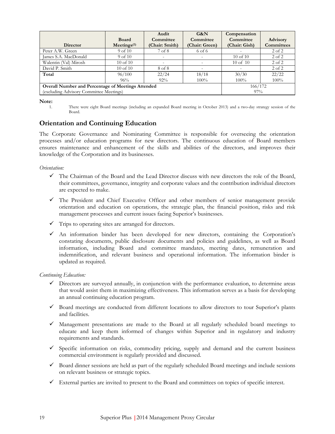|                                                    |                                         | Audit          | G&N                      | Compensation  |                   |
|----------------------------------------------------|-----------------------------------------|----------------|--------------------------|---------------|-------------------|
|                                                    | <b>Board</b>                            | Committee      | Committee                | Committee     | <b>Advisory</b>   |
| <b>Director</b>                                    | $M$ eetings <sup><math>(1)</math></sup> | (Chair: Smith) | (Chair: Green)           | (Chair: Gish) | <b>Committees</b> |
| Peter A.W. Green                                   | $9$ of $10$                             | 7 of 8         | 6 of 6                   |               | $2$ of $2$        |
| James S.A. MacDonald                               | $9$ of $10$                             | $\overline{a}$ |                          | $10$ of $10$  | $2$ of $2$        |
| Walentin (Val) Mirosh                              | $10$ of $10$                            |                |                          | $10$ of $10$  | $2$ of $2$        |
| David P. Smith                                     | $10$ of $10$                            | 8 of 8         | $\overline{\phantom{0}}$ |               | $2$ of $2$        |
| Total                                              | 96/100                                  | 22/24          | 18/18                    | 30/30         | 22/22             |
|                                                    | 96%                                     | $92\%$         | $100\%$                  | $100\%$       | $100\%$           |
| Overall Number and Percentage of Meetings Attended | 166/172                                 |                |                          |               |                   |
| (excluding Advisory Committee Meetings)            | 97%                                     |                |                          |               |                   |

**Note:** 

1. There were eight Board meetings (including an expanded Board meeting in October 2013) and a two-day strategy session of the Board.

### **Orientation and Continuing Education**

The Corporate Governance and Nominating Committee is responsible for overseeing the orientation processes and/or education programs for new directors. The continuous education of Board members ensures maintenance and enhancement of the skills and abilities of the directors, and improves their knowledge of the Corporation and its businesses.

#### *Orientation:*

- $\checkmark$  The Chairman of the Board and the Lead Director discuss with new directors the role of the Board, their committees, governance, integrity and corporate values and the contribution individual directors are expected to make.
- The President and Chief Executive Officer and other members of senior management provide orientation and education on operations, the strategic plan, the financial position, risks and risk management processes and current issues facing Superior's businesses.
- $\checkmark$  Trips to operating sites are arranged for directors.
- An information binder has been developed for new directors, containing the Corporation's constating documents, public disclosure documents and policies and guidelines, as well as Board information, including Board and committee mandates, meeting dates, remuneration and indemnification, and relevant business and operational information. The information binder is updated as required.

#### *Continuing Education:*

- $\checkmark$  Directors are surveyed annually, in conjunction with the performance evaluation, to determine areas that would assist them in maximizing effectiveness. This information serves as a basis for developing an annual continuing education program.
- $\checkmark$  Board meetings are conducted from different locations to allow directors to tour Superior's plants and facilities.
- $\checkmark$  Management presentations are made to the Board at all regularly scheduled board meetings to educate and keep them informed of changes within Superior and in regulatory and industry requirements and standards.
- $\checkmark$  Specific information on risks, commodity pricing, supply and demand and the current business commercial environment is regularly provided and discussed.
- $\checkmark$  Board dinner sessions are held as part of the regularly scheduled Board meetings and include sessions on relevant business or strategic topics.
- $\checkmark$  External parties are invited to present to the Board and committees on topics of specific interest.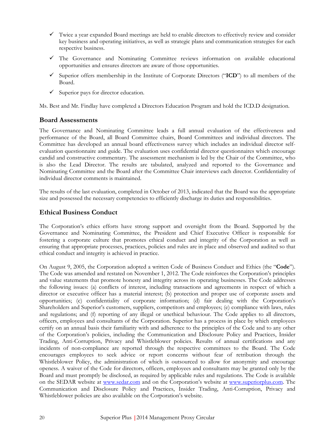- $\checkmark$  Twice a year expanded Board meetings are held to enable directors to effectively review and consider key business and operating initiatives, as well as strategic plans and communication strategies for each respective business.
- $\checkmark$  The Governance and Nominating Committee reviews information on available educational opportunities and ensures directors are aware of those opportunities.
- Superior offers membership in the Institute of Corporate Directors ("**ICD**") to all members of the Board.
- $\checkmark$  Superior pays for director education.

Ms. Best and Mr. Findlay have completed a Directors Education Program and hold the ICD.D designation.

### **Board Assessments**

The Governance and Nominating Committee leads a full annual evaluation of the effectiveness and performance of the Board, all Board Committee chairs, Board Committees and individual directors. The Committee has developed an annual board effectiveness survey which includes an individual director selfevaluation questionnaire and guide. The evaluation uses confidential director questionnaires which encourage candid and constructive commentary. The assessment mechanism is led by the Chair of the Committee, who is also the Lead Director. The results are tabulated, analyzed and reported to the Governance and Nominating Committee and the Board after the Committee Chair interviews each director. Confidentiality of individual director comments is maintained.

The results of the last evaluation, completed in October of 2013, indicated that the Board was the appropriate size and possessed the necessary competencies to efficiently discharge its duties and responsibilities.

### **Ethical Business Conduct**

The Corporation's ethics efforts have strong support and oversight from the Board. Supported by the Governance and Nominating Committee, the President and Chief Executive Officer is responsible for fostering a corporate culture that promotes ethical conduct and integrity of the Corporation as well as ensuring that appropriate processes, practices, policies and rules are in place and observed and audited so that ethical conduct and integrity is achieved in practice.

On August 9, 2005, the Corporation adopted a written Code of Business Conduct and Ethics (the "**Code**"). The Code was amended and restated on November 1, 2012. The Code reinforces the Corporation's principles and value statements that promote honesty and integrity across its operating businesses. The Code addresses the following issues: (a) conflicts of interest, including transactions and agreements in respect of which a director or executive officer has a material interest; (b) protection and proper use of corporate assets and opportunities; (c) confidentiality of corporate information; (d) fair dealing with the Corporation's Shareholders and Superior's customers, suppliers, competitors and employees; (e) compliance with laws, rules and regulations; and (f) reporting of any illegal or unethical behaviour. The Code applies to all directors, officers, employees and consultants of the Corporation. Superior has a process in place by which employees certify on an annual basis their familiarity with and adherence to the principles of the Code and to any other of the Corporation's policies, including the Communication and Disclosure Policy and Practices, Insider Trading, Anti-Corruption, Privacy and Whistleblower policies. Results of annual certifications and any incidents of non-compliance are reported through the respective committees to the Board. The Code encourages employees to seek advice or report concerns without fear of retribution through the Whistleblower Policy, the administration of which is outsourced to allow for anonymity and encourage openess. A waiver of the Code for directors, officers, employees and consultants may be granted only by the Board and must promptly be disclosed, as required by applicable rules and regulations. The Code is available on the SEDAR website at www.sedar.com and on the Corporation's website at www.superiorplus.com. The Communication and Disclosure Policy and Practices, Insider Trading, Anti-Corruption, Privacy and Whistleblower policies are also available on the Corporation's website.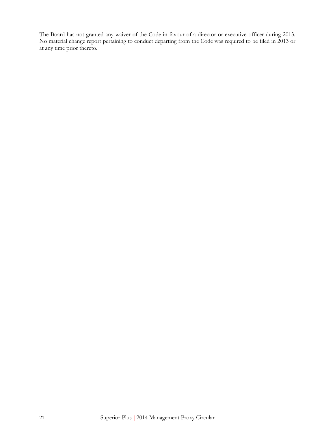The Board has not granted any waiver of the Code in favour of a director or executive officer during 2013. No material change report pertaining to conduct departing from the Code was required to be filed in 2013 or at any time prior thereto.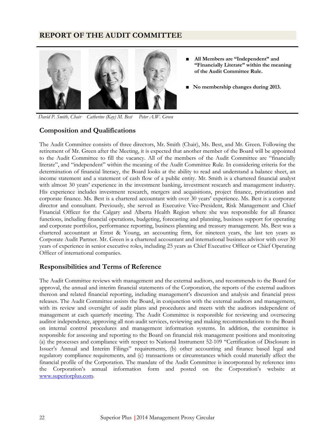### **REPORT OF THE AUDIT COMMITTEE**



- **■ All Members are "Independent" and "Financially Literate" within the meaning of the Audit Committee Rule.**
- **■ No membership changes during 2013.**

 *David P. Smith, Chair Catherine (Kay) M. Best Peter A.W. Green* 

## **Composition and Qualifications**

The Audit Committee consists of three directors, Mr. Smith (Chair), Ms. Best, and Mr. Green. Following the retirement of Mr. Green after the Meeting, it is expected that another member of the Board will be appointed to the Audit Committee to fill the vacancy. All of the members of the Audit Committee are "financially literate", and "independent" within the meaning of the Audit Committee Rule. In considering criteria for the determination of financial literacy, the Board looks at the ability to read and understand a balance sheet, an income statement and a statement of cash flow of a public entity. Mr. Smith is a chartered financial analyst with almost 30 years' experience in the investment banking, investment research and management industry. His experience includes investment research, mergers and acquisitions, project finance, privatization and corporate finance. Ms. Best is a chartered accountant with over 30 years' experience. Ms. Best is a corporate director and consultant. Previously, she served as Executive Vice-President, Risk Management and Chief Financial Officer for the Calgary and Alberta Health Region where she was responsible for all finance functions, including financial operations, budgeting, forecasting and planning, business support for operating and corporate portfolios, performance reporting, business planning and treasury management. Ms. Best was a chartered accountant at Ernst & Young, an accounting firm, for nineteen years, the last ten years as Corporate Audit Partner. Mr. Green is a chartered accountant and international business advisor with over 30 years of experience in senior executive roles, including 25 years as Chief Executive Officer or Chief Operating Officer of international companies.

### **Responsibilities and Terms of Reference**

The Audit Committee reviews with management and the external auditors, and recommends to the Board for approval, the annual and interim financial statements of the Corporation, the reports of the external auditors thereon and related financial reporting, including management's discussion and analysis and financial press releases. The Audit Committee assists the Board, in conjunction with the external auditors and management, with its review and oversight of audit plans and procedures and meets with the auditors independent of management at each quarterly meeting. The Audit Committee is responsible for reviewing and overseeing auditor independence, approving all non-audit services, reviewing and making recommendations to the Board on internal control procedures and management information systems. In addition, the committee is responsible for assessing and reporting to the Board on financial risk management positions and monitoring (a) the processes and compliance with respect to National Instrument 52-109 "Certification of Disclosure in Issuer's Annual and Interim Filings" requirements, (b) other accounting and finance based legal and regulatory compliance requirements, and (c) transactions or circumstances which could materially affect the financial profile of the Corporation. The mandate of the Audit Committee is incorporated by reference into the Corporation's annual information form and posted on the Corporation's website at www.superiorplus.com.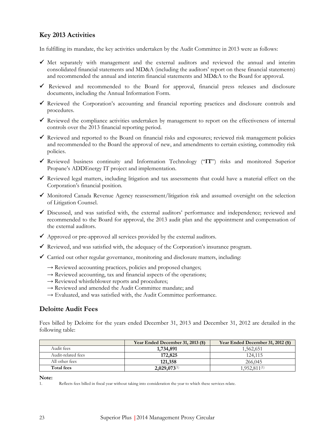# **Key 2013 Activities**

In fulfilling its mandate, the key activities undertaken by the Audit Committee in 2013 were as follows:

- $\checkmark$  Met separately with management and the external auditors and reviewed the annual and interim consolidated financial statements and MD&A (including the auditors' report on these financial statements) and recommended the annual and interim financial statements and MD&A to the Board for approval.
- Reviewed and recommended to the Board for approval, financial press releases and disclosure documents, including the Annual Information Form.
- $\checkmark$  Reviewed the Corporation's accounting and financial reporting practices and disclosure controls and procedures.
- Reviewed the compliance activities undertaken by management to report on the effectiveness of internal controls over the 2013 financial reporting period.
- $\checkmark$  Reviewed and reported to the Board on financial risks and exposures; reviewed risk management policies and recommended to the Board the approval of new, and amendments to certain existing, commodity risk policies.
- Reviewed business continuity and Information Technology ("**IT**") risks and monitored Superior Propane's ADDEnergy IT project and implementation.
- $\checkmark$  Reviewed legal matters, including litigation and tax assessments that could have a material effect on the Corporation's financial position.
- Monitored Canada Revenue Agency reassessment/litigation risk and assumed oversight on the selection of Litigation Counsel.
- Discussed, and was satisfied with, the external auditors' performance and independence; reviewed and recommended to the Board for approval, the 2013 audit plan and the appointment and compensation of the external auditors.
- $\blacklozenge$  Approved or pre-approved all services provided by the external auditors.
- Reviewed, and was satisfied with, the adequacy of the Corporation's insurance program.
- $\checkmark$  Carried out other regular governance, monitoring and disclosure matters, including:
	- $\rightarrow$  Reviewed accounting practices, policies and proposed changes;
	- $\rightarrow$  Reviewed accounting, tax and financial aspects of the operations;
	- $\rightarrow$  Reviewed whistleblower reports and procedures;
	- $\rightarrow$  Reviewed and amended the Audit Committee mandate; and
	- $\rightarrow$  Evaluated, and was satisfied with, the Audit Committee performance.

### **Deloitte Audit Fees**

Fees billed by Deloitte for the years ended December 31, 2013 and December 31, 2012 are detailed in the following table:

|                    | Year Ended December 31, 2013 (\$) | Year Ended December 31, 2012 (\$) |
|--------------------|-----------------------------------|-----------------------------------|
| Audit fees         | 1,734,891                         | 1,562,651                         |
| Audit-related fees | 172,825                           | 124.115                           |
| All other fees     | 121,358                           | 266,045                           |
| Total fees         | $2,029,073^{(1)}$                 | $1.952.811^{(1)}$                 |

**Note:** 

<sup>1.</sup> Reflects fees billed in fiscal year without taking into consideration the year to which these services relate.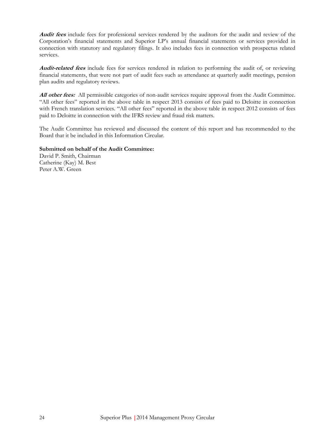**Audit fees** include fees for professional services rendered by the auditors for the audit and review of the Corporation's financial statements and Superior LP's annual financial statements or services provided in connection with statutory and regulatory filings. It also includes fees in connection with prospectus related services.

**Audit-related fees** include fees for services rendered in relation to performing the audit of, or reviewing financial statements, that were not part of audit fees such as attendance at quarterly audit meetings, pension plan audits and regulatory reviews.

All other fees: All permissible categories of non-audit services require approval from the Audit Committee. "All other fees" reported in the above table in respect 2013 consists of fees paid to Deloitte in connection with French translation services. "All other fees" reported in the above table in respect 2012 consists of fees paid to Deloitte in connection with the IFRS review and fraud risk matters.

The Audit Committee has reviewed and discussed the content of this report and has recommended to the Board that it be included in this Information Circular.

#### **Submitted on behalf of the Audit Committee:**

David P. Smith, Chairman Catherine (Kay) M. Best Peter A.W. Green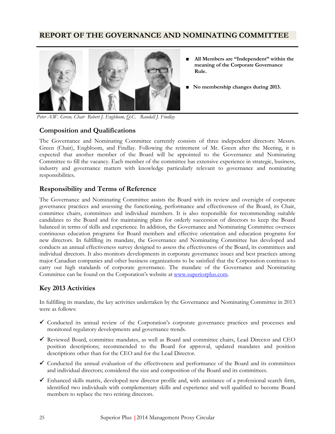# **REPORT OF THE GOVERNANCE AND NOMINATING COMMITTEE**



- **■ All Members are "Independent" within the meaning of the Corporate Governance Rule.**
- **■ No membership changes during 2013.**

 *Peter A.W. Green, Chair Robert J. Engbloom, Q.C. Randall J. Findlay* 

### **Composition and Qualifications**

The Governance and Nominating Committee currently consists of three independent directors: Messrs. Green (Chair), Engbloom, and Findlay. Following the retirement of Mr. Green after the Meeting, it is expected that another member of the Board will be appointed to the Governance and Nominating Committee to fill the vacancy. Each member of the committee has extensive experience in strategic, business, industry and governance matters with knowledge particularly relevant to governance and nominating responsibilities.

### **Responsibility and Terms of Reference**

The Governance and Nominating Committee assists the Board with its review and oversight of corporate governance practices and assessing the functioning, performance and effectiveness of the Board, its Chair, committee chairs, committees and individual members. It is also responsible for recommending suitable candidates to the Board and for maintaining plans for orderly succession of directors to keep the Board balanced in terms of skills and experience. In addition, the Governance and Nominating Committee oversees continuous education programs for Board members and effective orientation and education programs for new directors. In fulfilling its mandate, the Governance and Nominating Committee has developed and conducts an annual effectiveness survey designed to assess the effectiveness of the Board, its committees and individual directors. It also monitors developments in corporate governance issues and best practices among major Canadian companies and other business organizations to be satisfied that the Corporation continues to carry out high standards of corporate governance. The mandate of the Governance and Nominating Committee can be found on the Corporation's website at www.superiorplus.com.

### **Key 2013 Activities**

In fulfilling its mandate, the key activities undertaken by the Governance and Nominating Committee in 2013 were as follows:

- $\checkmark$  Conducted its annual review of the Corporation's corporate governance practices and processes and monitored regulatory developments and governance trends.
- Reviewed Board, committee mandates, as well as Board and committee chairs, Lead Director and CEO position descriptions; recommended to the Board for approval, updated mandates and position descriptions other than for the CEO and for the Lead Director.
- $\checkmark$  Conducted the annual evaluation of the effectiveness and performance of the Board and its committees and individual directors; considered the size and composition of the Board and its committees.
- Enhanced skills matrix, developed new director profile and, with assistance of a professional search firm, identified two individuals with complementary skills and experience and well qualified to become Board members to replace the two retiring directors.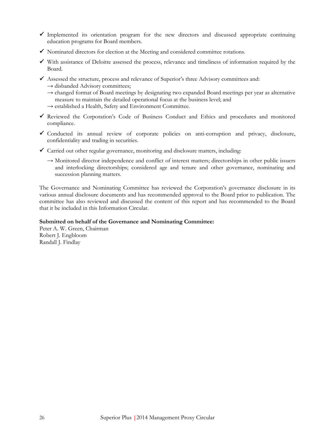- $\checkmark$  Implemented its orientation program for the new directors and discussed appropriate continuing education programs for Board members.
- $\checkmark$  Nominated directors for election at the Meeting and considered committee rotations.
- $\checkmark$  With assistance of Deloitte assessed the process, relevance and timeliness of information required by the Board.
- $\checkmark$  Assessed the structure, process and relevance of Superior's three Advisory committees and:  $\rightarrow$  disbanded Advisory committees;
	- $\rightarrow$  changed format of Board meetings by designating two expanded Board meetings per year as alternative measure to maintain the detailed operational focus at the business level; and
	- → established a Health, Safety and Environment Committee.
- Reviewed the Corporation's Code of Business Conduct and Ethics and procedures and monitored compliance.
- Conducted its annual review of corporate policies on anti-corruption and privacy, disclosure, confidentiality and trading in securities.
- $\checkmark$  Carried out other regular governance, monitoring and disclosure matters, including:
	- → Monitored director independence and conflict of interest matters; directorships in other public issuers and interlocking directorships; considered age and tenure and other governance, nominating and succession planning matters.

The Governance and Nominating Committee has reviewed the Corporation's governance disclosure in its various annual disclosure documents and has recommended approval to the Board prior to publication. The committee has also reviewed and discussed the content of this report and has recommended to the Board that it be included in this Information Circular.

#### **Submitted on behalf of the Governance and Nominating Committee:**

Peter A. W. Green, Chairman Robert J. Engbloom Randall J. Findlay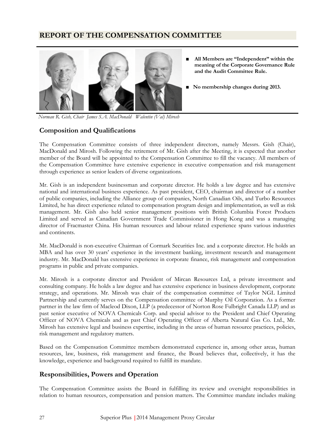# **REPORT OF THE COMPENSATION COMMITTEE**



- **■ All Members are "Independent" within the meaning of the Corporate Governance Rule and the Audit Committee Rule.**
- No membership changes during 2013.

 *Norman R. Gish, Chair James S.A. MacDonald Walentin (Val) Mirosh* 

### **Composition and Qualifications**

The Compensation Committee consists of three independent directors, namely Messrs. Gish (Chair), MacDonald and Mirosh. Following the retirement of Mr. Gish after the Meeting, it is expected that another member of the Board will be appointed to the Compensation Committee to fill the vacancy. All members of the Compensation Committee have extensive experience in executive compensation and risk management through experience as senior leaders of diverse organizations.

Mr. Gish is an independent businessman and corporate director. He holds a law degree and has extensive national and international business experience. As past president, CEO, chairman and director of a number of public companies, including the Alliance group of companies, North Canadian Oils, and Turbo Resources Limited, he has direct experience related to compensation program design and implementation, as well as risk management. Mr. Gish also held senior management positions with British Columbia Forest Products Limited and served as Canadian Government Trade Commissioner in Hong Kong and was a managing director of Fracmaster China. His human resources and labour related experience spans various industries and continents.

Mr. MacDonald is non-executive Chairman of Cormark Securities Inc. and a corporate director. He holds an MBA and has over 30 years' experience in the investment banking, investment research and management industry. Mr. MacDonald has extensive experience in corporate finance, risk management and compensation programs in public and private companies.

Mr. Mirosh is a corporate director and President of Mircan Resources Ltd, a private investment and consulting company. He holds a law degree and has extensive experience in business development, corporate strategy, and operations. Mr. Mirosh was chair of the compensation committee of Taylor NGL Limited Partnership and currently serves on the Compensation committee of Murphy Oil Corporation. As a former partner in the law firm of Macleod Dixon, LLP (a predecessor of Norton Rose Fulbright Canada LLP) and as past senior executive of NOVA Chemicals Corp. and special advisor to the President and Chief Operating Officer of NOVA Chemicals and as past Chief Operating Officer of Alberta Natural Gas Co. Ltd., Mr. Mirosh has extensive legal and business expertise, including in the areas of human resource practices, policies, risk management and regulatory matters.

Based on the Compensation Committee members demonstrated experience in, among other areas, human resources, law, business, risk management and finance, the Board believes that, collectively, it has the knowledge, experience and background required to fulfill its mandate.

### **Responsibilities, Powers and Operation**

The Compensation Committee assists the Board in fulfilling its review and oversight responsibilities in relation to human resources, compensation and pension matters. The Committee mandate includes making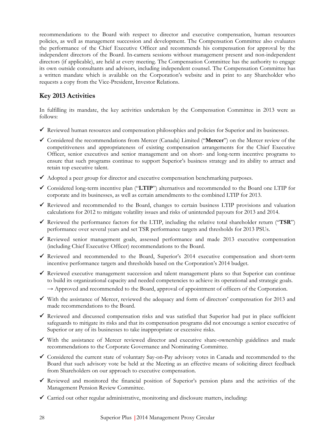recommendations to the Board with respect to director and executive compensation, human resources policies, as well as management succession and development. The Compensation Committee also evaluates the performance of the Chief Executive Officer and recommends his compensation for approval by the independent directors of the Board. In-camera sessions without management present and non-independent directors (if applicable), are held at every meeting. The Compensation Committee has the authority to engage its own outside consultants and advisors, including independent counsel. The Compensation Committee has a written mandate which is available on the Corporation's website and in print to any Shareholder who requests a copy from the Vice-President, Investor Relations.

# **Key 2013 Activities**

In fulfilling its mandate, the key activities undertaken by the Compensation Committee in 2013 were as follows:

- $\checkmark$  Reviewed human resources and compensation philosophies and policies for Superior and its businesses.
- Considered the recommendations from Mercer (Canada) Limited ("**Mercer**") on the Mercer review of the competitiveness and appropriateness of existing compensation arrangements for the Chief Executive Officer, senior executives and senior management and on short- and long-term incentive programs to ensure that such programs continue to support Superior's business strategy and its ability to attract and retain top executive talent.
- $\checkmark$  Adopted a peer group for director and executive compensation benchmarking purposes.
- Considered long-term incentive plan ("**LTIP**") alternatives and recommended to the Board one LTIP for corporate and its businesses, as well as certain amendments to the combined LTIP for 2013.
- $\checkmark$  Reviewed and recommended to the Board, changes to certain business LTIP provisions and valuation calculations for 2012 to mitigate volatility issues and risks of unintended payouts for 2013 and 2014.
- Reviewed the performance factors for the LTIP, including the relative total shareholder return ("**TSR**") performance over several years and set TSR performance targets and thresholds for 2013 PSUs.
- $\checkmark$  Reviewed senior management goals, assessed performance and made 2013 executive compensation (including Chief Executive Officer) recommendations to the Board.
- $\checkmark$  Reviewed and recommended to the Board, Superior's 2014 executive compensation and short-term incentive performance targets and thresholds based on the Corporation's 2014 budget.
- Reviewed executive management succession and talent management plans so that Superior can continue to build its organizational capacity and needed competencies to achieve its operational and strategic goals.  $\rightarrow$  Approved and recommended to the Board, approval of appointment of officers of the Corporation.
- $\checkmark$  With the assistance of Mercer, reviewed the adequacy and form of directors' compensation for 2013 and made recommendations to the Board.
- Reviewed and discussed compensation risks and was satisfied that Superior had put in place sufficient safeguards to mitigate its risks and that its compensation programs did not encourage a senior executive of Superior or any of its businesses to take inappropriate or excessive risks.
- With the assistance of Mercer reviewed director and executive share-ownership guidelines and made recommendations to the Corporate Governance and Nominating Committee.
- $\checkmark$  Considered the current state of voluntary Say-on-Pay advisory votes in Canada and recommended to the Board that such advisory vote be held at the Meeting as an effective means of soliciting direct feedback from Shareholders on our approach to executive compensation.
- Reviewed and monitored the financial position of Superior's pension plans and the activities of the Management Pension Review Committee.
- $\checkmark$  Carried out other regular administrative, monitoring and disclosure matters, including: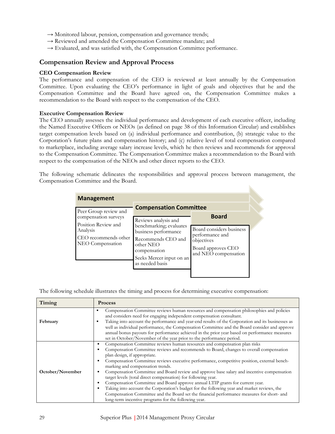- $\rightarrow$  Monitored labour, pension, compensation and governance trends;
- → Reviewed and amended the Compensation Committee mandate; and
- $\rightarrow$  Evaluated, and was satisfied with, the Compensation Committee performance.

### **Compensation Review and Approval Process**

#### **CEO Compensation Review**

The performance and compensation of the CEO is reviewed at least annually by the Compensation Committee. Upon evaluating the CEO's performance in light of goals and objectives that he and the Compensation Committee and the Board have agreed on, the Compensation Committee makes a recommendation to the Board with respect to the compensation of the CEO.

#### **Executive Compensation Review**

The CEO annually assesses the individual performance and development of each executive officer, including the Named Executive Officers or NEOs (as defined on page 38 of this Information Circular) and establishes target compensation levels based on (a) individual performance and contribution, (b) strategic value to the Corporation's future plans and compensation history; and (c) relative level of total compensation compared to marketplace, including average salary increase levels, which he then reviews and recommends for approval to the Compensation Committee. The Compensation Committee makes a recommendation to the Board with respect to the compensation of the NEOs and other direct reports to the CEO.

The following schematic delineates the responsibilities and approval process between management, the Compensation Committee and the Board.

h.

| <b>Management</b>                                                    |                                                                                                                                                   |                                                                                                         |  |
|----------------------------------------------------------------------|---------------------------------------------------------------------------------------------------------------------------------------------------|---------------------------------------------------------------------------------------------------------|--|
| Peer Group review and<br>compensation surveys<br>Position Review and | <b>Compensation Committee</b><br>Reviews analysis and                                                                                             | <b>Board</b>                                                                                            |  |
| Analysis<br>CEO recommends other<br>NEO Compensation                 | benchmarking; evaluates<br>business performance<br>Recommends CEO and<br>other NEO<br>compensation<br>Seeks Mercer input on an<br>as needed basis | Board considers business<br>performance and<br>objectives<br>Board approves CEO<br>and NEO compensation |  |

The following schedule illustrates the timing and process for determining executive compensation:

| Timing           | <b>Process</b>                                                                                                                                                                                                                                                                                                                                                                                                                                                                                                                                                                                                                                                                                                                                                                                                                                |
|------------------|-----------------------------------------------------------------------------------------------------------------------------------------------------------------------------------------------------------------------------------------------------------------------------------------------------------------------------------------------------------------------------------------------------------------------------------------------------------------------------------------------------------------------------------------------------------------------------------------------------------------------------------------------------------------------------------------------------------------------------------------------------------------------------------------------------------------------------------------------|
| February         | Compensation Committee reviews human resources and compensation philosophies and policies<br>$\blacksquare$<br>and considers need for engaging independent compensation consultant.<br>Taking into account the performance and year-end results of the Corporation and its businesses as<br>$\blacksquare$<br>well as individual performance, the Compensation Committee and the Board consider and approve<br>annual bonus payouts for performance achieved in the prior year based on performance measures<br>set in October/November of the year prior to the performance period.                                                                                                                                                                                                                                                          |
| October/November | Compensation Committee reviews human resources and compensation plan risks<br>Compensation Committee reviews and recommends to Board, changes to overall compensation<br>plan design, if appropriate.<br>Compensation Committee reviews executive performance, competitive position, external bench-<br>marking and compensation trends.<br>Compensation Committee and Board review and approve base salary and incentive compensation<br>target levels (total direct compensation) for following year.<br>Compensation Committee and Board approve annual LTIP grants for current year.<br>Taking into account the Corporation's budget for the following year and market reviews, the<br>Compensation Committee and the Board set the financial performance measures for short- and<br>long-term incentive programs for the following year. |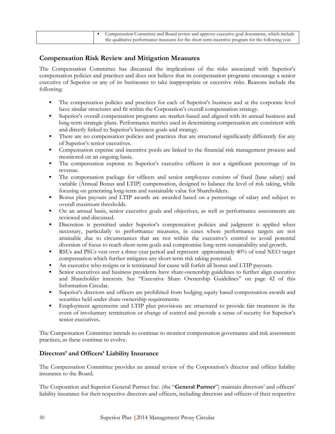|  | • Compensation Committee and Board review and approve executive goal documents, which include     |
|--|---------------------------------------------------------------------------------------------------|
|  | the qualitative performance measures for the short-term incentive program for the following year. |

### **Compensation Risk Review and Mitigation Measures**

The Compensation Committee has discussed the implications of the risks associated with Superior's compensation policies and practices and does not believe that its compensation programs encourage a senior executive of Superior or any of its businesses to take inappropriate or excessive risks. Reasons include the following:

- **•** The compensation policies and practices for each of Superior's business and at the corporate level have similar structures and fit within the Corporation's overall compensation strategy.
- Superior's overall compensation programs are market-based and aligned with its annual business and long-term strategic plans. Performance metrics used in determining compensation are consistent with and directly linked to Superior's business goals and strategy.
- **·** There are no compensation policies and practices that are structured significantly differently for any of Superior's senior executives.
- Compensation expense and incentive pools are linked to the financial risk management process and monitored on an ongoing basis.
- The compensation expense to Superior's executive officers is not a significant percentage of its revenue.
- The compensation package for officers and senior employees consists of fixed (base salary) and variable (Annual Bonus and LTIP) compensation, designed to balance the level of risk taking, while focusing on generating long-term and sustainable value for Shareholders.
- Bonus plan payouts and LTIP awards are awarded based on a percentage of salary and subject to overall maximum thresholds.
- On an annual basis, senior executive goals and objectives, as well as performance assessments are reviewed and discussed.
- Discretion is permitted under Superior's compensation policies and judgment is applied when necessary, particularly to performance measures, in cases where performance targets are not attainable due to circumstances that are not within the executive's control to avoid potential diversion of focus to reach short-term goals and compromise long-term sustainability and growth.
- RSUs and PSUs vest over a three-year period and represent approximately 40% of total NEO target compensation which further mitigates any short-term risk taking potential.
- An executive who resigns or is terminated for cause will forfeit all bonus and LTIP payouts.
- Senior executives and business presidents have share-ownership guidelines to further align executive and Shareholder interests. See "Executive Share Ownership Guidelines" on page 42 of this Information Circular.
- Superior's directors and officers are prohibited from hedging equity based compensation awards and securities held under share ownership requirements.
- Employment agreements and LTIP plan provisions are structured to provide fair treatment in the event of involuntary termination or change of control and provide a sense of security for Superior's senior executives.

The Compensation Committee intends to continue to monitor compensation governance and risk assessment practices, as these continue to evolve.

### **Directors' and Officers' Liability Insurance**

The Compensation Committee provides an annual review of the Corporation's director and officer liability insurance to the Board.

The Corporation and Superior General Partner Inc. (the "**General Partner**") maintain directors' and officers' liability insurance for their respective directors and officers, including directors and officers of their respective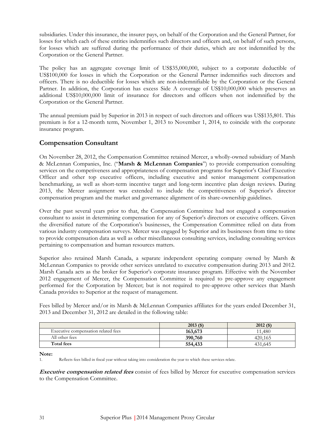subsidiaries. Under this insurance, the insurer pays, on behalf of the Corporation and the General Partner, for losses for which each of these entities indemnifies such directors and officers and, on behalf of such persons, for losses which are suffered during the performance of their duties, which are not indemnified by the Corporation or the General Partner.

The policy has an aggregate coverage limit of US\$35,000,000, subject to a corporate deductible of US\$100,000 for losses in which the Corporation or the General Partner indemnifies such directors and officers. There is no deductible for losses which are non-indemnifiable by the Corporation or the General Partner. In addition, the Corporation has excess Side A coverage of US\$10,000,000 which preserves an additional US\$10,000,000 limit of insurance for directors and officers when not indemnified by the Corporation or the General Partner.

The annual premium paid by Superior in 2013 in respect of such directors and officers was US\$135,801. This premium is for a 12-month term, November 1, 2013 to November 1, 2014, to coincide with the corporate insurance program.

### **Compensation Consultant**

On November 28, 2012, the Compensation Committee retained Mercer, a wholly-owned subsidiary of Marsh & McLennan Companies, Inc. ("**Marsh & McLennan Companies**") to provide compensation consulting services on the competiveness and appropriateness of compensation programs for Superior's Chief Executive Officer and other top executive officers, including executive and senior management compensation benchmarking, as well as short-term incentive target and long-term incentive plan design reviews. During 2013, the Mercer assignment was extended to include the competitiveness of Superior's director compensation program and the market and governance alignment of its share-ownership guidelines.

Over the past several years prior to that, the Compensation Committee had not engaged a compensation consultant to assist in determining compensation for any of Superior's directors or executive officers. Given the diversified nature of the Corporation's businesses, the Compensation Committee relied on data from various industry compensation surveys. Mercer was engaged by Superior and its businesses from time to time to provide compensation data as well as other miscellaneous consulting services, including consulting services pertaining to compensation and human resources matters.

Superior also retained Marsh Canada, a separate independent operating company owned by Marsh & McLennan Companies to provide other services unrelated to executive compensation during 2013 and 2012. Marsh Canada acts as the broker for Superior's corporate insurance program. Effective with the November 2012 engagement of Mercer, the Compensation Committee is required to pre-approve any engagement performed for the Corporation by Mercer; but is not required to pre-approve other services that Marsh Canada provides to Superior at the request of management.

Fees billed by Mercer and/or its Marsh & McLennan Companies affiliates for the years ended December 31, 2013 and December 31, 2012 are detailed in the following table:

|                                     | $2013($ \$) | $2012($ \$) |
|-------------------------------------|-------------|-------------|
| Executive compensation related fees | 163,673     | 11.480      |
| All other fees                      | 390,760     | 420.165     |
| Total fees                          | 554,433     | 431,645     |

**Note:** 

1. Reflects fees billed in fiscal year without taking into consideration the year to which these services relate.

**Executive compensation related fees** consist of fees billed by Mercer for executive compensation services to the Compensation Committee.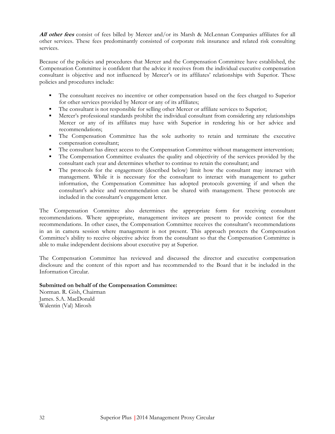**All other fees** consist of fees billed by Mercer and/or its Marsh & McLennan Companies affiliates for all other services. These fees predominantly consisted of corporate risk insurance and related risk consulting services.

Because of the policies and procedures that Mercer and the Compensation Committee have established, the Compensation Committee is confident that the advice it receives from the individual executive compensation consultant is objective and not influenced by Mercer's or its affiliates' relationships with Superior. These policies and procedures include:

- The consultant receives no incentive or other compensation based on the fees charged to Superior for other services provided by Mercer or any of its affiliates;
- The consultant is not responsible for selling other Mercer or affiliate services to Superior;
- Mercer's professional standards prohibit the individual consultant from considering any relationships Mercer or any of its affiliates may have with Superior in rendering his or her advice and recommendations;
- The Compensation Committee has the sole authority to retain and terminate the executive compensation consultant;
- **•** The consultant has direct access to the Compensation Committee without management intervention;
- **•** The Compensation Committee evaluates the quality and objectivity of the services provided by the consultant each year and determines whether to continue to retain the consultant; and
- **•** The protocols for the engagement (described below) limit how the consultant may interact with management. While it is necessary for the consultant to interact with management to gather information, the Compensation Committee has adopted protocols governing if and when the consultant's advice and recommendation can be shared with management. These protocols are included in the consultant's engagement letter.

The Compensation Committee also determines the appropriate form for receiving consultant recommendations. Where appropriate, management invitees are present to provide context for the recommendations. In other cases, the Compensation Committee receives the consultant's recommendations in an in camera session where management is not present. This approach protects the Compensation Committee's ability to receive objective advice from the consultant so that the Compensation Committee is able to make independent decisions about executive pay at Superior.

The Compensation Committee has reviewed and discussed the director and executive compensation disclosure and the content of this report and has recommended to the Board that it be included in the Information Circular.

### **Submitted on behalf of the Compensation Committee:**

Norman. R. Gish, Chairman James. S.A. MacDonald Walentin (Val) Mirosh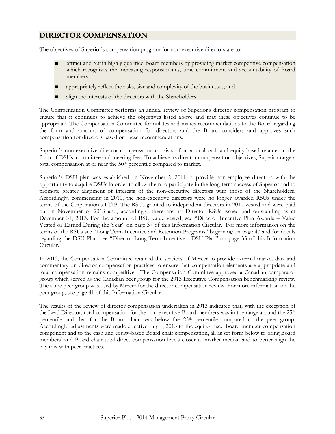## **DIRECTOR COMPENSATION**

The objectives of Superior's compensation program for non-executive directors are to:

- attract and retain highly qualified Board members by providing market competitive compensation which recognizes the increasing responsibilities, time commitment and accountability of Board members;
- appropriately reflect the risks, size and complexity of the businesses; and
- align the interests of the directors with the Shareholders.

The Compensation Committee performs an annual review of Superior's director compensation program to ensure that it continues to achieve the objectives listed above and that these objectives continue to be appropriate. The Compensation Committee formulates and makes recommendations to the Board regarding the form and amount of compensation for directors and the Board considers and approves such compensation for directors based on these recommendations.

Superior's non-executive director compensation consists of an annual cash and equity-based retainer in the form of DSUs, committee and meeting fees. To achieve its director compensation objectives, Superior targets total compensation at or near the 50<sup>th</sup> percentile compared to market.

Superior's DSU plan was established on November 2, 2011 to provide non-employee directors with the opportunity to acquire DSUs in order to allow them to participate in the long-term success of Superior and to promote greater alignment of interests of the non-executive directors with those of the Shareholders. Accordingly, commencing in 2011, the non-executive directors were no longer awarded RSUs under the terms of the Corporation's LTIP. The RSUs granted to independent directors in 2010 vested and were paid out in November of 2013 and, accordingly, there are no Director RSUs issued and outstanding as at December 31, 2013. For the amount of RSU value vested, see "Director Incentive Plan Awards – Value Vested or Earned During the Year" on page 37 of this Information Circular. For more information on the terms of the RSUs see "Long Term Incentive and Retention Programs" beginning on page 47 and for details regarding the DSU Plan, see "Director Long-Term Incentive - DSU Plan" on page 35 of this Information Circular.

In 2013, the Compensation Committee retained the services of Mercer to provide external market data and commentary on director compensation practices to ensure that compensation elements are appropriate and total compensation remains competitive. The Compensation Committee approved a Canadian comparator group which served as the Canadian peer group for the 2013 Executive Compensation benchmarking review. The same peer group was used by Mercer for the director compensation review. For more information on the peer group, see page 41 of this Information Circular.

The results of the review of director compensation undertaken in 2013 indicated that, with the exception of the Lead Director, total compensation for the non-executive Board members was in the range around the 25<sup>th</sup> percentile and that for the Board chair was below the 25<sup>th</sup> percentile compared to the peer group. Accordingly, adjustments were made effective July 1, 2013 to the equity-based Board member compensation component and to the cash and equity-based Board chair compensation, all as set forth below to bring Board members' and Board chair total direct compensation levels closer to market median and to better align the pay mix with peer practices.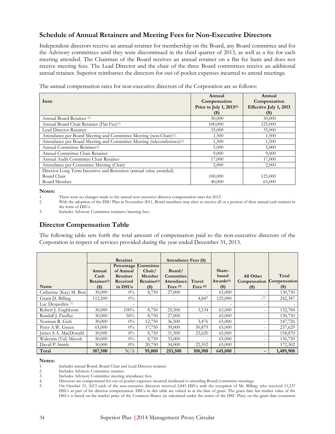## **Schedule of Annual Retainers and Meeting Fees for Non-Executive Directors**

Independent directors receive an annual retainer for membership on the Board, any Board committee and for the Advisory committees until they were discontinued in the third quarter of 2013, as well as a fee for each meeting attended. The Chairman of the Board receives an annual retainer on a flat fee basis and does not receive meeting fees. The Lead Director and the chair of the three Board committees receive an additional annual retainer. Superior reimburses the directors for out-of-pocket expenses incurred to attend meetings.

The annual compensation rates for non-executive directors of the Corporation are as follows:

|                                                                                    | Annual                               | Annual                 |
|------------------------------------------------------------------------------------|--------------------------------------|------------------------|
| Item                                                                               | Compensation                         | Compensation           |
|                                                                                    | Prior to July 1, 2013 <sup>(1)</sup> | Effective July 1, 2013 |
|                                                                                    | (5)                                  | $($ \$)                |
| Annual Board Retainer <sup>(1)</sup>                                               | 30,000                               | 30,000                 |
| Annual Board Chair Retainer (Flat Fee) <sup>(1)</sup>                              | 100,000                              | 125,000                |
| Lead Director Retainer                                                             | 35,000                               | 35,000                 |
| Attendance per Board Meeting and Committee Meeting (non-Chair) <sup>(2)</sup>      | 1,500                                | 1,500                  |
| Attendance per Board Meeting and Committee Meeting (teleconference) <sup>(2)</sup> | 1,500                                | 1,500                  |
| Annual Committee Retainer <sup>(2)</sup>                                           | 5,000                                | 5,000                  |
| Annual Committee Chair Retainer                                                    | 9,000                                | 9,000                  |
| Annual Audit Committee Chair Retainer                                              | 17,000                               | 17,000                 |
| Attendance per Committee Meeting (Chair)                                           | 2,000                                | 2,000                  |
| Director Long Term Incentive and Retention (annual value awarded)                  |                                      |                        |
| Board Chair                                                                        | 100,000                              | 125,000                |
| Board Member                                                                       | 40,000                               | 65,000                 |

#### **Notes:**

### **Director Compensation Table**

The following table sets forth the total amount of compensation paid to the non-executive directors of the Corporation in respect of services provided during the year ended December 31, 2013.

|                               | Retainer         |                     | <b>Attendance Fees (\$)</b> |            |                          |                       |              |              |
|-------------------------------|------------------|---------------------|-----------------------------|------------|--------------------------|-----------------------|--------------|--------------|
|                               |                  | Percentage          | Committee                   |            |                          |                       |              |              |
|                               | Annual           | of Annual           | Chair/                      | Board/     |                          | Share-                |              |              |
|                               | Cash             | Retainer            | Member                      | Committee  |                          | based                 | All Other    | Total        |
|                               | $Retainer^{(1)}$ | Received            | $Retainer^{(2)}$            | Attendance | Travel                   | Awards <sup>(5)</sup> | Compensation | Compensation |
| Name                          | $($)$            | in DSU <sub>s</sub> | $(\$)$                      | Fees $(3)$ | Fees $(4)$               | $(\$)$                | $(\$)$       | $(\$)$       |
| Catherine (Kay) M. Best       | 30,000           | $0\%$               | 8,750                       | 27,000     | $\overline{\phantom{a}}$ | 65,000                |              | 130,750      |
| Grant D. Billing              | 112,500          | $0\%$               | $\overline{\phantom{0}}$    |            | 4,847                    | 125,000               | (7)          | 242,347      |
| Luc Desjardins <sup>(7)</sup> |                  |                     | $\overline{\phantom{a}}$    |            |                          |                       |              |              |
| Robert J. Engbloom            | 30,000           | 100%                | 8,750                       | 25,500     | 3,534                    | 65,000                |              | 132,784      |
| Randall J. Findlay            | 30,000           | 50%                 | 8,750                       | 27,000     | $\overline{\phantom{a}}$ | 65,000                |              | 130,750      |
| Norman R. Gish                | 30,000           | $0\%$               | 12,750                      | 36,500     | 3,476                    | 65,000                |              | 147,726      |
| Peter A.W. Green              | 65,000           | $0\%$               | 17,750                      | 39,000     | 50,879                   | 65,000                |              | 237,629      |
| James S.A. MacDonald          | 30,000           | $0\%$               | 8,750                       | 31,500     | 23,620                   | 65,000                |              | 158,870      |
| Walentin (Val) Mirosh         | 30,000           | $0\%$               | 8,750                       | 33,000     |                          | 65,000                |              | 136,750      |
| David P. Smith                | 30,000           | $0\%$               | 20,750                      | 34,000     | 22,552                   | 65,000                |              | 172,302      |
| Total                         | 387,500          | N/A                 | 95,000                      | 253,500    | 108,908                  | 645,000               |              | 1,489,908    |

#### **Notes:**

1. Includes annual Board, Board Chair and Lead Director retainer.

2. Includes Advisory Committee retainer.<br>3. Includes Advisory Committee meeting

3. Includes Advisory Committee meeting attendance fees.<br>4. Directors are compensated for out-of-pocket expenses

<sup>1.</sup> There were no changes made to the annual non-executive director compensation rates for 2012.<br>2. With the adoption of the DSU Plan in November 2011. Board members may elect to receive all

<sup>2.</sup> With the adoption of the DSU Plan in November 2011, Board members may elect to receive all or a portion of their annual cash retainer in the form of DSUs.

<sup>3.</sup> Includes Advisory Committee retainers/meeting fees.

Directors are compensated for out-of-pocket expenses incurred incidental to attending Board/committee meetings.

<sup>5.</sup> On October 31, 2013 each of the non-executive directors received 5,843 DSUs with the exception of Mr. Billing, who received 11,237 DSUs as part of his director compensation. DSUs in this table are valued as at the date of grant. The grant date fair market value of the DSUs is based on the market price of the Common Shares (as calculated under the terms of the DSU Plan) on the grant date consistent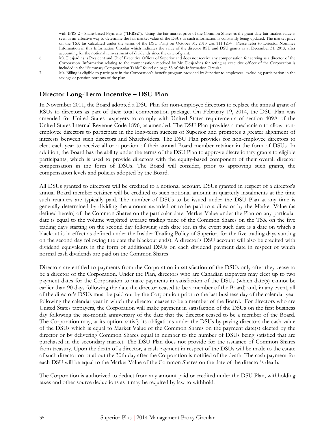with IFRS 2 – Share-based Payments ("**IFRS2**"). Using the fair market price of the Common Shares as the grant date fair market value is seen as an effective way to determine the fair market value of the DSUs as such information is constantly being updated. The market price on the TSX (as calculated under the terms of the DSU Plan) on October 31, 2013 was \$11.1234 . Please refer to Director Nominee Information in this Information Circular which indicates the value of the director RSU and DSU grants as at December 31, 2013, after accounting for the notional reinvestment of dividends since the date of grant.

- 6. Mr. Desjardins is President and Chief Executive Officer of Superior and does not receive any compensation for serving as a director of the Corporation. Information relating to the compensation received by Mr. Desjardins for acting as executive officer of the Corporation is included in the "Summary Compensation Table" found on page 53 of this Information Circular.
- 7. Mr. Billing is eligible to participate in the Corporation's benefit program provided by Superior to employees, excluding participation in the savings or pension portions of the plan.

## **Director Long-Term Incentive – DSU Plan**

In November 2011, the Board adopted a DSU Plan for non-employee directors to replace the annual grant of RSUs to directors as part of their total compensation package. On February 19, 2014, the DSU Plan was amended for United States taxpayers to comply with United States requirements of section 409A of the United States Internal Revenue Code 1896, as amended. The DSU Plan provides a mechanism to allow nonemployee directors to participate in the long-term success of Superior and promotes a greater alignment of interests between such directors and Shareholders. The DSU Plan provides for non-employee directors to elect each year to receive all or a portion of their annual Board member retainer in the form of DSUs. In addition, the Board has the ability under the terms of the DSU Plan to approve discretionary grants to eligible participants, which is used to provide directors with the equity-based component of their overall director compensation in the form of DSUs. The Board will consider, prior to approving such grants, the compensation levels and policies adopted by the Board.

All DSUs granted to directors will be credited to a notional account. DSUs granted in respect of a director's annual Board member retainer will be credited to such notional amount in quarterly instalments at the time such retainers are typically paid. The number of DSUs to be issued under the DSU Plan at any time is generally determined by dividing the amount awarded or to be paid to a director by the Market Value (as defined herein) of the Common Shares on the particular date. Market Value under the Plan on any particular date is equal to the volume weighted average trading price of the Common Shares on the TSX on the five trading days starting on the second day following such date (or, in the event such date is a date on which a blackout is in effect as defined under the Insider Trading Policy of Superior, for the five trading days starting on the second day following the date the blackout ends). A director's DSU account will also be credited with dividend equivalents in the form of additional DSUs on each dividend payment date in respect of which normal cash dividends are paid on the Common Shares.

Directors are entitled to payments from the Corporation in satisfaction of the DSUs only after they cease to be a director of the Corporation. Under the Plan, directors who are Canadian taxpayers may elect up to two payment dates for the Corporation to make payments in satisfaction of the DSUs (which date(s) cannot be earlier than 90 days following the date the director ceased to be a member of the Board) and, in any event, all of the director's DSUs must be paid out by the Corporation prior to the last business day of the calendar year following the calendar year in which the director ceases to be a member of the Board. For directors who are United States taxpayers, the Corporation will make payment in satisfaction of the DSUs on the first business day following the six-month anniversary of the date that the director ceased to be a member of the Board. The Corporation may, at its option, satisfy its obligations under the DSUs by paying directors the cash value of the DSUs which is equal to Market Value of the Common Shares on the payment date(s) elected by the director or by delivering Common Shares equal in number to the number of DSUs being satisfied that are purchased in the secondary market. The DSU Plan does not provide for the issuance of Common Shares from treasury. Upon the death of a director, a cash payment in respect of the DSUs will be made to the estate of such director on or about the 30th day after the Corporation is notified of the death. The cash payment for each DSU will be equal to the Market Value of the Common Shares on the date of the director's death.

The Corporation is authorized to deduct from any amount paid or credited under the DSU Plan, withholding taxes and other source deductions as it may be required by law to withhold.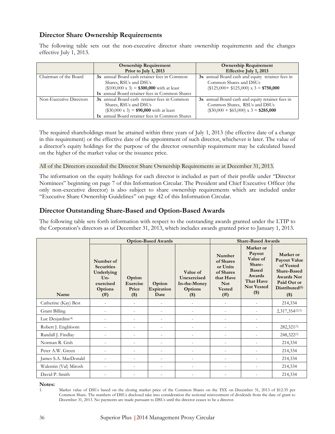### **Director Share Ownership Requirements**

The following table sets out the non-executive director share ownership requirements and the changes effective July 1, 2013.

|                         | <b>Ownership Requirement</b><br>Prior to July 1, 2013                                                                                                                             | <b>Ownership Requirement</b><br>Effective July 1, 2013                                                                           |
|-------------------------|-----------------------------------------------------------------------------------------------------------------------------------------------------------------------------------|----------------------------------------------------------------------------------------------------------------------------------|
| Chairman of the Board   | 3x annual Board cash retainer fees in Common<br>Shares, RSUs and DSUs<br>$($100,000 \times 3) = $300,000 \text{ with at least}$<br>1x annual Board retainer fees in Common Shares | 3x annual Board cash and equity retainer fees in<br>Common Shares and DSUs<br>$($125,000 + $125,000) \times 3 = $750,000$        |
| Non-Executive Directors | 3x annual Board cash retainer fees in Common<br>Shares, RSUs and DSUs<br>$(\$30,000 \times 3) = $90,000$ with at least<br>1x annual Board retainer fees in Common Shares          | 3x annual Board cash and equity retainer fees in<br>Common Shares, RSUs and DSUs<br>$(\$30,000 + \$65,000) \times 3 = \$285,000$ |

The required shareholdings must be attained within three years of July 1, 2013 (the effective date of a change in this requirement) or the effective date of the appointment of such director, whichever is later. The value of a director's equity holdings for the purpose of the director ownership requirement may be calculated based on the higher of the market value or the issuance price.

#### All of the Directors exceeded the Director Share Ownership Requirements as at December 31, 2013.

The information on the equity holdings for each director is included as part of their profile under "Director Nominees" beginning on page 7 of this Information Circular. The President and Chief Executive Officer (the only non-executive director) is also subject to share ownership requirements which are included under "Executive Share Ownership Guidelines" on page 42 of this Information Circular.

### **Director Outstanding Share-Based and Option-Based Awards**

The following table sets forth information with respect to the outstanding awards granted under the LTIP to the Corporation's directors as of December 31, 2013, which includes awards granted prior to January 1, 2013.

|                               | <b>Option-Based Awards</b>                                                                   |                                        |                              |                                                                      | <b>Share-Based Awards</b>                                                                        |                                                                                                                  |                                                                                                                                         |  |
|-------------------------------|----------------------------------------------------------------------------------------------|----------------------------------------|------------------------------|----------------------------------------------------------------------|--------------------------------------------------------------------------------------------------|------------------------------------------------------------------------------------------------------------------|-----------------------------------------------------------------------------------------------------------------------------------------|--|
| Name                          | Number of<br><b>Securities</b><br>Underlying<br>$Un-$<br>exercised<br><b>Options</b><br>(# ) | Option<br>Exercise<br>Price<br>$($ \$) | Option<br>Expiration<br>Date | Value of<br>Unexercised<br>In-the-Money<br><b>Options</b><br>$($ \$) | Number<br>of Shares<br>or Units<br>of Shares<br>that Have<br><b>Not</b><br><b>Vested</b><br>(# ) | Market or<br>Payout<br>Value of<br>Share-<br><b>Based</b><br>Awards<br>That Have<br><b>Not Vested</b><br>$($ \$) | Market or<br>Payout Value<br>of Vested<br><b>Share-Based</b><br><b>Awards Not</b><br>Paid Out or<br>Distributed <sup>(1)</sup><br>$($)$ |  |
| Catherine (Kay) Best          |                                                                                              |                                        | $\overline{a}$               |                                                                      | $\overline{a}$                                                                                   |                                                                                                                  | 214,334                                                                                                                                 |  |
| <b>Grant Billing</b>          |                                                                                              |                                        |                              |                                                                      | $\overline{\phantom{a}}$                                                                         |                                                                                                                  | 2,317,354(2)(3)                                                                                                                         |  |
| Luc Desjardins <sup>(4)</sup> |                                                                                              |                                        |                              |                                                                      |                                                                                                  |                                                                                                                  |                                                                                                                                         |  |
| Robert J. Engbloom            | $\overline{\phantom{0}}$                                                                     |                                        | $\qquad \qquad -$            |                                                                      | $\overline{\phantom{a}}$                                                                         |                                                                                                                  | 282,321(3)                                                                                                                              |  |
| Randall J. Findlay            | $\overline{a}$                                                                               | $\overline{a}$                         | $\overline{a}$               | $\overline{a}$                                                       | $\overline{a}$                                                                                   | $\overline{\phantom{a}}$                                                                                         | $248,322^{(3)}$                                                                                                                         |  |
| Norman R. Gish                |                                                                                              |                                        | $\overline{a}$               |                                                                      | $\overline{\phantom{a}}$                                                                         | $\overline{\phantom{a}}$                                                                                         | 214,334                                                                                                                                 |  |
| Peter A.W. Green              |                                                                                              |                                        | $\overline{a}$               |                                                                      |                                                                                                  |                                                                                                                  | 214,334                                                                                                                                 |  |
| James S.A. MacDonald          |                                                                                              |                                        | $\overline{a}$               |                                                                      |                                                                                                  |                                                                                                                  | 214,334                                                                                                                                 |  |
| Walentin (Val) Mirosh         |                                                                                              |                                        | $\qquad \qquad -$            |                                                                      |                                                                                                  |                                                                                                                  | 214,334                                                                                                                                 |  |
| David P. Smith                |                                                                                              |                                        |                              |                                                                      |                                                                                                  |                                                                                                                  | 214,334                                                                                                                                 |  |

#### **Notes:**

<sup>1.</sup> Market value of DSUs based on the closing market price of the Common Shares on the TSX on December 31, 2013 of \$12.35 per Common Share. The numbers of DSUs disclosed take into consideration the notional reinvestment of dividends from the date of grant to December 31, 2013. No payments are made pursuant to DSUs until the director ceases to be a director.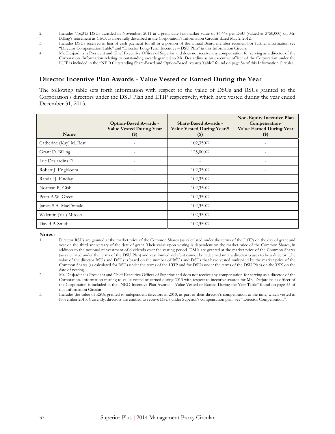- 2. Includes 116,315 DSUs awarded in November, 2011 at a grant date fair market value of \$6.448 per DSU (valued at \$750,000) on Mr. Billing's retirement as CEO, as more fully described in the Corporation's Information Circular dated May 2, 2012.
- 3. Includes DSUs received in lieu of cash payment for all or a portion of the annual Board member retainer. For further information see "Director Compensation Table" and "Director Long-Term Incentive – DSU Plan" in this Information Circular.
- 4. Mr. Desjardins is President and Chief Executive Officer of Superior and does not receive any compensation for serving as a director of the Corporation. Information relating to outstanding awards granted to Mr. Desjardins as an executive officer of the Corporation under the LTIP is included in the "NEO Outstanding Share-Based and Option-Based Awards Table" found on page 54 of this Information Circular.

### **Director Incentive Plan Awards - Value Vested or Earned During the Year**

The following table sets forth information with respect to the value of DSUs and RSUs granted to the Corporation's directors under the DSU Plan and LTIP respectively, which have vested during the year ended December 31, 2013.

| Name                          | <b>Option-Based Awards -</b><br><b>Value Vested During Year</b><br>$($ \$) | <b>Share-Based Awards -</b><br>Value Vested During Year <sup>(1)</sup><br>$(\$)$ | Non-Equity Incentive Plan<br>Compensation-<br><b>Value Earned During Year</b><br>$(\$)$ |
|-------------------------------|----------------------------------------------------------------------------|----------------------------------------------------------------------------------|-----------------------------------------------------------------------------------------|
| Catherine (Kay) M. Best       |                                                                            | $102,350^{(3)}$                                                                  |                                                                                         |
| Grant D. Billing              |                                                                            | $125,000^{(3)}$                                                                  |                                                                                         |
| Luc Desjardins <sup>(2)</sup> |                                                                            |                                                                                  |                                                                                         |
| Robert J. Engbloom            |                                                                            | $102,350^{(3)}$                                                                  |                                                                                         |
| Randall J. Findlay            |                                                                            | $102,350^{(3)}$                                                                  |                                                                                         |
| Norman R. Gish                | $\qquad \qquad -$                                                          | $102,350^{(3)}$                                                                  | $\overline{\phantom{0}}$                                                                |
| Peter A.W. Green              |                                                                            | $102,350^{(3)}$                                                                  |                                                                                         |
| James S.A. MacDonald          |                                                                            | $102,350^{(3)}$                                                                  |                                                                                         |
| Walentin (Val) Mirosh         |                                                                            | $102,350^{(3)}$                                                                  |                                                                                         |
| David P. Smith                | $\overline{\phantom{0}}$                                                   | $102,350^{(3)}$                                                                  | $\overline{\phantom{0}}$                                                                |

Notes:

- 1. Director RSUs are granted at the market price of the Common Shares (as calculated under the terms of the LTIP) on the day of grant and vest on the third anniversary of the date of grant. Their value upon vesting is dependent on the market price of the Common Shares, in addition to the notional reinvestment of dividends over the vesting period. DSUs are granted at the market price of the Common Shares (as calculated under the terms of the DSU Plan) and vest immediately but cannot be redeemed until a director ceases to be a director. The value of the director RSUs and DSUs is based on the number of RSUs and DSUs that have vested multiplied by the market price of the Common Shares (as calculated for RSUs under the terms of the LTIP and for DSUs under the terms of the DSU Plan) on the TSX on the date of vesting.
- 2. Mr. Desjardins is President and Chief Executive Officer of Superior and does not receive any compensation for serving as a director of the Corporation. Information relating to value vested or earned during 2013 with respect to incentive awards for Mr. Desjardins as officer of the Corporation is included in the "NEO Incentive Plan Awards – Value Vested or Earned During the Year Table" found on page 55 of this Information Circular.

3. Includes the value of RSUs granted to independent directors in 2010, as part of their director's compensation at the time, which vested in November 2013. Currently, directors are entitled to receive DSUs under Superior's compensation plan. See "Director Compensation".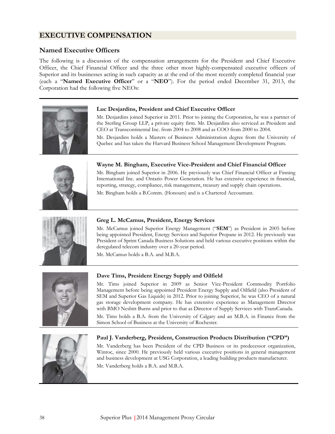### **EXECUTIVE COMPENSATION**

### **Named Executive Officers**

The following is a discussion of the compensation arrangements for the President and Chief Executive Officer, the Chief Financial Officer and the three other most highly-compensated executive officers of Superior and its businesses acting in such capacity as at the end of the most recently completed financial year (each a "**Named Executive Officer**" or a "**NEO**"). For the period ended December 31, 2013, the Corporation had the following five NEOs:



#### **Luc Desjardins, President and Chief Executive Officer**

Mr. Desjardins joined Superior in 2011. Prior to joining the Corporation, he was a partner of the Sterling Group LLP, a private equity firm. Mr. Desjardins also serviced as President and CEO at Transcontinental Inc. from 2004 to 2008 and as COO from 2000 to 2004.

Mr. Desjardins holds a Masters of Business Administration degree from the University of Quebec and has taken the Harvard Business School Management Development Program.



#### **Wayne M. Bingham, Executive Vice-President and Chief Financial Officer**

Mr. Bingham joined Superior in 2006. He previously was Chief Financial Officer at Finning International Inc. and Ontario Power Generation. He has extensive experience in financial, reporting, strategy, compliance, risk management, treasury and supply chain operations.

Mr. Bingham holds a B.Comm. (Honours) and is a Chartered Accountant.



### **Greg L. McCamus, President, Energy Services**

Mr. McCamus joined Superior Energy Management ("**SEM**") as President in 2005 before being appointed President, Energy Services and Superior Propane in 2012. He previously was President of Sprint Canada Business Solutions and held various executive positions within the deregulated telecom industry over a 20-year period.

Mr. McCamus holds a B.A. and M.B.A.



#### **Dave Tims, President Energy Supply and Oilfield**

Mr. Tims joined Superior in 2009 as Senior Vice-President Commodity Portfolio Management before being appointed President Energy Supply and Oilfield (also President of SEM and Superior Gas Liquids) in 2012. Prior to joining Superior, he was CEO of a natural gas storage development company. He has extensive experience as Management Director with BMO Nesbitt Burns and prior to that as Director of Supply Services with TransCanada.

Mr. Tims holds a B.A. from the University of Calgary and an M.B.A. in Finance from the Simon School of Business at the University of Rochester.



### **Paul J. Vanderberg, President, Construction Products Distribution ("CPD")**

Mr. Vanderberg has been President of the CPD Business or its predecessor organization, Winroc, since 2000. He previously held various executive positions in general management and business development at USG Corporation, a leading building products manufacturer. Mr. Vanderberg holds a B.A. and M.B.A.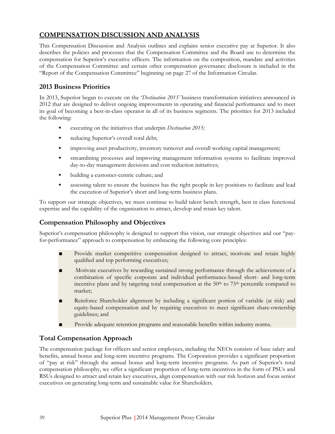# **COMPENSATION DISCUSSION AND ANALYSIS**

This Compensation Discussion and Analysis outlines and explains senior executive pay at Superior. It also describes the policies and processes that the Compensation Committee and the Board use to determine the compensation for Superior's executive officers. The information on the composition, mandate and activities of the Compensation Committee and certain other compensation governance disclosure is included in the "Report of the Compensation Committee" beginning on page 27 of the Information Circular.

### **2013 Business Priorities**

In 2013, Superior began to execute on the '*Destination 2015'* business transformation initiatives announced in 2012 that are designed to deliver ongoing improvements in operating and financial performance and to meet its goal of becoming a best-in-class operator in all of its business segments. The priorities for 2013 included the following:

- executing on the initiatives that underpin *Destination 2015;*
- reducing Superior's overall total debt;
- **•** improving asset productivity, inventory turnover and overall working capital management;
- streamlining processes and improving management information systems to facilitate improved day-to-day management decisions and cost reduction initiatives;
- building a customer-centric culture; and
- assessing talent to ensure the business has the right people in key positions to facilitate and lead the execution of Superior's short and long-term business plans.

To support our strategic objectives, we must continue to build talent bench strength, best in class functional expertise and the capability of the organization to attract, develop and retain key talent.

### **Compensation Philosophy and Objectives**

Superior's compensation philosophy is designed to support this vision, our strategic objectives and our "payfor-performance" approach to compensation by embracing the following core principles:

- Provide market competitive compensation designed to attract, motivate and retain highly qualified and top performing executives;
- Motivate executives by rewarding sustained strong performance through the achievement of a combination of specific corporate and individual performance-based short- and long-term incentive plans and by targeting total compensation at the  $50<sup>th</sup>$  to  $75<sup>th</sup>$  percentile compared to market;
- Reinforce Shareholder alignment by including a significant portion of variable (at risk) and equity-based compensation and by requiring executives to meet significant share-ownership guidelines; and
- Provide adequate retention programs and reasonable benefits within industry norms.

### **Total Compensation Approach**

The compensation package for officers and senior employees, including the NEOs consists of base salary and benefits, annual bonus and long-term incentive programs. The Corporation provides a significant proportion of "pay at risk" through the annual bonus and long-term incentive programs. As part of Superior's total compensation philosophy, we offer a significant proportion of long-term incentives in the form of PSUs and RSUs designed to attract and retain key executives, align compensation with our risk horizon and focus senior executives on generating long-term and sustainable value for Shareholders.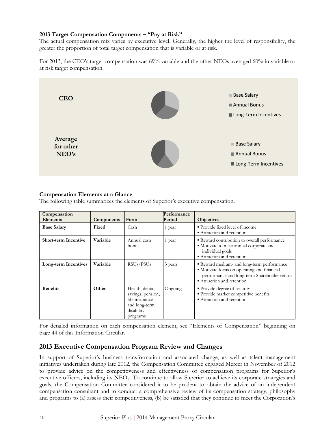### **2013 Target Compensation Components – "Pay at Risk"**

The actual compensation mix varies by executive level. Generally, the higher the level of responsibility, the greater the proportion of total target compensation that is variable or at risk.

For 2013, the CEO's target compensation was 69% variable and the other NEOs averaged 60% in variable or at risk target compensation.



### **Compensation Elements at a Glance**

The following table summarizes the elements of Superior's executive compensation.

| Compensation<br><b>Elements</b> | Components | Form                                                                                              | Performance<br>Period | <b>Objectives</b>                                                                                                                                                   |
|---------------------------------|------------|---------------------------------------------------------------------------------------------------|-----------------------|---------------------------------------------------------------------------------------------------------------------------------------------------------------------|
| <b>Base Salary</b>              | Fixed      | Cash                                                                                              | 1 year                | • Provide fixed level of income<br>• Attraction and retention                                                                                                       |
| <b>Short-term Incentive</b>     | Variable   | Annual cash<br>bonus                                                                              | 1 year                | Reward contribution to overall performance<br>· Motivate to meet annual corporate and<br>individual goals<br>• Attraction and retention                             |
| Long-term Incentives            | Variable   | RSUs/PSUs                                                                                         | 3 years               | Reward medium- and long-term performance<br>• Motivate focus on operating and financial<br>performance and long-term Shareholder return<br>Attraction and retention |
| <b>Benefits</b>                 | Other      | Health, dental,<br>savings, pension,<br>life insurance<br>and long-term<br>disability<br>programs | Ongoing               | • Provide degree of security<br>· Provide market competitive benefits<br>• Attraction and retention                                                                 |

For detailed information on each compensation element, see "Elements of Compensation" beginning on page 44 of this Information Circular.

### **2013 Executive Compensation Program Review and Changes**

In support of Superior's business transformation and associated change, as well as talent management initiatives undertaken during late 2012, the Compensation Committee engaged Mercer in November of 2012 to provide advice on the competitiveness and effectiveness of compensation programs for Superior's executive officers, including its NEOs. To continue to allow Superior to achieve its corporate strategies and goals, the Compensation Committee considered it to be prudent to obtain the advice of an independent compensation consultant and to conduct a comprehensive review of its compensation strategy, philosophy and programs to (a) assess their competitiveness, (b) be satisfied that they continue to meet the Corporation's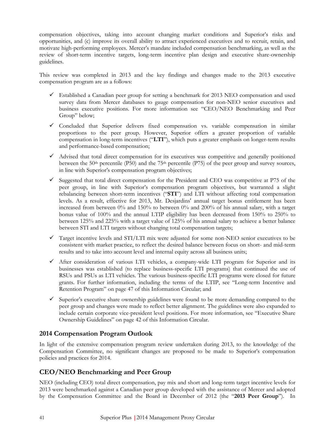compensation objectives, taking into account changing market conditions and Superior's risks and opportunities, and (c) improve its overall ability to attract experienced executives and to recruit, retain, and motivate high-performing employees. Mercer's mandate included compensation benchmarking, as well as the review of short-term incentive targets, long-term incentive plan design and executive share-ownership guidelines.

This review was completed in 2013 and the key findings and changes made to the 2013 executive compensation program are as a follows:

- $\checkmark$  Established a Canadian peer group for setting a benchmark for 2013 NEO compensation and used survey data from Mercer databases to gauge compensation for non-NEO senior executives and business executive positions. For more information see "CEO/NEO Benchmarking and Peer Group" below;
- $\checkmark$  Concluded that Superior delivers fixed compensation vs. variable compensation in similar proportions to the peer group. However, Superior offers a greater proportion of variable compensation in long-term incentives ("**LTI**"), which puts a greater emphasis on longer-term results and performance-based compensation;
- $\checkmark$  Advised that total direct compensation for its executives was competitive and generally positioned between the 50<sup>th</sup> percentile (P50) and the 75<sup>th</sup> percentile (P75) of the peer group and survey sources, in line with Superior's compensation program objectives;
- $\checkmark$  Suggested that total direct compensation for the President and CEO was competitive at P75 of the peer group, in line with Superior's compensation program objectives, but warranted a slight rebalancing between short-term incentives ("**STI**") and LTI without affecting total compensation levels. As a result, effective for 2013, Mr. Desjardins' annual target bonus entitlement has been increased from between 0% and 150% to between 0% and 200% of his annual salary, with a target bonus value of 100% and the annual LTIP eligibility has been decreased from 150% to 250% to between 125% and 225% with a target value of 125% of his annual salary to achieve a better balance between STI and LTI targets without changing total compensation targets;
- $\checkmark$  Target incentive levels and STI/LTI mix were adjusted for some non-NEO senior executives to be consistent with market practice, to reflect the desired balance between focus on short- and mid-term results and to take into account level and internal equity across all business units;
- $\checkmark$  After consideration of various LTI vehicles, a company-wide LTI program for Superior and its businesses was established (to replace business-specific LTI programs) that continued the use of RSUs and PSUs as LTI vehicles. The various business-specific LTI programs were closed for future grants. For further information, including the terms of the LTIP, see "Long-term Incentive and Retention Program" on page 47 of this Information Circular; and
- $\checkmark$  Superior's executive share ownership guidelines were found to be more demanding compared to the peer group and changes were made to reflect better alignment. The guidelines were also expanded to include certain corporate vice-president level positions. For more information, see "Executive Share Ownership Guidelines" on page 42 of this Information Circular.

### **2014 Compensation Program Outlook**

In light of the extensive compensation program review undertaken during 2013, to the knowledge of the Compensation Committee, no significant changes are proposed to be made to Superior's compensation policies and practices for 2014.

### **CEO/NEO Benchmarking and Peer Group**

NEO (including CEO) total direct compensation, pay mix and short and long-term target incentive levels for 2013 were benchmarked against a Canadian peer group developed with the assistance of Mercer and adopted by the Compensation Committee and the Board in December of 2012 (the "**2013 Peer Group**"). In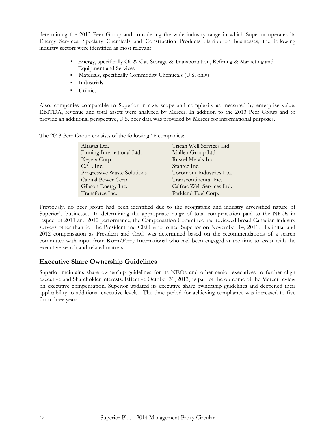determining the 2013 Peer Group and considering the wide industry range in which Superior operates its Energy Services, Specialty Chemicals and Construction Products distribution businesses, the following industry sectors were identified as most relevant:

- Energy, specifically Oil & Gas Storage & Transportation, Refining & Marketing and Equipment and Services
- Materials, specifically Commodity Chemicals (U.S. only)
- **Industrials**
- **Utilities**

Also, companies comparable to Superior in size, scope and complexity as measured by enterprise value, EBITDA, revenue and total assets were analyzed by Mercer. In addition to the 2013 Peer Group and to provide an additional perspective, U.S. peer data was provided by Mercer for informational purposes.

The 2013 Peer Group consists of the following 16 companies:

| Altagas Ltd.                | Trican Well Services Ltd.  |
|-----------------------------|----------------------------|
| Finning International Ltd.  | Mullen Group Ltd.          |
| Keyera Corp.                | Russel Metals Inc.         |
| CAE Inc.                    | Stantec Inc.               |
| Progressive Waste Solutions | Toromont Industries Ltd.   |
| Capital Power Corp.         | Transcontinental Inc.      |
| Gibson Energy Inc.          | Calfrac Well Services Ltd. |
| Transforce Inc.             | Parkland Fuel Corp.        |

Previously, no peer group had been identified due to the geographic and industry diversified nature of Superior's businesses. In determining the appropriate range of total compensation paid to the NEOs in respect of 2011 and 2012 performance, the Compensation Committee had reviewed broad Canadian industry surveys other than for the President and CEO who joined Superior on November 14, 2011. His initial and 2012 compensation as President and CEO was determined based on the recommendations of a search committee with input from Korn/Ferry International who had been engaged at the time to assist with the executive search and related matters.

### **Executive Share Ownership Guidelines**

Superior maintains share ownership guidelines for its NEOs and other senior executives to further align executive and Shareholder interests. Effective October 31, 2013, as part of the outcome of the Mercer review on executive compensation, Superior updated its executive share ownership guidelines and deepened their applicability to additional executive levels. The time period for achieving compliance was increased to five from three years.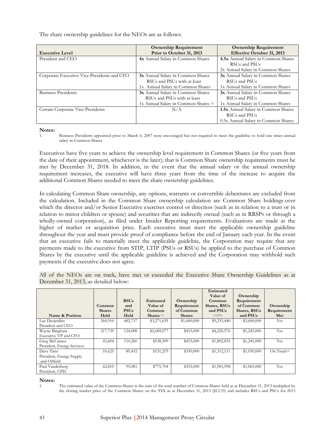The share ownership guidelines for the NEOs are as follows:

|                                             | <b>Ownership Requirement</b>                     | <b>Ownership Requirement</b>          |
|---------------------------------------------|--------------------------------------------------|---------------------------------------|
| <b>Executive Level</b>                      | Prior to October 31, 2013                        | <b>Effective October 31, 2013</b>     |
| President and CEO                           | 4x Annual Salary in Common Shares                | 4.5x Annual Salary in Common Shares   |
|                                             |                                                  | RSU <sub>s</sub> and PSU <sub>s</sub> |
|                                             |                                                  | 2x Annual Salary in Common Shares     |
| Corporate Executive Vice-Presidents and CFO | 3x Annual Salary in Common Shares                | 3x Annual Salary in Common Shares     |
|                                             | RSUs and PSUs with at least                      | RSUs and PSUs                         |
|                                             | 1x Annual Salary in Common Shares                | 1x Annual Salary in Common Shares     |
| <b>Business Presidents</b>                  | 3x Annual Salary in Common Shares                | 3x Annual Salary in Common Shares     |
|                                             | RSUs and PSUs with at least                      | RSU <sub>s</sub> and PSU <sub>s</sub> |
|                                             | 1x Annual Salary in Common Shares <sup>(1)</sup> | 1x Annual Salary in Common Shares     |
| Certain Corporate Vice-Presidents           | N/A                                              | 1.5x Annual Salary in Common Shares   |
|                                             |                                                  | RSU <sub>s</sub> and PSU <sub>s</sub> |
|                                             |                                                  | 0.5x Annual Salary in Common Shares   |

**Notes:** 

1. Business Presidents appointed prior to March 6, 2007 were encouraged but not required to meet the guideline to hold one times annual salary in Common Shares.

Executives have five years to achieve the ownership level requirement in Common Shares (or five years from the date of their appointment, whichever is the later); that is Common Share ownership requirements must be met by December 31, 2018. In addition, in the event that the annual salary or the annual ownership requirement increases, the executive will have three years from the time of the increase to acquire the additional Common Shares needed to meet the share ownership guidelines.

In calculating Common Share ownership, any options, warrants or convertible debentures are excluded from the calculation. Included in the Common Share ownership calculation are Common Share holdings over which the director and/or Senior Executive exercises control or direction (such as in relation to a trust or in relation to minor children or spouse) and securities that are indirectly owned (such as in RRSPs or through a wholly-owned corporation), as filed under Insider Reporting requirements. Evaluations are made at the higher of market or acquisition price. Each executive must meet the applicable ownership guideline throughout the year and must provide proof of compliance before the end of January each year. In the event that an executive fails to materially meet the applicable guideline, the Corporation may require that any payments made to the executive from STIP, LTIP (PSUs or RSUs) be applied to the purchase of Common Shares by the executive until the applicable guideline is achieved and the Corporation may withhold such payments if the executive does not agree.

All of the NEOs are on track, have met or exceeded the Executive Share Ownership Guidelines as at December 31, 2013, as detailed below:

| Name & Position            | Common<br><b>Shares</b><br>Held | <b>RSUs</b><br>and<br><b>PSUs</b><br>Held | <b>Estimated</b><br><b>Value of</b><br>Common<br>Shares $(1)$ | Ownership<br>Requirement<br>of Common<br><b>Shares</b> | <b>Estimated</b><br>Value of<br>Common<br>Shares, RSUs<br>and PSUs<br>(1)(2)(3) | Ownership<br>Requirement<br>of Common<br>Shares, RSUs<br>and PSUs | Ownership<br>Requirement<br>Met |
|----------------------------|---------------------------------|-------------------------------------------|---------------------------------------------------------------|--------------------------------------------------------|---------------------------------------------------------------------------------|-------------------------------------------------------------------|---------------------------------|
| Luc Desjardins             | 264,910                         | 482,737                                   | \$3,271,639                                                   | \$1,600,000                                            | \$9,233,440                                                                     | \$3,600,000                                                       | Yes                             |
| President and CEO          |                                 |                                           |                                                               |                                                        |                                                                                 |                                                                   |                                 |
| Wayne Bingham              | 217,739                         | 124,008                                   | \$2,689,077                                                   | \$415,000                                              | \$4,220,576                                                                     | \$1,245,000                                                       | Yes                             |
| Executive VP and CFO       |                                 |                                           |                                                               |                                                        |                                                                                 |                                                                   |                                 |
| Greg McCamus               | 43,604                          | 110,260                                   | \$538,509                                                     | \$415,000                                              | \$1,802,855                                                                     | \$1,245,000                                                       | Yes                             |
| President, Energy Services |                                 |                                           |                                                               |                                                        |                                                                                 |                                                                   |                                 |
| Dave Tims                  | 10,625                          | 89,432                                    | \$131,219                                                     | \$350,000                                              | \$1,312,111                                                                     | \$1,050,000                                                       | On Track <sup>(4)</sup>         |
| President, Energy Supply   |                                 |                                           |                                                               |                                                        |                                                                                 |                                                                   |                                 |
| and Oilfield               |                                 |                                           |                                                               |                                                        |                                                                                 |                                                                   |                                 |
| Paul Vanderberg            | 62,810                          | 95,081                                    | \$775,704                                                     | \$355,000                                              | \$1,983,598                                                                     | \$1,065,000                                                       | Yes                             |
| President, CPD             |                                 |                                           |                                                               |                                                        |                                                                                 |                                                                   |                                 |

**Notes:** 

1. The estimated value of the Common Shares is the sum of the total number of Common Shares held as at December 31, 2013 multiplied by the closing market price of the Common Shares on the TSX as at December 31, 2013 (\$12.35) and includes RSUs and PSUs for 2013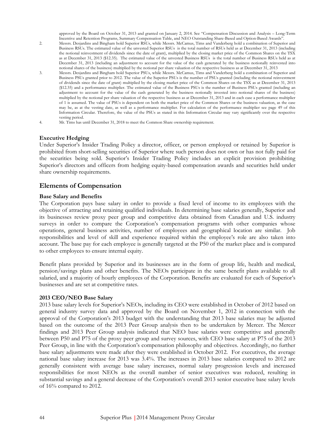approved by the Board on October 31, 2013 and granted on January 2, 2014. See "Compensation Discussion and Analysis – Long-Term Incentive and Retention Programs, Summary Compensation Table, and NEO Outstanding Share-Based and Option-Based Awards".

- 2. Messrs. Desjardins and Bingham hold Superior RSUs, while Messrs. McCamus, Tims and Vanderberg hold a combination of Superior and Business RSUs. The estimated value of the unvested Superior RSUs is the total number of RSUs held as at December 31, 2013 (including the notional reinvestment of dividends since the date of grant), multiplied by the closing market price of the Common Shares on the TSX as at December 31, 2013 (\$12.35). The estimated value of the unvested Business RSUs is the total number of Business RSUs held as at December 31, 2013 (including an adjustment to account for the value of the cash generated by the business notionally reinvested into notional shares of the business) multiplied by the notional per share valuation of the respective business as at December 31, 2013
- 3. Messrs. Desjardins and Bingham hold Superior PSUs, while Messrs. McCamus, Tims and Vanderberg hold a combination of Superior and Business PSUs granted prior to 2012. The value of the Superior PSUs is the number of PSUs granted (including the notional reinvestment of dividends since the date of grant) multiplied by the closing market price of the Common Shares on the TSX as at December 31, 2013 (\$12.35) and a performance multiplier. The estimated value of the Business PSUs is the number of Business PSUs granted (including an adjustment to account for the value of the cash generated by the business notionally invested into notional shares of the business) multiplied by the notional per share valuation of the respective business as at December 31, 2013 and in each case a performance multiplier of 1 is assumed. The value of PSUs is dependent on both the market price of the Common Shares or the business valuation, as the case may be, as at the vesting date, as well as a performance multiplier. For calculation of the performance multiplier see page 49 of this Information Circular. Therefore, the value of the PSUs as stated in this Information Circular may vary significantly over the respective vesting period.
- 4. Mr. Tims has until December 31, 2018 to meet the Common Share ownership requirement.

#### **Executive Hedging**

Under Superior's Insider Trading Policy a director, officer, or person employed or retained by Superior is prohibited from short-selling securities of Superior where such person does not own or has not fully paid for the securities being sold. Superior's Insider Trading Policy includes an explicit provision prohibiting Superior's directors and officers from hedging equity-based compensation awards and securities held under share ownership requirements.

### **Elements of Compensation**

#### **Base Salary and Benefits**

The Corporation pays base salary in order to provide a fixed level of income to its employees with the objective of attracting and retaining qualified individuals. In determining base salaries generally, Superior and its businesses review proxy peer group and competitive data obtained from Canadian and U.S. industry surveys in order to compare the Corporation's compensation programs with other companies whose operations, general business activities, number of employees and geographical location are similar. Job responsibilities and level of skill and experience required within the employee's role are also taken into account. The base pay for each employee is generally targeted at the P50 of the market place and is compared to other employees to ensure internal equity.

Benefit plans provided by Superior and its businesses are in the form of group life, health and medical, pension/savings plans and other benefits. The NEOs participate in the same benefit plans available to all salaried, and a majority of hourly employees of the Corporation. Benefits are evaluated for each of Superior's businesses and are set at competitive rates.

### **2013 CEO/NEO Base Salary**

2013 base salary levels for Superior's NEOs, including its CEO were established in October of 2012 based on general industry survey data and approved by the Board on November 1, 2012 in connection with the approval of the Corporation's 2013 budget with the understanding that 2013 base salaries may be adjusted based on the outcome of the 2013 Peer Group analysis then to be undertaken by Mercer. The Mercer findings and 2013 Peer Group analysis indicated that NEO base salaries were competitive and generally between P50 and P75 of the proxy peer group and survey sources, with CEO base salary at P75 of the 2013 Peer Group, in line with the Corporation's compensation philosophy and objectives. Accordingly, no further base salary adjustments were made after they were established in October 2012. For executives, the average national base salary increase for 2013 was 3.4%. The increases in 2013 base salaries compared to 2012 are generally consistent with average base salary increases, normal salary progression levels and increased responsibilities for most NEOs as the overall number of senior executives was reduced, resulting in substantial savings and a general decrease of the Corporation's overall 2013 senior executive base salary levels of 16% compared to 2012.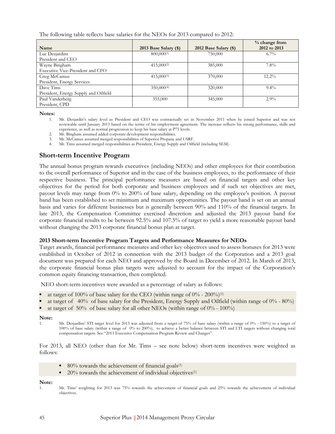The following table reflects base salaries for the NEOs for 2013 compared to 2012:

|                                       |                       |                       | % change from |
|---------------------------------------|-----------------------|-----------------------|---------------|
| Name                                  | 2013 Base Salary (\$) | 2012 Base Salary (\$) | 2012 to 2013  |
| Luc Desjardins                        | 800,000(1)            | 750,000               | $6.7\%$       |
| President and CEO                     |                       |                       |               |
| Wayne Bingham                         | $415,000^{(2)}$       | 385,000               | $7.8\%$       |
| Executive Vice-President and CFO      |                       |                       |               |
| Greg McCamus                          | $415,000^{(3)}$       | 370,000               | $12.2\%$      |
| President, Energy Services            |                       |                       |               |
| Dave Tims                             | 350,000(4)            | 320,000               | $9.4\%$       |
| President, Energy Supply and Oilfield |                       |                       |               |
| Paul Vanderberg                       | 355,000               | 345,000               | $2.9\%$       |
| President, CPD                        |                       |                       |               |

**Notes:** 

- 1. Mr. Desjardin's salary level as President and CEO was contractually set in November 2011 when he joined Superior and was not reviewable until January 2013 based on the terms of his employment agreement. The increase reflects his strong performance, skills and experience, as well as normal progression to keep his base salary at P75 levels.
- 2. Mr. Bingham assumed added corporate development responsibilities.
- 3. Mr. McCamus assumed merged responsibilities of Superior Propane and USRF.
- 4. Mr. Tims assumed merged responsibilities as President, Energy Supply and Oilfield (including SEM).

### **Short-term Incentive Program**

The annual bonus program rewards executives (including NEOs) and other employees for their contribution to the overall performance of Superior and in the case of the business employees, to the performance of their respective business. The principal performance measures are based on financial targets and other key objectives for the period for both corporate and business employees and if such set objectives are met, payout levels may range from 0% to 200% of base salary, depending on the employee's position. A payout band has been established to set minimum and maximum opportunities. The payout band is set on an annual basis and varies for different businesses but is generally between 90% and 110% of the financial targets. In late 2013, the Compensation Committee exercised discretion and adjusted the 2013 payout band for corporate financial results to be between 92.5% and 107.5% of target to yield a more reasonable payout band without changing the 2013 corporate financial bonus plan at target.

#### **2013 Short-term Incentive Program Targets and Performance Measures for NEOs**

Target awards, financial performance measures and other key objectives used to assess bonuses for 2013 were established in October of 2012 in connection with the 2013 budget of the Corporation and a 2013 goal document was prepared for each NEO and approved by the Board in December of 2012. In March of 2013, the corporate financial bonus plan targets were adjusted to account for the impact of the Corporation's common equity financing transaction, then completed.

NEO short-term incentives were awarded as a percentage of salary as follows:

- at target of 100% of base salary for the CEO (within range of  $0\%$  200%)<sup>(1)</sup>
- at target of 40% of base salary for the President, Energy Supply and Oilfield (within range of 0% 80%)
- at target of 50% of base salary for all other NEOs (within range of  $0\%$  100%)

#### **Note:**

1. Mr. Desjardins' STI target level for 2013 was adjusted from a target of 75% of base salary (within a range of 0% - 150%) to a target of 100% of base salary (within a range of 0% to 200%), to achieve a better balance between STI and LTI targets without changing total compensation targets. See "2013 Executive Compensation Program Review and Changes".

For 2013, all NEO (other than for Mr. Tims – see note below) short-term incentives were weighted as follows:

- $\blacksquare$  80% towards the achievement of financial goals<sup>(1)</sup>
- $\blacksquare$  20% towards the achievement of individual objectives<sup>(1)</sup>

#### **Note:**

<sup>1.</sup> Mr. Tims' weighting for 2013 was 75% towards the achievement of financial goals and 25% towards the achievement of individual objectives.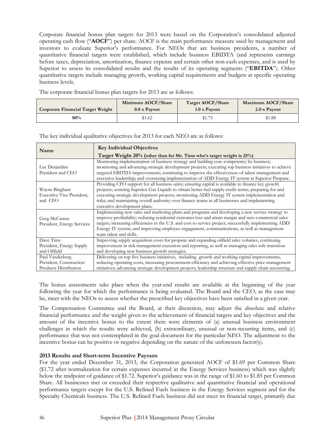Corporate financial bonus plan targets for 2013 were based on the Corporation's consolidated adjusted operating cash flow ("**AOCF**") per share. AOCF is the main performance measure used by management and investors to evaluate Superior's performance. For NEOs that are business presidents, a number of quantitative financial targets were established, which include business EBIDTA (and represents earnings before taxes, depreciation, amortization, finance expense and certain other non-cash expenses, and is used by Superior to assess its consolidated results and the results of its operating segments ("**EBITDA**"). Other quantitative targets include managing growth, working capital requirements and budgets at specific operating business levels.

The corporate financial bonus plan targets for 2013 are as follows:

| <b>Corporate Financial Target Weight</b> | Minimum AOCF/Share  | <b>Target AOCF/Share</b> | Maximum AOCF/Share |
|------------------------------------------|---------------------|--------------------------|--------------------|
|                                          | $0.0 \times$ Payout | 1.0 x Payout             | 2.0 x Payout       |
| 80%                                      | \$1.62              | \$1.75                   | \$1.88             |

**Key Individual Objectives Target Weight 20% (other than for Mr. Tims who's target weight is 25%)** Luc Desjardins President and CEO Monitoring implementation of business strategy and building core competency by business; monitoring and advancing strategic development projects; executing top business initiatives to achieve targeted EBITDA improvements; continuing to improve the effectiveness of talent management and executive leadership; and overseeing implementation of ADD Energy IT system at Superior Propane. Wayne Bingham Executive Vice President, and CFO Providing CFO support for all business units; ensuring capital is available to finance key growth projects; assisting Superior Gas Liquids to obtain better fuel supply credit terms; preparing for and executing strategic development projects; monitoring ADD Energy IT system implementation and risks; and maintaining overall authority over finance teams in all businesses and implementing executive development plans. Greg McCamus President, Energy Services Implementing new sales and marketing plans and programs and developing a new service strategy to improve profitability; reducing residential customer loss and attain margin and new commercial sales targets; increasing efficiencies in the U.S. and cost to service project; successfully implementing ADD Energy IT system; and improving employee engagement, communications, as well as management team talent and skills. Dave Tims President, Energy Supply and Oilfield Improving supply acquisition costs for propane and expanding oilfield sales volumes, continuing improvement in risk management execution and reporting, as well as managing sales role transition and developing new business growth strategies. Paul Vanderberg President, Construction Products Distribution Delivering on top five business initiatives, including growth and working capital improvements, reducing operating costs, increasing procurement efficiency and achieving effective price management initiatives; advancing strategic development projects, leadership structure and supply chain resourcing.

The key individual qualitative objectives for 2013 for each NEO are as follows:

The bonus assessments take place when the year-end results are available at the beginning of the year following the year for which the performance is being evaluated. The Board and the CEO, as the case may be, meet with the NEOs to assess whether the prescribed key objectives have been satisfied in a given year.

The Compensation Committee and the Board, at their discretion, may adjust the absolute and relative financial performance and the weight given to the achievement of financial targets and key objectives and the amount of the incentive bonus to the extent there were elements of (a) unusual business environment challenges in which the results were achieved, (b) extraordinary, unusual or non-recurring items, and (c) performance that was not contemplated in the goal document for the particular NEO. The adjustment to the incentive bonus can be positive or negative depending on the nature of the unforeseen factor(s).

### **2013 Results and Short-term Incentive Payouts**

For the year ended December 31, 2013, the Corporation generated AOCF of \$1.69 per Common Share (\$1.72 after normalization for certain expenses incurred in the Energy Services business) which was slightly below the midpoint of guidance of \$1.72. Superior's guidance was in the range of \$1.60 to \$1.85 per Common Share. All businesses met or exceeded their respective qualitative and quantitative financial and operational performance targets except for the U.S. Refined Fuels business in the Energy Services segment and for the Specialty Chemicals business. The U.S. Refined Fuels business did not meet its financial target, primarily due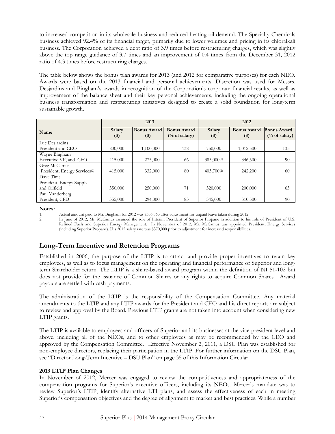to increased competition in its wholesale business and reduced heating oil demand. The Specialty Chemicals business achieved 92.4% of its financial target, primarily due to lower volumes and pricing in its chloralkali business. The Corporation achieved a debt ratio of 3.9 times before restructuring charges, which was slightly above the top range guidance of 3.7 times and an improvement of 0.4 times from the December 31, 2012 ratio of 4.3 times before restructuring charges.

The table below shows the bonus plan awards for 2013 (and 2012 for comparative purposes) for each NEO. Awards were based on the 2013 financial and personal achievements. Discretion was used for Messrs. Desjardins and Bingham's awards in recognition of the Corporation's corporate financial results, as well as improvement of the balance sheet and their key personal achievements, including the ongoing operational business transformation and restructuring initiatives designed to create a solid foundation for long-term sustainable growth.

|                                           | 2013             |                             |                                                | 2012              |                               |                                                |
|-------------------------------------------|------------------|-----------------------------|------------------------------------------------|-------------------|-------------------------------|------------------------------------------------|
| Name                                      | Salary<br>$($ \$ | <b>Bonus Award</b><br>$($)$ | <b>Bonus Award</b><br>$\frac{6}{6}$ of salary) | Salary<br>$($ \$) | <b>Bonus Award</b><br>$($ \$) | <b>Bonus Award</b><br>$\frac{0}{0}$ of salary) |
| Luc Desjardins                            |                  |                             |                                                |                   |                               |                                                |
| President and CEO                         | 800,000          | 1,100,000                   | 138                                            | 750,000           | 1,012,500                     | 135                                            |
| Wayne Bingham                             |                  |                             |                                                |                   |                               |                                                |
| Executive VP, and CFO                     | 415,000          | 275,000                     | 66                                             | 385,000(1)        | 346,500                       | 90                                             |
| Greg McCamus                              |                  |                             |                                                |                   |                               |                                                |
| President, Energy Services <sup>(2)</sup> | 415,000          | 332,000                     | 80                                             | 403,700(2)        | 242,200                       | 60                                             |
| Dave Tims                                 |                  |                             |                                                |                   |                               |                                                |
| President, Energy Supply                  |                  |                             |                                                |                   |                               |                                                |
| and Oilfield                              | 350,000          | 250,000                     | 71                                             | 320,000           | 200,000                       | 63                                             |
| Paul Vanderberg                           |                  |                             |                                                |                   |                               |                                                |
| President, CPD                            | 355,000          | 294,000                     | 83                                             | 345,000           | 310,500                       | 90                                             |

**Notes:** 

1. Actual amount paid to Mr. Bingham for 2012 was \$356,865 after adjustment for unpaid leave taken during 2012.<br>In lune of 2012, Mr. McCamus assumed the role of Interim President of Superior Propane in addition to his

2. In June of 2012, Mr. McCamus assumed the role of Interim President of Superior Propane in addition to his role of President of U.S. Refined Fuels and Superior Energy Management. In November of 2012, Mr. McCamus was appointed President, Energy Services (including Superior Propane). His 2012 salary rate was \$370,000 prior to adjustment for increased responsibilities.

# **Long-Term Incentive and Retention Programs**

Established in 2006, the purpose of the LTIP is to attract and provide proper incentives to retain key employees, as well as to focus management on the operating and financial performance of Superior and longterm Shareholder return. The LTIP is a share-based award program within the definition of NI 51-102 but does not provide for the issuance of Common Shares or any rights to acquire Common Shares. Award payouts are settled with cash payments.

The administration of the LTIP is the responsibility of the Compensation Committee. Any material amendments to the LTIP and any LTIP awards for the President and CEO and his direct reports are subject to review and approval by the Board. Previous LTIP grants are not taken into account when considering new LTIP grants.

The LTIP is available to employees and officers of Superior and its businesses at the vice-president level and above, including all of the NEOs, and to other employees as may be recommended by the CEO and approved by the Compensation Committee. Effective November 2, 2011, a DSU Plan was established for non-employee directors, replacing their participation in the LTIP. For further information on the DSU Plan, see "Director Long-Term Incentive – DSU Plan" on page 35 of this Information Circular.

### **2013 LTIP Plan Changes**

In November of 2012, Mercer was engaged to review the competitiveness and appropriateness of the compensation programs for Superior's executive officers, including its NEOs. Mercer's mandate was to review Superior's LTIP, identify alternative LTI plans, and assess the effectiveness of each in meeting Superior's compensation objectives and the degree of alignment to market and best practices. While a number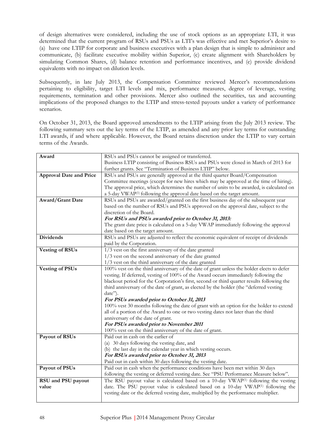of design alternatives were considered, including the use of stock options as an appropriate LTI, it was determined that the current program of RSUs and PSUs as LTI's was effective and met Superior's desire to (a) have one LTIP for corporate and business executives with a plan design that is simple to administer and communicate, (b) facilitate executive mobility within Superior, (c) create alignment with Shareholders by simulating Common Shares, (d) balance retention and performance incentives, and (e) provide dividend equivalents with no impact on dilution levels.

Subsequently, in late July 2013, the Compensation Committee reviewed Mercer's recommendations pertaining to eligibility, target LTI levels and mix, performance measures, degree of leverage, vesting requirements, termination and other provisions. Mercer also outlined the securities, tax and accounting implications of the proposed changes to the LTIP and stress-tested payouts under a variety of performance scenarios.

On October 31, 2013, the Board approved amendments to the LTIP arising from the July 2013 review. The following summary sets out the key terms of the LTIP, as amended and any prior key terms for outstanding LTI awards, if and where applicable. However, the Board retains discretion under the LTIP to vary certain terms of the Awards.

| Award                          | RSUs and PSUs cannot be assigned or transferred.                                                                                                                                       |
|--------------------------------|----------------------------------------------------------------------------------------------------------------------------------------------------------------------------------------|
|                                | Business LTIP consisting of Business RSUs and PSUs were closed in March of 2013 for                                                                                                    |
|                                | further grants. See "Termination of Business LTIP" below.                                                                                                                              |
| <b>Approval Date and Price</b> | RSUs and PSUs are generally approved at the third quarter Board/Compensation                                                                                                           |
|                                | Committee meetings (except for new hires which may be approved at the time of hiring).                                                                                                 |
|                                | The approval price, which determines the number of units to be awarded, is calculated on                                                                                               |
|                                | a 5-day VWAP <sup>(1)</sup> following the approval date based on the target amount.                                                                                                    |
| <b>Award/Grant Date</b>        | RSUs and PSUs are awarded/granted on the first business day of the subsequent year                                                                                                     |
|                                | based on the number of RSUs and PSUs approved on the approval date, subject to the                                                                                                     |
|                                | discretion of the Board.                                                                                                                                                               |
|                                | For RSUs and PSUs awarded prior to October 31, 2013:                                                                                                                                   |
|                                | The grant date price is calculated on a 5-day VWAP immediately following the approval                                                                                                  |
|                                | date based on the target amount.                                                                                                                                                       |
| <b>Dividends</b>               | RSUs and PSUs are adjusted to reflect the economic equivalent of receipt of dividends                                                                                                  |
|                                | paid by the Corporation.                                                                                                                                                               |
| <b>Vesting of RSUs</b>         | 1/3 vest on the first anniversary of the date granted                                                                                                                                  |
|                                | 1/3 vest on the second anniversary of the date granted                                                                                                                                 |
|                                | 1/3 vest on the third anniversary of the date granted                                                                                                                                  |
| <b>Vesting of PSUs</b>         | 100% vest on the third anniversary of the date of grant unless the holder elects to defer                                                                                              |
|                                | vesting. If deferred, vesting of 100% of the Award occurs immediately following the                                                                                                    |
|                                | blackout period for the Corporation's first, second or third quarter results following the                                                                                             |
|                                | third anniversary of the date of grant, as elected by the holder (the "deferred vesting                                                                                                |
|                                | date").                                                                                                                                                                                |
|                                | For PSUs awarded prior to October 31, 2013                                                                                                                                             |
|                                | 100% vest 30 months following the date of grant with an option for the holder to extend                                                                                                |
|                                | all of a portion of the Award to one or two vesting dates not later than the third                                                                                                     |
|                                | anniversary of the date of grant.                                                                                                                                                      |
|                                | For PSUs awarded prior to November 2011                                                                                                                                                |
|                                | 100% vest on the third anniversary of the date of grant.                                                                                                                               |
| Payout of RSUs                 | Paid out in cash on the earlier of                                                                                                                                                     |
|                                | (a) 30 days following the vesting date, and                                                                                                                                            |
|                                | (b) the last day in the calendar year in which vesting occurs.                                                                                                                         |
|                                | For RSUs awarded prior to October 31, 2013                                                                                                                                             |
| Payout of PSUs                 | Paid out in cash within 30 days following the vesting date.                                                                                                                            |
|                                | Paid out in cash when the performance conditions have been met within 30 days                                                                                                          |
| RSU and PSU payout             | following the vesting or deferred vesting date. See "PSU Performance Measure below".<br>The RSU payout value is calculated based on a 10-day VWAP <sup>(1)</sup> following the vesting |
| value                          | date. The PSU payout value is calculated based on a 10-day VWAP <sup>(1)</sup> following the                                                                                           |
|                                | vesting date or the deferred vesting date, multiplied by the performance multiplier.                                                                                                   |
|                                |                                                                                                                                                                                        |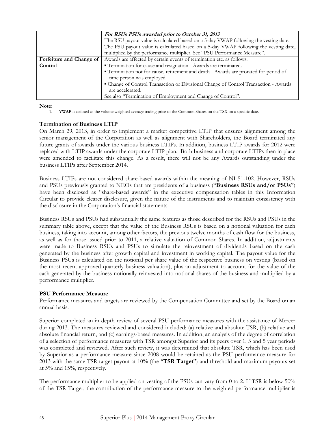|                          | For RSUs PSUs awarded prior to October 31, 2013<br>The RSU payout value is calculated based on a 5-day VWAP following the vesting date.<br>The PSU payout value is calculated based on a 5-day VWAP following the vesting date,<br>multiplied by the performance multiplier. See "PSU Performance Measure". |  |  |  |  |  |
|--------------------------|-------------------------------------------------------------------------------------------------------------------------------------------------------------------------------------------------------------------------------------------------------------------------------------------------------------|--|--|--|--|--|
| Forfeiture and Change of | Awards are affected by certain events of termination etc. as follows:                                                                                                                                                                                                                                       |  |  |  |  |  |
| Control                  | " Termination for cause and resignation - Awards are terminated.                                                                                                                                                                                                                                            |  |  |  |  |  |
|                          | " Termination not for cause, retirement and death - Awards are prorated for period of                                                                                                                                                                                                                       |  |  |  |  |  |
|                          | time person was employed.                                                                                                                                                                                                                                                                                   |  |  |  |  |  |
|                          | • Change of Control Transaction or Divisional Change of Control Transaction - Awards                                                                                                                                                                                                                        |  |  |  |  |  |
|                          | are accelerated.                                                                                                                                                                                                                                                                                            |  |  |  |  |  |
|                          | See also "Termination of Employment and Change of Control".                                                                                                                                                                                                                                                 |  |  |  |  |  |

Note:

1. **VWAP** is defined as the volume weighted average trading price of the Common Shares on the TSX on a specific date.

#### **Termination of Business LTIP**

On March 29, 2013, in order to implement a market competitive LTIP that ensures alignment among the senior management of the Corporation as well as alignment with Shareholders, the Board terminated any future grants of awards under the various business LTIPs. In addition, business LTIP awards for 2012 were replaced with LTIP awards under the corporate LTIP plan. Both business and corporate LTIPs then in place were amended to facilitate this change. As a result, there will not be any Awards outstanding under the business LTIPs after September 2014.

Business LTIPs are not considered share-based awards within the meaning of NI 51-102. However, RSUs and PSUs previously granted to NEOs that are presidents of a business ("**Business RSUs and/or PSUs**") have been disclosed as "share-based awards" in the executive compensation tables in this Information Circular to provide clearer disclosure, given the nature of the instruments and to maintain consistency with the disclosure in the Corporation's financial statements.

Business RSUs and PSUs had substantially the same features as those described for the RSUs and PSUs in the summary table above, except that the value of the Business RSUs is based on a notional valuation for each business, taking into account, among other factors, the previous twelve months of cash flow for the business, as well as for those issued prior to 2011, a relative valuation of Common Shares. In addition, adjustments were made to Business RSUs and PSUs to simulate the reinvestment of dividends based on the cash generated by the business after growth capital and investment in working capital. The payout value for the Business PSUs is calculated on the notional per share value of the respective business on vesting (based on the most recent approved quarterly business valuation), plus an adjustment to account for the value of the cash generated by the business notionally reinvested into notional shares of the business and multiplied by a performance multiplier.

### **PSU Performance Measure**

Performance measures and targets are reviewed by the Compensation Committee and set by the Board on an annual basis.

Superior completed an in depth review of several PSU performance measures with the assistance of Mercer during 2013. The measures reviewed and considered included: (a) relative and absolute TSR, (b) relative and absolute financial return, and (c) earnings-based measures. In addition, an analysis of the degree of correlation of a selection of performance measures with TSR amongst Superior and its peers over 1, 3 and 5 year periods was completed and reviewed. After such review, it was determined that absolute TSR, which has been used by Superior as a performance measure since 2008 would be retained as the PSU performance measure for 2013 with the same TSR target payout at 10% (the "**TSR Target**") and threshold and maximum payouts set at 5% and 15%, respectively.

The performance multiplier to be applied on vesting of the PSUs can vary from 0 to 2. If TSR is below 50% of the TSR Target, the contribution of the performance measure to the weighted performance multiplier is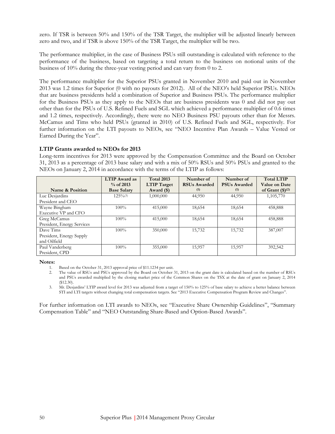zero. If TSR is between 50% and 150% of the TSR Target, the multiplier will be adjusted linearly between zero and two, and if TSR is above 150% of the TSR Target, the multiplier will be two.

The performance multiplier, in the case of Business PSUs still outstanding is calculated with reference to the performance of the business, based on targeting a total return to the business on notional units of the business of 10% during the three-year vesting period and can vary from 0 to 2.

The performance multiplier for the Superior PSUs granted in November 2010 and paid out in November 2013 was 1.2 times for Superior (0 with no payouts for 2012). All of the NEO's held Superior PSUs. NEOs that are business presidents held a combination of Superior and Business PSUs. The performance multiplier for the Business PSUs as they apply to the NEOs that are business presidents was 0 and did not pay out other than for the PSUs of U.S. Refined Fuels and SGL which achieved a performance multiplier of 0.6 times and 1.2 times, respectively. Accordingly, there were no NEO Business PSU payouts other than for Messrs. McCamus and Tims who held PSUs (granted in 2010) of U.S. Refined Fuels and SGL, respectively. For further information on the LTI payouts to NEOs, see "NEO Incentive Plan Awards – Value Vested or Earned During the Year".

#### **LTIP Grants awarded to NEOs for 2013**

Long-term incentives for 2013 were approved by the Compensation Committee and the Board on October 31, 2013 as a percentage of 2013 base salary and with a mix of 50% RSUs and 50% PSUs and granted to the NEOs on January 2, 2014 in accordance with the terms of the LTIP as follows:

|                            | <b>LTIP</b> Award as<br>$%$ of 2013 | <b>Total 2013</b><br><b>LTIP</b> Target | Number of<br><b>RSUs Awarded</b> | Number of<br><b>PSUs Awarded</b> | <b>Total LTIP</b><br><b>Value on Date</b> |
|----------------------------|-------------------------------------|-----------------------------------------|----------------------------------|----------------------------------|-------------------------------------------|
| Name & Position            | <b>Base Salary</b>                  | Award (\$)                              | (1)                              | (1)                              | of Grant $(\text{$\$})^{(2)}$             |
| Luc Desjardins             | $125\%$                             | 1,000,000                               | 44,950                           | 44,950                           | 1,105,770                                 |
| President and CEO          |                                     |                                         |                                  |                                  |                                           |
| Wayne Bingham              | 100%                                | 415,000                                 | 18,654                           | 18,654                           | 458,888                                   |
| Executive VP and CFO       |                                     |                                         |                                  |                                  |                                           |
| Greg McCamus               | 100%                                | 415,000                                 | 18,654                           | 18,654                           | 458,888                                   |
| President, Energy Services |                                     |                                         |                                  |                                  |                                           |
| Dave Tims                  | $100\%$                             | 350,000                                 | 15,732                           | 15,732                           | 387,007                                   |
| President, Energy Supply   |                                     |                                         |                                  |                                  |                                           |
| and Oilfield               |                                     |                                         |                                  |                                  |                                           |
| Paul Vanderberg            | 100%                                | 355,000                                 | 15,957                           | 15,957                           | 392,542                                   |
| President, CPD             |                                     |                                         |                                  |                                  |                                           |

#### **Notes:**

3. Mr. Desjardins' LTIP award level for 2013 was adjusted from a target of 150% to 125% of base salary to achieve a better balance between STI and LTI targets without changing total compensation targets. See "2013 Executive Compensation Program Review and Changes".

For further information on LTI awards to NEOs, see "Executive Share Ownership Guidelines", "Summary Compensation Table" and "NEO Outstanding Share-Based and Option-Based Awards".

<sup>1.</sup> Based on the October 31, 2013 approval price of \$11.1234 per unit.<br>2. The value of RSUs and PSUs approved by the Board on October :

<sup>2.</sup> The value of RSUs and PSUs approved by the Board on October 31, 2013 on the grant date is calculated based on the number of RSUs and PSUs awarded multiplied by the closing market price of the Common Shares on the TSX at the date of grant on January 2, 2014 (\$12.30).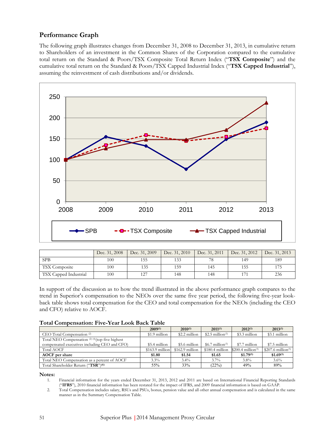### **Performance Graph**

The following graph illustrates changes from December 31, 2008 to December 31, 2013, in cumulative return to Shareholders of an investment in the Common Shares of the Corporation compared to the cumulative total return on the Standard & Poors/TSX Composite Total Return Index ("**TSX Composite**") and the cumulative total return on the Standard & Poors/TSX Capped Industrial Index ("**TSX Capped Industrial**"), assuming the reinvestment of cash distributions and/or dividends.



|                       | Dec. 31, 2008 | Dec. 31, 2009 | Dec. 31, 2010 | Dec. 31, 2011 | Dec. 31, 2012 | Dec. 31, 2013 |
|-----------------------|---------------|---------------|---------------|---------------|---------------|---------------|
| <b>SPB</b>            | 100           | 155           | 133           | 78            | 149           | 189           |
| <b>TSX</b> Composite  | 100           | 135           | 159           | 145           | 155           | 175           |
| TSX Capped Industrial | 100           | 127           | 148           | 148           | 171           | 236           |

In support of the discussion as to how the trend illustrated in the above performance graph compares to the trend in Superior's compensation to the NEOs over the same five year period, the following five-year lookback table shows total compensation for the CEO and total compensation for the NEOs (including the CEO and CFO) relative to AOCF.

#### **Total Compensation: Five-Year Look Back Table**

|                                                  | $2009^{(1)}$     | $2010^{(1)}$     | $2011^{(1)}$                  | $2012^{(1)}$                    | $2013^{(1)}$                    |
|--------------------------------------------------|------------------|------------------|-------------------------------|---------------------------------|---------------------------------|
| CEO Total Compensation <sup>(2)</sup>            | \$1.9 million    | \$2.2 million    | \$2.5 million <sup>(3)</sup>  | \$3.3 million                   | \$3.1 million                   |
| Total NEO Compensation (2) (4) (top five highest |                  |                  |                               |                                 |                                 |
| compensated executives including CEO and CFO)    | \$5.4 million    | \$5.6 million    | $$6.7$ million <sup>(3)</sup> | \$7.7 million                   | \$7.5 million                   |
| Total AOCF                                       | $$163.9$ million | $$162.9$ million | $$180.4$ million              | $$200.4$ million <sup>(5)</sup> | $$207.6$ million <sup>(5)</sup> |
| <b>AOCF</b> per share                            | \$1.80           | \$1.54           | \$1.65                        | $$1.79^{(5)}$                   | $$1.69^{(5)}$                   |
| Total NEO Compensation as a percent of AOCF      | 3.3%             | $3.4\%$          | $3.7\%$                       | $3.8\%$                         | 3.6%                            |
| Total Shareholder Return ("TSR") <sup>(6)</sup>  | 55%              | 33%              | (22%)                         | 49%                             | 89%                             |

**Notes:** 

<sup>1.</sup> Financial information for the years ended December 31, 2013, 2012 and 2011 are based on International Financial Reporting Standards ("**IFRS**"), 2010 financial information has been restated for the impact of IFRS, and 2009 financial information is based on GAAP.

<sup>2.</sup> Total Compensation includes salary, RSUs and PSUs, bonus, pension value and all other annual compensation and is calculated in the same manner as in the Summary Compensation Table.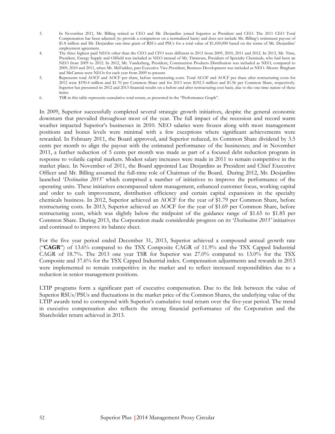- 3. In November 2011, Mr. Billing retired as CEO and Mr. Desjardins joined Superior as President and CEO. The 2011 CEO Total Compensation has been adjusted (to provide a comparison on a normalized basis) and does not include Mr. Billing's retirement payout of \$1.8 million and Mr. Desjardins one-time grant of RSUs and PSUs for a total value of \$1,450,000 based on the terms of Mr. Desjardins' employment agreement.
- 4. The three highest paid NEOs other than the CEO and CFO were different in 2013 from 2009, 2010, 2011 and 2012. In 2013, Mr. Tims, President, Energy Supply and Oilfield was included as NEO instead of Mr. Timmons, President of Specialty Chemicals, who had been an NEO from 2009 to 2012. In 2012, Mr. Vanderberg, President, Construction Products Distribution was included as NEO, compared to 2009, 2010 and 2011, when Mr. McFadden, past Executive Vice-President, Business Development was included as NEO. Messrs. Bingham and McCamus were NEOs for each year from 2009 to present.
- 5. Represents total AOCF and AOCF per share, before restructuring costs. Total ACOF and AOCF per share after restructuring costs for 2012 were \$190.4 million and \$1.70 per Common Share and for 2013 were \$192.3 million and \$1.56 per Common Share, respectively. Superior has presented its 2012 and 2013 financial results on a before and after restructuring cost basis, due to the one-time nature of these items.
- 6. TSR in this table represents cumulative total return, as presented in the "Performance Graph".

In 2009, Superior successfully completed several strategic growth initiatives, despite the general economic downturn that prevailed throughout most of the year. The full impact of the recession and record warm weather impacted Superior's businesses in 2010. NEO salaries were frozen along with most management positions and bonus levels were minimal with a few exceptions where significant achievements were rewarded. In February 2011, the Board approved, and Superior reduced, its Common Share dividend by 3.5 cents per month to align the payout with the estimated performance of the businesses; and in November 2011, a further reduction of 5 cents per month was made as part of a focused debt reduction program in response to volatile capital markets. Modest salary increases were made in 2011 to remain competitive in the market place. In November of 2011, the Board appointed Luc Desjardins as President and Chief Executive Officer and Mr. Billing assumed the full-time role of Chairman of the Board. During 2012, Mr. Desjardins launched '*Destination 2015'* which comprised a number of initiatives to improve the performance of the operating units. These initiatives encompassed talent management, enhanced customer focus, working capital and order to cash improvement, distribution efficiency and certain capital expansions in the specialty chemicals business. In 2012, Superior achieved an AOCF for the year of \$1.79 per Common Share, before restructuring costs. In 2013, Superior achieved an AOCF for the year of \$1.69 per Common Share, before restructuring costs, which was slightly below the midpoint of the guidance range of \$1.65 to \$1.85 per Common Share. During 2013, the Corporation made considerable progress on its '*Destination 2015'* initiatives and continued to improve its balance sheet.

For the five year period ended December 31, 2013, Superior achieved a compound annual growth rate ("**CAGR**") of 13.6% compared to the TSX Composite CAGR of 11.9% and the TSX Capped Industrial CAGR of 18.7%. The 2013 one year TSR for Superior was 27.0% compared to 13.0% for the TSX Composite and 37.6% for the TSX Capped Industrial index. Compensation adjustments and rewards in 2013 were implemented to remain competitive in the market and to reflect increased responsibilities due to a reduction in senior management positions.

LTIP programs form a significant part of executive compensation. Due to the link between the value of Superior RSUs/PSUs and fluctuations in the market price of the Common Shares, the underlying value of the LTIP awards tend to correspond with Superior's cumulative total return over the five-year period. The trend in executive compensation also reflects the strong financial performance of the Corporation and the Shareholder return achieved in 2013.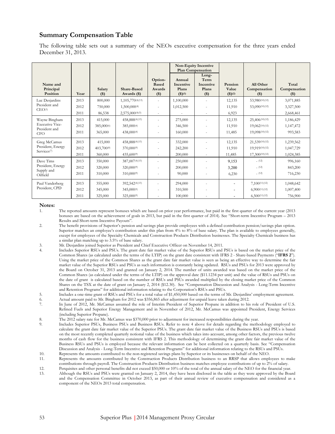### **Summary Compensation Table**

The following table sets out a summary of the NEOs executive compensation for the three years ended December 31, 2013.

|                                                                        |                      |                                     |                                                     |                                            |                                        | <b>Non-Equity Incentive</b><br><b>Plan Compensation</b> |                                                                        |                                                      |                                     |
|------------------------------------------------------------------------|----------------------|-------------------------------------|-----------------------------------------------------|--------------------------------------------|----------------------------------------|---------------------------------------------------------|------------------------------------------------------------------------|------------------------------------------------------|-------------------------------------|
| Name and<br>Principal<br>Position                                      | Year                 | Salary<br>(3)                       | Share-Based<br>Awards (\$)                          | Option-<br><b>Based</b><br>Awards<br>$($)$ | Annual<br>Incentive<br>Plans<br>(3)(1) | Long-<br>Term<br>Incentive<br>Plans<br>$($)$            | Pension<br>Value<br>$($ \$ $)(2)$                                      | All Other<br>Compensation<br>$($ \$)                 | Total<br>Compensation<br>$($)$      |
| Luc Desjardins<br>President and<br>CEO <sup>(3)</sup>                  | 2013<br>2012<br>2011 | 800,000<br>750,000<br>86,538        | 1,105,770(4)(13)<br>1,500,000(4)<br>2,575,000(4)(5) | $\overline{\phantom{a}}$<br>$\sim$         | 1,100,000<br>1,012,500                 | ÷.                                                      | 12,135<br>11,910<br>6,923                                              | 53,980(10)(12)<br>53,090(10)(12)<br>÷                | 3,071,885<br>3,327,500<br>2,668,461 |
| Wayne Bingham<br><b>Executive Vice-</b><br>President and<br><b>CFO</b> | 2013<br>2012<br>2011 | 415,000<br>385,000%<br>365,000      | 458,888(4)(13)<br>385,000(4)<br>438,000(4)          |                                            | 275,000<br>346,500<br>160,000          | ٠<br>$\overline{a}$                                     | 12,135<br>11,910<br>11,485                                             | 25,406(10)(12)<br>19,062(10)(12)<br>19,098(10)(12)   | 1,186,429<br>1,147,472<br>993,583   |
| Greg McCamus<br>President, Energy<br>Services <sup>(7)</sup>           | 2013<br>2012<br>2011 | 415,000<br>403,700 $(8)$<br>360,000 | 458,888(4)(13)<br>370,000(9)<br>435,600(9)          |                                            | 332,000<br>242,200<br>200,000          | ä,<br>٠                                                 | 12,135<br>11,910<br>11,485                                             | 21,539(10)(12)<br>19,919(10)(12)<br>17,300(10)(12)   | 1,239,562<br>1,047,729<br>1,024,385 |
| Dave Tims<br>President, Energy<br>Supply and<br>Oilfield               | 2013<br>2012<br>2011 | 350,000<br>320,000<br>310,000       | 387,007(4)(13)<br>320,000(9)<br>310,000(9)          |                                            | 250,000<br>200,000<br>90,000           | ٠                                                       | 9,153<br>3,200<br>6,230                                                | (12)<br>(12)<br>(12)                                 | 996,160<br>843,200<br>716,230       |
| Paul Vanderberg<br>President, CPD                                      | 2013<br>2012<br>2011 | 355,000<br>345,000<br>325,000       | 392,542(4)(13)<br>345,000(9)<br>325,000(9)          |                                            | 294,000<br>310,500<br>100,000          |                                                         | $\overline{\phantom{a}}$<br>$\overline{\phantom{a}}$<br>$\overline{a}$ | $7,100^{(11)(12)}$<br>6,900(11)(12)<br>6,500(11)(12) | 1,048,642<br>1,007,400<br>756,900   |

#### **Notes:**

1. The reported amounts represent bonuses which are based on prior year performance, but paid in the first quarter of the current year (2013 bonuses are based on the achievement of goals in 2013, but paid in the first quarter of 2014). See "Short-term Incentive Program – 2013 Results and Short-term Incentive Payouts".

- 2. The benefit provisions of Superior's pension and savings plan provide employees with a defined contribution pension/savings plan option. Superior matches an employee's contribution under this plan from 4% to 8% of base salary. The plan is available to employees generally, except for employees of the Specialty Chemicals and Construction Products Distribution businesses. The Specialty Chemicals business has a similar plan matching up to 3.5% of base salary.
- 3. Mr. Desjardins joined Superior as President and Chief Executive Officer on November 14, 2011.
- 4. Includes Superior RSUs and PSUs. The grant date fair market value of the Superior RSUs and PSUs is based on the market price of the Common Shares (as calculated under the terms of the LTIP) on the grant date consistent with IFRS 2 - Share-based Payments ("**IFRS 2**"). Using the market price of the Common Shares as the grant date fair market value is seen as being an effective way to determine the fair market value of the Superior RSUs and PSUs as such information is constantly being updated. RSUs and PSUs for 2013 were approved by the Board on October 31, 2013 and granted on January 2, 2014. The number of units awarded was based on the market price of the Common Shares (as calculated under the terms of the LTIP) on the approval date (\$11.1234 per unit) and the value of RSUs and PSUs on the date of grant is calculated based on the number of RSUs and PSUs awarded multiplied by the closing market price of the Common Shares on the TSX at the date of grant on January 2, 2014 (\$12.30). See "Compensation Discussion and Analysis - Long-Term Incentive and Retention Programs" for additional information relating to the Corporation's RSUs and PSUs.
- 5. Includes a one-time grant of RSUs and PSUs for a total value of \$1,450,000 based on the terms of Mr. Desjardins' employment agreement.
- 6. Actual amount paid to Mr. Bingham for 2012 was \$356,865 after adjustment for unpaid leave taken during 2012.
- 7. In June of 2012, Mr. McCamus assumed the role of Interim President of Superior Propane in addition to his role of President of U.S. Refined Fuels and Superior Energy Management and in November of 2012, Mr. McCamus was appointed President, Energy Services (including Superior Propane).
- 8. The 2012 salary rate for Mr. McCamus was \$370,000 prior to adjustment for increased responsibilities during the year.
- 9. Includes Superior PSUs, Business PSUs and Business RSUs. Refer to note 4 above for details regarding the methodology employed to calculate the grant date fair market value of the Superior PSUs. The grant date fair market value of the Business RSUs and PSUs is based on the most recently completed quarterly notional value of the business which takes into account, among other factors, the previous twelve months of cash flow for the business consistent with IFRS 2. This methodology of determining the grant date fair market value of the Business RSUs and PSUs is employed because the relevant information can be best collected on a quarterly basis. See "Compensation Discussion and Analysis - Long-Term Incentive and Retention Programs" for additional information relating to the RSUs and PSUs.
- 10. Represents the amounts contributed to the non-registered savings plans by Superior or its businesses on behalf of the NEO.
- 11. Represents the amounts contributed by the Construction Products Distribution business to an RRSP that allows employees to make contributions through payroll. The Construction Products Distribution business matches employee contributions of up to 2% of salary.
- 12. Perquisites and other personal benefits did not exceed \$50,000 or 10% of the total of the annual salary of the NEO for the financial year.<br>13. Although the RSUs and PSUs were granted on January 2, 2014, they have been 13. Although the RSUs and PSUs were granted on January 2, 2014, they have been disclosed in the table as they were approved by the Board and the Compensation Committee in October 2013, as part of their annual review of executive compensation and considered as a component of the NEOs 2013 total compensation.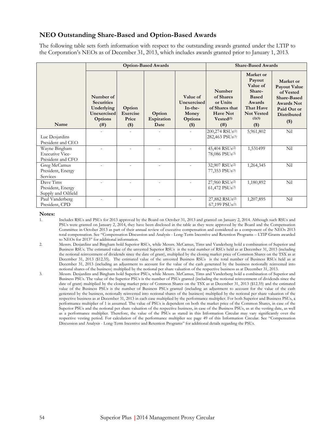### **NEO Outstanding Share-Based and Option-Based Awards**

The following table sets forth information with respect to the outstanding awards granted under the LTIP to the Corporation's NEOs as of December 31, 2013, which includes awards granted prior to January 1, 2013.

|                                                              |                                                                                    |                                      | <b>Option-Based Awards</b>   | <b>Share-Based Awards</b>                                           |                                                                                                |                                                                                                                          |                                                                                                                                          |
|--------------------------------------------------------------|------------------------------------------------------------------------------------|--------------------------------------|------------------------------|---------------------------------------------------------------------|------------------------------------------------------------------------------------------------|--------------------------------------------------------------------------------------------------------------------------|------------------------------------------------------------------------------------------------------------------------------------------|
| Name                                                         | Number of<br><b>Securities</b><br>Underlying<br>Unexercised<br>Options<br>$^{(#)}$ | Option<br>Exercise<br>Price<br>$($)$ | Option<br>Expiration<br>Date | Value of<br>Unexercised<br>$In-the-$<br>Money<br>Options<br>$($ \$) | Number<br>of Shares<br>or Units<br>of Shares that<br><b>Have Not</b><br>$Vested^{(1)}$<br>(# ) | Market or<br>Payout<br>Value of<br>Share-<br><b>Based</b><br>Awards<br>That Have<br><b>Not Vested</b><br>(2)(3)<br>$($)$ | Market or<br><b>Payout Value</b><br>of Vested<br><b>Share-Based</b><br><b>Awards Not</b><br>Paid Out or<br><b>Distributed</b><br>$($ \$) |
| Luc Desjardins<br>President and CEO                          |                                                                                    |                                      |                              |                                                                     | 200,274 RSUs(2)<br>282,463 PSUs(3)                                                             | 5,961,802                                                                                                                | Nil                                                                                                                                      |
| Wayne Bingham<br><b>Executive Vice-</b><br>President and CFO |                                                                                    |                                      |                              |                                                                     | 45,404 RSU <sub>s</sub> <sup>(2)</sup><br>78,086 PSUs(3)                                       | 1,531499                                                                                                                 | Nil                                                                                                                                      |
| Greg McCamus<br>President, Energy<br>Services                |                                                                                    |                                      |                              |                                                                     | 32,907 RSUs(2)<br>77,353 PSU <sub>s</sub> (3)                                                  | 1,264,345                                                                                                                | Nil                                                                                                                                      |
| Dave Tims<br>President, Energy<br>Supply and Oilfield        |                                                                                    |                                      |                              |                                                                     | 27,960 RSUs(2)<br>$61,472$ PSUs $(3)$                                                          | 1,180,892                                                                                                                | Nil                                                                                                                                      |
| Paul Vanderberg<br>President, CPD                            |                                                                                    |                                      |                              |                                                                     | 27,882 RSUs <sup>(2)</sup><br>$67,199$ $PSUs^{(3)}$                                            | 1,207,895                                                                                                                | Nil                                                                                                                                      |

#### **Notes:**

1. Includes RSUs and PSUs for 2013 approved by the Board on October 31, 2013 and granted on January 2, 2014. Although such RSUs and PSUs were granted on January 2, 2014, they have been disclosed in the table as they were approved by the Board and the Compensation Committee in October 2013 as part of their annual review of executive compensation and considered as a component of the NEOs 2013 total compensation. See "Compensation Discussion and Analysis - Long-Term Incentive and Retention Programs – LTIP Grants awarded to NEOs for 2013" for additional information.

2. Messrs. Desjardins and Bingham hold Superior RSUs, while Messrs. McCamus, Tims and Vanderberg hold a combination of Superior and Business RSUs. The estimated value of the unvested Superior RSUs is the total number of RSUs held as at December 31, 2013 (including the notional reinvestment of dividends since the date of grant), multiplied by the closing market price of Common Shares on the TSX as at December 31, 2013 (\$12.35). The estimated value of the unvested Business RSUs is the total number of Business RSUs held as at December 31, 2013 (including an adjustment to account for the value of the cash generated by the business notionally reinvested into notional shares of the business) multiplied by the notional per share valuation of the respective business as at December 31, 2013.

3. Messrs. Desjardins and Bingham hold Superior PSUs, while Messrs. McCamus, Tims and Vanderberg hold a combination of Superior and Business PSUs. The value of the Superior PSUs is the number of PSUs granted (including the notional reinvestment of dividends since the date of grant) multiplied by the closing market price of Common Shares on the TSX as at December 31, 2013 (\$12.35) and the estimated value of the Business PSUs is the number of Business PSUs granted (including an adjustment to account for the value of the cash generated by the business, notionally reinvested into notional shares of the business) multiplied by the notional per share valuation of the respective business as at December 31, 2013 in each case multiplied by the performance multiplier. For both Superior and Business PSUs, a performance multiplier of 1 is assumed. The value of PSUs is dependent on both the market price of the Common Shares, in case of the Superior PSUs and the notional per share valuation of the respective business, in case of the Business PSUs, as at the vesting date, as well as a performance multiplier. Therefore, the value of the PSUs as stated in this Information Circular may vary significantly over the respective vesting period. For calculation of the performance multiplier see page 49 of this Information Circular. See "Compensation Discussion and Analysis - Long-Term Incentive and Retention Programs" for additional details regarding the PSUs.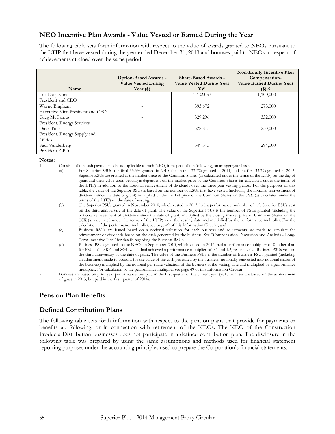### **NEO Incentive Plan Awards - Value Vested or Earned During the Year**

The following table sets forth information with respect to the value of awards granted to NEOs pursuant to the LTIP that have vested during the year ended December 31, 2013 and bonuses paid to NEOs in respect of achievements attained over the same period.

| Name                             | <b>Option-Based Awards -</b><br><b>Value Vested During</b><br>Year $(\$)$ | <b>Share-Based Awards -</b><br><b>Value Vested During Year</b><br>(3)(1) | Non-Equity Incentive Plan<br>Compensation-<br><b>Value Earned During Year</b><br>(3)(2) |
|----------------------------------|---------------------------------------------------------------------------|--------------------------------------------------------------------------|-----------------------------------------------------------------------------------------|
| Luc Desjardins                   |                                                                           | 1,422,057                                                                | 1,100,000                                                                               |
| President and CEO                |                                                                           |                                                                          |                                                                                         |
| Wayne Bingham                    |                                                                           | 593,672                                                                  | 275,000                                                                                 |
| Executive Vice-President and CFO |                                                                           |                                                                          |                                                                                         |
| Greg McCamus                     |                                                                           | 329,296                                                                  | 332,000                                                                                 |
| President, Energy Services       |                                                                           |                                                                          |                                                                                         |
| Dave Tims                        |                                                                           | 528,845                                                                  | 250,000                                                                                 |
| President, Energy Supply and     |                                                                           |                                                                          |                                                                                         |
| Oilfield                         |                                                                           |                                                                          |                                                                                         |
| Paul Vanderberg                  |                                                                           | 349, 345                                                                 | 294,000                                                                                 |
| President, CPD                   |                                                                           |                                                                          |                                                                                         |

#### **Notes:**

- 1. Consists of the cash payouts made, as applicable to each NEO, in respect of the following, on an aggregate basis:
	- (a) For Superior RSUs, the final 33.3% granted in 2010, the second 33.3% granted in 2011, and the first 33.3% granted in 2012. Superior RSUs are granted at the market price of the Common Shares (as calculated under the terms of the LTIP) on the day of grant and their value upon vesting is dependent on the market price of the Common Shares (as calculated under the terms of the LTIP) in addition to the notional reinvestment of dividends over the three year vesting period. For the purposes of this table, the value of the Superior RSUs is based on the number of RSUs that have vested (including the notional reinvestment of dividends since the date of grant) multiplied by the market price of the Common Shares on the TSX (as calculated under the terms of the LTIP) on the date of vesting.
	- (b) The Superior PSUs granted in November 2010, which vested in 2013, had a performance multiplier of 1.2. Superior PSUs vest on the third anniversary of the date of grant. The value of the Superior PSUs is the number of PSUs granted (including the notional reinvestment of dividends since the date of grant) multiplied by the closing market price of Common Shares on the TSX (as calculated under the terms of the LTIP) as at the vesting date and multiplied by the performance multiplier. For the calculation of the performance multiplier, see page 49 of this Information Circular; and
	- (c) Business RSUs are issued based on a notional valuation for each business and adjustments are made to simulate the reinvestment of dividends based on the cash generated by the business. See "Compensation Discussion and Analysis - Long-Term Incentive Plan" for details regarding the Business RSUs.
	- (d) Business PSUs granted to the NEOs in September 2010, which vested in 2013, had a performance multiplier of 0, other than for PSUs of USRF, and SGL which had achieved a performance multiplier of 0.6 and 1.2, respectively. Business PSUs vest on the third anniversary of the date of grant. The value of the Business PSUs is the number of Business PSUs granted (including an adjustment made to account for the value of the cash generated by the business, notionally reinvested into notional shares of the business) multiplied by the notional per share valuation of the business at the vesting date and multiplied by a performance multiplier. For calculation of the performance multiplier see page 49 of this Information Circular.
- 2. Bonuses are based on prior year performance, but paid in the first quarter of the current year (2013 bonuses are based on the achievement of goals in 2013, but paid in the first quarter of 2014).

### **Pension Plan Benefits**

### **Defined Contribution Plans**

The following table sets forth information with respect to the pension plans that provide for payments or benefits at, following, or in connection with retirement of the NEOs. The NEO of the Construction Products Distribution businesses does not participate in a defined contribution plan. The disclosure in the following table was prepared by using the same assumptions and methods used for financial statement reporting purposes under the accounting principles used to prepare the Corporation's financial statements.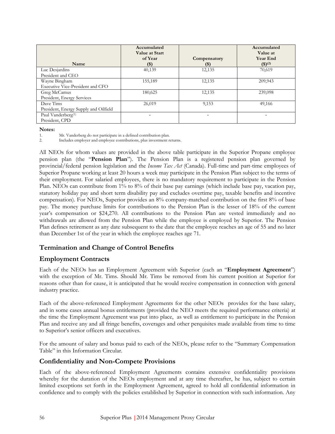| Name                                  | Accumulated<br><b>Value at Start</b><br>of Year<br>$($ \$) | Compensatory<br>(\$)     | Accumulated<br>Value at<br><b>Year End</b><br>$($ \$ $)(2)$ |
|---------------------------------------|------------------------------------------------------------|--------------------------|-------------------------------------------------------------|
| Luc Desjardins                        | 40,139                                                     | 12,135                   | 70,619                                                      |
| President and CEO                     |                                                            |                          |                                                             |
| Wayne Bingham                         | 155,189                                                    | 12,135                   | 209,943                                                     |
| Executive Vice-President and CFO      |                                                            |                          |                                                             |
| Greg McCamus                          | 180,625                                                    | 12,135                   | 239,098                                                     |
| President, Energy Services            |                                                            |                          |                                                             |
| Dave Tims                             | 26,019                                                     | 9,153                    | 49,166                                                      |
| President, Energy Supply and Oilfield |                                                            |                          |                                                             |
| Paul Vanderberg <sup>(1)</sup>        |                                                            | $\overline{\phantom{0}}$ |                                                             |
| President, CPD                        |                                                            |                          |                                                             |

**Notes:** 

1. Mr. Vanderberg do not participate in a defined contribution plan.

2. Includes employer and employee contributions, plus investment returns.

All NEOs for whom values are provided in the above table participate in the Superior Propane employee pension plan (the "**Pension Plan**"). The Pension Plan is a registered pension plan governed by provincial/federal pension legislation and the *Income Tax Act* (Canada). Full-time and part-time employees of Superior Propane working at least 20 hours a week may participate in the Pension Plan subject to the terms of their employment. For salaried employees, there is no mandatory requirement to participate in the Pension Plan. NEOs can contribute from 1% to 8% of their base pay earnings (which include base pay, vacation pay, statutory holiday pay and short term disability pay and excludes overtime pay, taxable benefits and incentive compensation). For NEOs, Superior provides an 8% company-matched contribution on the first 8% of base pay. The money purchase limits for contributions to the Pension Plan is the lesser of 18% of the current year's compensation or \$24,270. All contributions to the Pension Plan are vested immediately and no withdrawals are allowed from the Pension Plan while the employee is employed by Superior. The Pension Plan defines retirement as any date subsequent to the date that the employee reaches an age of 55 and no later than December 1st of the year in which the employee reaches age 71.

### **Termination and Change of Control Benefits**

### **Employment Contracts**

Each of the NEOs has an Employment Agreement with Superior (each an "**Employment Agreement**") with the exception of Mr. Tims. Should Mr. Tims be removed from his current position at Superior for reasons other than for cause, it is anticipated that he would receive compensation in connection with general industry practice.

Each of the above-referenced Employment Agreements for the other NEOs provides for the base salary, and in some cases annual bonus entitlements (provided the NEO meets the required performance criteria) at the time the Employment Agreement was put into place, as well as entitlement to participate in the Pension Plan and receive any and all fringe benefits, coverages and other perquisites made available from time to time to Superior's senior officers and executives.

For the amount of salary and bonus paid to each of the NEOs, please refer to the "Summary Compensation Table" in this Information Circular.

### **Confidentiality and Non-Compete Provisions**

Each of the above-referenced Employment Agreements contains extensive confidentiality provisions whereby for the duration of the NEOs employment and at any time thereafter, he has, subject to certain limited exceptions set forth in the Employment Agreement, agreed to hold all confidential information in confidence and to comply with the policies established by Superior in connection with such information. Any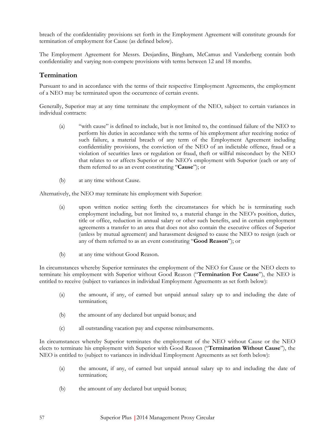breach of the confidentiality provisions set forth in the Employment Agreement will constitute grounds for termination of employment for Cause (as defined below).

The Employment Agreement for Messrs. Desjardins, Bingham, McCamus and Vanderberg contain both confidentiality and varying non-compete provisions with terms between 12 and 18 months.

### **Termination**

Pursuant to and in accordance with the terms of their respective Employment Agreements, the employment of a NEO may be terminated upon the occurrence of certain events.

Generally, Superior may at any time terminate the employment of the NEO, subject to certain variances in individual contracts:

- (a) "with cause" is defined to include, but is not limited to, the continued failure of the NEO to perform his duties in accordance with the terms of his employment after receiving notice of such failure, a material breach of any term of the Employment Agreement including confidentiality provisions, the conviction of the NEO of an indictable offence, fraud or a violation of securities laws or regulation or fraud, theft or willful misconduct by the NEO that relates to or affects Superior or the NEO's employment with Superior (each or any of them referred to as an event constituting "**Cause**"); or
- (b) at any time without Cause.

Alternatively, the NEO may terminate his employment with Superior:

- (a) upon written notice setting forth the circumstances for which he is terminating such employment including, but not limited to, a material change in the NEO's position, duties, title or office, reduction in annual salary or other such benefits, and in certain employment agreements a transfer to an area that does not also contain the executive offices of Superior (unless by mutual agreement) and harassment designed to cause the NEO to resign (each or any of them referred to as an event constituting "**Good Reason**"); or
- (b) at any time without Good Reason.

In circumstances whereby Superior terminates the employment of the NEO for Cause or the NEO elects to terminate his employment with Superior without Good Reason ("**Termination For Cause**"), the NEO is entitled to receive (subject to variances in individual Employment Agreements as set forth below):

- (a) the amount, if any, of earned but unpaid annual salary up to and including the date of termination;
- (b) the amount of any declared but unpaid bonus; and
- (c) all outstanding vacation pay and expense reimbursements.

In circumstances whereby Superior terminates the employment of the NEO without Cause or the NEO elects to terminate his employment with Superior with Good Reason ("**Termination Without Cause**"), the NEO is entitled to (subject to variances in individual Employment Agreements as set forth below):

- (a) the amount, if any, of earned but unpaid annual salary up to and including the date of termination;
- (b) the amount of any declared but unpaid bonus;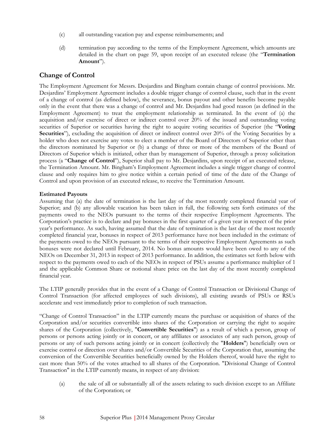- (c) all outstanding vacation pay and expense reimbursements; and
- (d) termination pay according to the terms of the Employment Agreement, which amounts are detailed in the chart on page 59, upon receipt of an executed release (the "**Termination Amount**").

### **Change of Control**

The Employment Agreement for Messrs. Desjardins and Bingham contain change of control provisions. Mr. Desjardins' Employment Agreement includes a double trigger change of control clause, such that in the event of a change of control (as defined below), the severance, bonus payout and other benefits become payable only in the event that there was a change of control and Mr. Desjardins had good reason (as defined in the Employment Agreement) to treat the employment relationship as terminated. In the event of (a) the acquisition and/or exercise of direct or indirect control over 20% of the issued and outstanding voting securities of Superior or securities having the right to acquire voting securities of Superior (the "**Voting Securities**"), excluding the acquisition of direct or indirect control over 20% of the Voting Securities by a holder who does not exercise any votes to elect a member of the Board of Directors of Superior other than the directors nominated by Superior or (b) a change of three or more of the members of the Board of Directors of Superior which is initiated, other than by management of Superior, through a proxy solicitation process (a "**Change of Control**"), Superior shall pay to Mr. Desjardins, upon receipt of an executed release, the Termination Amount. Mr. Bingham's Employment Agreement includes a single trigger change of control clause and only requires him to give notice within a certain period of time of the date of the Change of Control and upon provision of an executed release, to receive the Termination Amount.

### **Estimated Payouts**

Assuming that (a) the date of termination is the last day of the most recently completed financial year of Superior; and (b) any allowable vacation has been taken in full, the following sets forth estimates of the payments owed to the NEOs pursuant to the terms of their respective Employment Agreements. The Corporation's practice is to declare and pay bonuses in the first quarter of a given year in respect of the prior year's performance. As such, having assumed that the date of termination is the last day of the most recently completed financial year, bonuses in respect of 2013 performance have not been included in the estimate of the payments owed to the NEOs pursuant to the terms of their respective Employment Agreements as such bonuses were not declared until February, 2014. No bonus amounts would have been owed to any of the NEOs on December 31, 2013 in respect of 2013 performance. In addition, the estimates set forth below with respect to the payments owed to each of the NEOs in respect of PSUs assume a performance multiplier of 1 and the applicable Common Share or notional share price on the last day of the most recently completed financial year.

The LTIP generally provides that in the event of a Change of Control Transaction or Divisional Change of Control Transaction (for affected employees of such divisions), all existing awards of PSUs or RSUs accelerate and vest immediately prior to completion of such transaction.

"Change of Control Transaction" in the LTIP currently means the purchase or acquisition of shares of the Corporation and/or securities convertible into shares of the Corporation or carrying the right to acquire shares of the Corporation (collectively, "**Convertible Securities**") as a result of which a person, group of persons or persons acting jointly or in concert, or any affiliates or associates of any such person, group of persons or any of such persons acting jointly or in concert (collectively the "**Holders**") beneficially own or exercise control or direction over shares and/or Convertible Securities of the Corporation that, assuming the conversion of the Convertible Securities beneficially owned by the Holders thereof, would have the right to cast more than 50% of the votes attached to all shares of the Corporation. "Divisional Change of Control Transaction" in the LTIP currently means, in respect of any division:

(a) the sale of all or substantially all of the assets relating to such division except to an Affiliate of the Corporation; or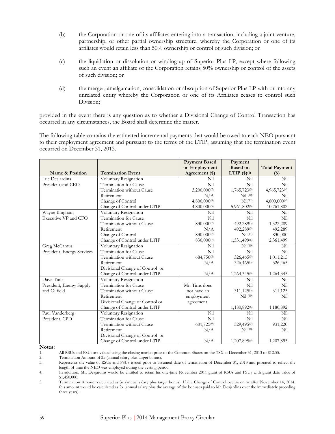- (b) the Corporation or one of its affiliates entering into a transaction, including a joint venture, partnership, or other partial ownership structure, whereby the Corporation or one of its affiliates would retain less than 50% ownership or control of such division; or
- (c) the liquidation or dissolution or winding-up of Superior Plus LP, except where following such an event an affiliate of the Corporation retains 50% ownership or control of the assets of such division; or
- (d) the merger, amalgamation, consolidation or absorption of Superior Plus LP with or into any unrelated entity whereby the Corporation or one of its Affiliates ceases to control such Division;

provided in the event there is any question as to whether a Divisional Change of Control Transaction has occurred in any circumstances, the Board shall determine the matter.

The following table contains the estimated incremental payments that would be owed to each NEO pursuant to their employment agreement and pursuant to the terms of the LTIP, assuming that the termination event occurred on December 31, 2013.

|                            |                                 | <b>Payment Based</b> | Payment                  |                      |
|----------------------------|---------------------------------|----------------------|--------------------------|----------------------|
|                            |                                 | on Employment        | <b>Based on</b>          | <b>Total Payment</b> |
| Name & Position            | <b>Termination Event</b>        | Agreement (\$)       | LTIP $(\$)^{(1)}$        | $($ \$)              |
| Luc Desjardins             | Voluntary Resignation           | Nil                  | Nil                      | Nil                  |
| President and CEO          | Termination for Cause           | Nil                  | Nil                      | Nil                  |
|                            | Termination without Cause       | 3,200,000(2)         | 1,765,723(3)             | 4,965,723(4)         |
|                            | Retirement                      | N/A                  | $Nil$ $(10)$             | Nil                  |
|                            | Change of Control               | 4,800,000(5)         | Nil <sup>(11)</sup>      | 4,800,000(4)         |
|                            | Change of Control under LTIP    | 4,800,000(5)         | 5,961,802(6)             | 10,761,802           |
| Wayne Bingham              | Voluntary Resignation           | Nil                  | Nil                      | Nil                  |
| Executive VP and CFO       | Termination for Cause           | Nil                  | Nil                      | Nil                  |
|                            | Termination without Cause       | 830,0007             | 492,289(3)               | 1,322,289            |
|                            | Retirement                      | N/A                  | 492,289(3)               | 492,289              |
|                            | Change of Control               | 830,0007             | Nil <sup>(11)</sup>      | 830,000              |
|                            | Change of Control under LTIP    | 830,000(7)           | 1,531,499(6)             | 2,361,499            |
| Greg McCamus               | Voluntary Resignation           | Nil                  | Nil <sup>(10)</sup>      | Nil                  |
| President, Energy Services | Termination for Cause           | Nil                  | Nil                      | Nil                  |
|                            | Termination without Cause       | 684,750 $(8)$        | 326,465(3)               | 1,011,215            |
|                            | Retirement                      | N/A                  | 326,465(3)               | 326,465              |
|                            | Divisional Change of Control or |                      |                          |                      |
|                            | Change of Control under LTIP    | N/A                  | 1,264,345(6)             | 1,264,345            |
| Dave Tims                  | Voluntary Resignation           |                      | Nil                      | Nil                  |
| President, Energy Supply   | Termination for Cause           | Mr. Tims does        | Nil                      | Nil                  |
| and Oilfield               | Termination without Cause       | not have an          | $311,125^{(3)}$          | 311,125              |
|                            | Retirement                      | employment           | $Nil$ $(10)$             | Nil                  |
|                            | Divisional Change of Control or | agreement.           |                          |                      |
|                            | Change of Control under LTIP    |                      | 1,180,892 <sup>(6)</sup> | 1,180,892            |
| Paul Vanderberg            | Voluntary Resignation           | Nil                  | Nil                      | Nil                  |
| President, CPD             | Termination for Cause           | Nil                  | Nil                      | Nil                  |
|                            | Termination without Cause       | $601,725^{(9)}$      | 329,495(3)               | 931,220              |
|                            | Retirement                      | N/A                  | Nil <sup>(10)</sup>      | Nil                  |
|                            | Divisional Change of Control or |                      |                          |                      |
|                            | Change of Control under LTIP    | N/A                  | 1,207,895(6)             | 1,207,895            |

**Notes:** 

1. All RSUs and PSUs are valued using the closing market price of the Common Shares on the TSX at December 31, 2013 of \$12.35.<br>2. Termination Amount of 2x (annual salary plus target bonus).

2. Termination Amount of 2x (annual salary plus target bonus).<br>3. Represents the value of RSUs and PSUs issued prior to ass

Represents the value of RSUs and PSUs issued prior to assumed date of termination of December 31, 2013 and prorated to reflect the length of time the NEO was employed during the vesting period.

4. In addition, Mr. Desjardins would be entitled to retain his one-time November 2011 grant of RSUs and PSUs with grant date value of \$1,450,000.

5. Termination Amount calculated as 3x (annual salary plus target bonus). If the Change of Control occurs on or after November 14, 2014, this amount would be calculated as 2x (annual salary plus the average of the bonuses paid to Mr. Desjardins over the immediately preceding three years).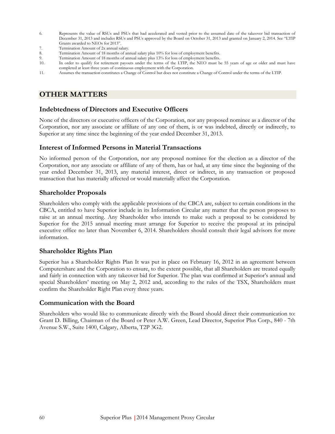- 6. Represents the value of RSUs and PSUs that had accelerated and vested prior to the assumed date of the takeover bid transaction of December 31, 2013 and includes RSUs and PSUs approved by the Board on October 31, 2013 and granted on January 2, 2014. See "LTIP Grants awarded to NEOs for 2013".
- 7. Termination Amount of 2x annual salary.<br>8. Termination Amount of 18 months of an
- Termination Amount of 18 months of annual salary plus 10% for loss of employment benefits.
- 9. Termination Amount of 18 months of annual salary plus 13% for loss of employment benefits.
- 10. In order to qualify for retirement payouts under the terms of the LTIP, the NEO must be 55 years of age or older and must have completed at least three years of continuous employment with the Corporation.
- 11. Assumes the transaction constitutes a Change of Control but does not constitute a Change of Control under the terms of the LTIP.

# **OTHER MATTERS**

### **Indebtedness of Directors and Executive Officers**

None of the directors or executive officers of the Corporation, nor any proposed nominee as a director of the Corporation, nor any associate or affiliate of any one of them, is or was indebted, directly or indirectly, to Superior at any time since the beginning of the year ended December 31, 2013.

### **Interest of Informed Persons in Material Transactions**

No informed person of the Corporation, nor any proposed nominee for the election as a director of the Corporation, nor any associate or affiliate of any of them, has or had, at any time since the beginning of the year ended December 31, 2013, any material interest, direct or indirect, in any transaction or proposed transaction that has materially affected or would materially affect the Corporation.

### **Shareholder Proposals**

Shareholders who comply with the applicable provisions of the CBCA are, subject to certain conditions in the CBCA, entitled to have Superior include in its Information Circular any matter that the person proposes to raise at an annual meeting. Any Shareholder who intends to make such a proposal to be considered by Superior for the 2015 annual meeting must arrange for Superior to receive the proposal at its principal executive office no later than November 6, 2014. Shareholders should consult their legal advisors for more information.

### **Shareholder Rights Plan**

Superior has a Shareholder Rights Plan It was put in place on February 16, 2012 in an agreement between Computershare and the Corporation to ensure, to the extent possible, that all Shareholders are treated equally and fairly in connection with any takeover bid for Superior. The plan was confirmed at Superior's annual and special Shareholders' meeting on May 2, 2012 and, according to the rules of the TSX, Shareholders must confirm the Shareholder Right Plan every three years.

### **Communication with the Board**

Shareholders who would like to communicate directly with the Board should direct their communication to: Grant D. Billing, Chairman of the Board or Peter A.W. Green, Lead Director, Superior Plus Corp., 840 - 7th Avenue S.W., Suite 1400, Calgary, Alberta, T2P 3G2.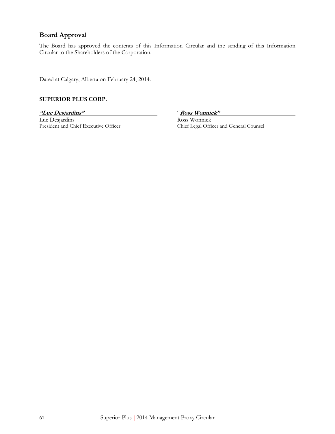### **Board Approval**

The Board has approved the contents of this Information Circular and the sending of this Information Circular to the Shareholders of the Corporation.

Dated at Calgary, Alberta on February 24, 2014.

#### **SUPERIOR PLUS CORP.**

**"Luc Desjardins"** "**Ross Wonnick"**  Luc Desjardins<br>
President and Chief Executive Officer<br>
Chief Legal Officer

Chief Legal Officer and General Counsel